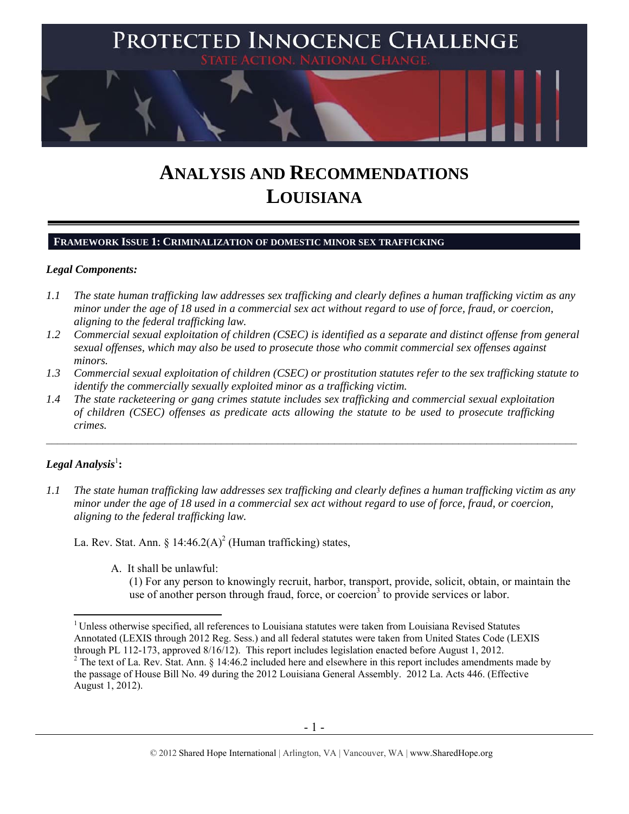

# **ANALYSIS AND RECOMMENDATIONS LOUISIANA**

#### **FRAMEWORK ISSUE 1: CRIMINALIZATION OF DOMESTIC MINOR SEX TRAFFICKING**

#### *Legal Components:*

- *1.1 The state human trafficking law addresses sex trafficking and clearly defines a human trafficking victim as any minor under the age of 18 used in a commercial sex act without regard to use of force, fraud, or coercion, aligning to the federal trafficking law.*
- *1.2 Commercial sexual exploitation of children (CSEC) is identified as a separate and distinct offense from general sexual offenses, which may also be used to prosecute those who commit commercial sex offenses against minors.*
- *1.3 Commercial sexual exploitation of children (CSEC) or prostitution statutes refer to the sex trafficking statute to identify the commercially sexually exploited minor as a trafficking victim.*
- *1.4 The state racketeering or gang crimes statute includes sex trafficking and commercial sexual exploitation of children (CSEC) offenses as predicate acts allowing the statute to be used to prosecute trafficking crimes.*

# $\bm{\mathit{Legal\, Analysis}^{\text{!}}:}$

*1.1 The state human trafficking law addresses sex trafficking and clearly defines a human trafficking victim as any minor under the age of 18 used in a commercial sex act without regard to use of force, fraud, or coercion, aligning to the federal trafficking law.* 

La. Rev. Stat. Ann. §  $14:46.2(A)^2$  (Human trafficking) states,

A. It shall be unlawful:

(1) For any person to knowingly recruit, harbor, transport, provide, solicit, obtain, or maintain the use of another person through fraud, force, or coercion<sup>3</sup> to provide services or labor.

 $\overline{a}$ <sup>1</sup> Unless otherwise specified, all references to Louisiana statutes were taken from Louisiana Revised Statutes Annotated (LEXIS through 2012 Reg. Sess.) and all federal statutes were taken from United States Code (LEXIS through PL 112-173, approved 8/16/12). This report includes legislation enacted before August 1, 2012.  $2^2$  The text of La. Rev. Stat. Ann. § 14:46.2 included here and elsewhere in this report includes amendments made by

the passage of House Bill No. 49 during the 2012 Louisiana General Assembly. 2012 La. Acts 446. (Effective August 1, 2012).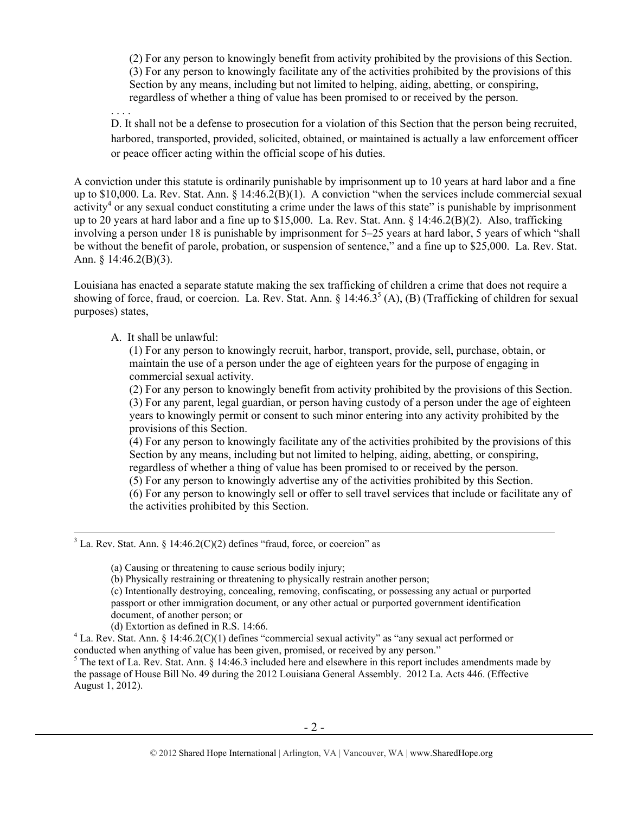(2) For any person to knowingly benefit from activity prohibited by the provisions of this Section. (3) For any person to knowingly facilitate any of the activities prohibited by the provisions of this Section by any means, including but not limited to helping, aiding, abetting, or conspiring, regardless of whether a thing of value has been promised to or received by the person.

. . . .

D. It shall not be a defense to prosecution for a violation of this Section that the person being recruited, harbored, transported, provided, solicited, obtained, or maintained is actually a law enforcement officer or peace officer acting within the official scope of his duties.

A conviction under this statute is ordinarily punishable by imprisonment up to 10 years at hard labor and a fine up to \$10,000. La. Rev. Stat. Ann. § 14:46.2(B)(1). A conviction "when the services include commercial sexual  $\text{activity}^4$  or any sexual conduct constituting a crime under the laws of this state" is punishable by imprisonment up to 20 years at hard labor and a fine up to \$15,000. La. Rev. Stat. Ann. § 14:46.2(B)(2). Also, trafficking involving a person under 18 is punishable by imprisonment for 5–25 years at hard labor, 5 years of which "shall be without the benefit of parole, probation, or suspension of sentence," and a fine up to \$25,000. La. Rev. Stat. Ann. § 14:46.2(B)(3).

Louisiana has enacted a separate statute making the sex trafficking of children a crime that does not require a showing of force, fraud, or coercion. La. Rev. Stat. Ann. §  $14:46.3<sup>5</sup>$  (A), (B) (Trafficking of children for sexual purposes) states,

A. It shall be unlawful:

(1) For any person to knowingly recruit, harbor, transport, provide, sell, purchase, obtain, or maintain the use of a person under the age of eighteen years for the purpose of engaging in commercial sexual activity.

(2) For any person to knowingly benefit from activity prohibited by the provisions of this Section. (3) For any parent, legal guardian, or person having custody of a person under the age of eighteen years to knowingly permit or consent to such minor entering into any activity prohibited by the provisions of this Section.

(4) For any person to knowingly facilitate any of the activities prohibited by the provisions of this Section by any means, including but not limited to helping, aiding, abetting, or conspiring, regardless of whether a thing of value has been promised to or received by the person.

(5) For any person to knowingly advertise any of the activities prohibited by this Section.

(6) For any person to knowingly sell or offer to sell travel services that include or facilitate any of the activities prohibited by this Section.

 3  $3$  La. Rev. Stat. Ann. § 14:46.2(C)(2) defines "fraud, force, or coercion" as

<sup>(</sup>a) Causing or threatening to cause serious bodily injury;

<sup>(</sup>b) Physically restraining or threatening to physically restrain another person;

<sup>(</sup>c) Intentionally destroying, concealing, removing, confiscating, or possessing any actual or purported passport or other immigration document, or any other actual or purported government identification document, of another person; or

<sup>(</sup>d) Extortion as defined in R.S.  $14:66$ .

<sup>&</sup>lt;sup>4</sup> La. Rev. Stat. Ann. § 14:46.2(C)(1) defines "commercial sexual activity" as "any sexual act performed or conducted when anything of value has been given, promised, or received by any person."

<sup>&</sup>lt;sup>5</sup> The text of La. Rev. Stat. Ann. § 14:46.3 included here and elsewhere in this report includes amendments made by the passage of House Bill No. 49 during the 2012 Louisiana General Assembly. 2012 La. Acts 446. (Effective August 1, 2012).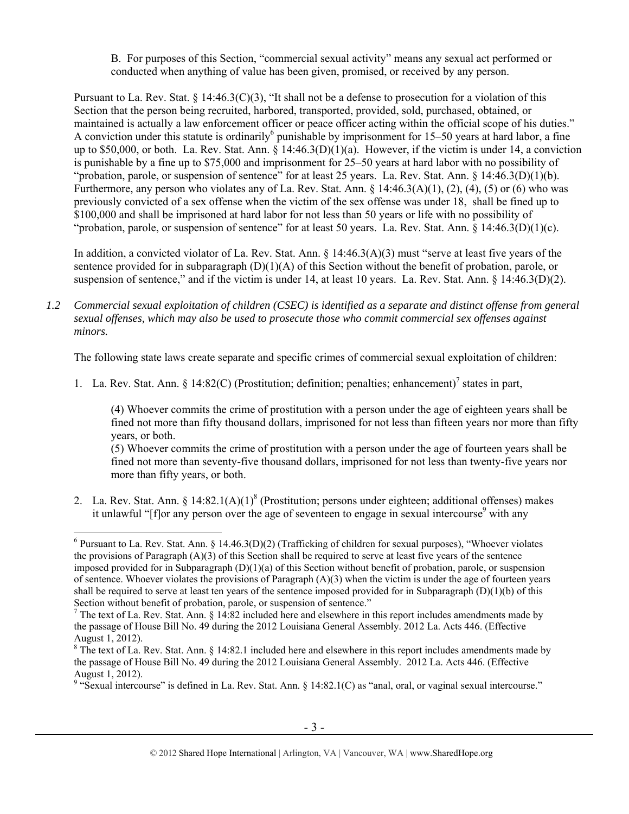B. For purposes of this Section, "commercial sexual activity" means any sexual act performed or conducted when anything of value has been given, promised, or received by any person.

Pursuant to La. Rev. Stat. § 14:46.3(C)(3), "It shall not be a defense to prosecution for a violation of this Section that the person being recruited, harbored, transported, provided, sold, purchased, obtained, or maintained is actually a law enforcement officer or peace officer acting within the official scope of his duties." A conviction under this statute is ordinarily<sup>6</sup> punishable by imprisonment for 15–50 years at hard labor, a fine up to \$50,000, or both. La. Rev. Stat. Ann.  $\S$  14:46.3(D)(1)(a). However, if the victim is under 14, a conviction is punishable by a fine up to \$75,000 and imprisonment for 25–50 years at hard labor with no possibility of "probation, parole, or suspension of sentence" for at least 25 years. La. Rev. Stat. Ann. § 14:46.3(D)(1)(b). Furthermore, any person who violates any of La. Rev. Stat. Ann. § 14:46.3(A)(1), (2), (4), (5) or (6) who was previously convicted of a sex offense when the victim of the sex offense was under 18, shall be fined up to \$100,000 and shall be imprisoned at hard labor for not less than 50 years or life with no possibility of "probation, parole, or suspension of sentence" for at least 50 years. La. Rev. Stat. Ann.  $\S 14:46.3(D)(1)(c)$ .

In addition, a convicted violator of La. Rev. Stat. Ann. § 14:46.3(A)(3) must "serve at least five years of the sentence provided for in subparagraph  $(D)(1)(A)$  of this Section without the benefit of probation, parole, or suspension of sentence," and if the victim is under 14, at least 10 years. La. Rev. Stat. Ann. § 14:46.3(D)(2).

*1.2 Commercial sexual exploitation of children (CSEC) is identified as a separate and distinct offense from general sexual offenses, which may also be used to prosecute those who commit commercial sex offenses against minors.*

The following state laws create separate and specific crimes of commercial sexual exploitation of children:

1. La. Rev. Stat. Ann. § 14:82(C) (Prostitution; definition; penalties; enhancement)<sup>7</sup> states in part,

(4) Whoever commits the crime of prostitution with a person under the age of eighteen years shall be fined not more than fifty thousand dollars, imprisoned for not less than fifteen years nor more than fifty years, or both.

(5) Whoever commits the crime of prostitution with a person under the age of fourteen years shall be fined not more than seventy-five thousand dollars, imprisoned for not less than twenty-five years nor more than fifty years, or both.

2. La. Rev. Stat. Ann. §  $14:82.1(A)(1)^8$  (Prostitution; persons under eighteen; additional offenses) makes it unlawful "[f]or any person over the age of seventeen to engage in sexual intercourse<sup>9</sup> with any

<sup>&</sup>lt;sup>6</sup> Pursuant to La. Rev. Stat. Ann. § 14.46.3(D)(2) (Trafficking of children for sexual purposes), "Whoever violates the provisions of Paragraph  $(A)(3)$  of this Section shall be required to serve at least five years of the sentence imposed provided for in Subparagraph  $(D)(1)(a)$  of this Section without benefit of probation, parole, or suspension of sentence. Whoever violates the provisions of Paragraph  $(A)(3)$  when the victim is under the age of fourteen years shall be required to serve at least ten years of the sentence imposed provided for in Subparagraph  $(D)(1)(b)$  of this Section without benefit of probation, parole, or suspension of sentence."

<sup>&</sup>lt;sup>7</sup> The text of La. Rev. Stat. Ann. § 14:82 included here and elsewhere in this report includes amendments made by the passage of House Bill No. 49 during the 2012 Louisiana General Assembly. 2012 La. Acts 446. (Effective August 1, 2012).

 $8$  The text of La. Rev. Stat. Ann. § 14:82.1 included here and elsewhere in this report includes amendments made by the passage of House Bill No. 49 during the 2012 Louisiana General Assembly. 2012 La. Acts 446. (Effective August 1, 2012).

<sup>&</sup>lt;sup>9</sup> "Sexual intercourse" is defined in La. Rev. Stat. Ann. § 14:82.1(C) as "anal, oral, or vaginal sexual intercourse."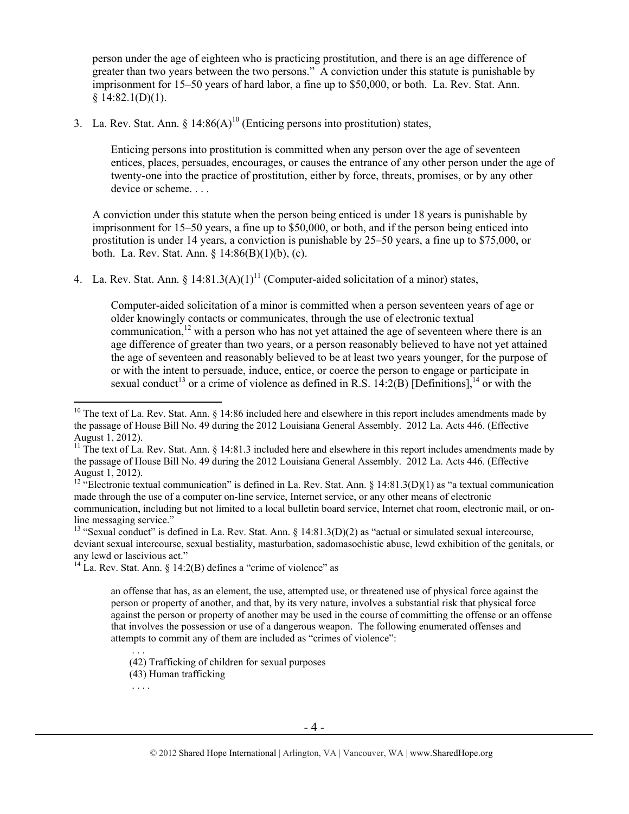person under the age of eighteen who is practicing prostitution, and there is an age difference of greater than two years between the two persons." A conviction under this statute is punishable by imprisonment for 15–50 years of hard labor, a fine up to \$50,000, or both. La. Rev. Stat. Ann. § 14:82.1(D)(1).

3. La. Rev. Stat. Ann.  $\S$  14:86(A)<sup>10</sup> (Enticing persons into prostitution) states,

Enticing persons into prostitution is committed when any person over the age of seventeen entices, places, persuades, encourages, or causes the entrance of any other person under the age of twenty-one into the practice of prostitution, either by force, threats, promises, or by any other device or scheme...

A conviction under this statute when the person being enticed is under 18 years is punishable by imprisonment for 15–50 years, a fine up to \$50,000, or both, and if the person being enticed into prostitution is under 14 years, a conviction is punishable by 25–50 years, a fine up to \$75,000, or both. La. Rev. Stat. Ann. § 14:86(B)(1)(b), (c).

4. La. Rev. Stat. Ann.  $\delta$  14:81.3(A)(1)<sup>11</sup> (Computer-aided solicitation of a minor) states,

Computer-aided solicitation of a minor is committed when a person seventeen years of age or older knowingly contacts or communicates, through the use of electronic textual communication, $12$  with a person who has not yet attained the age of seventeen where there is an age difference of greater than two years, or a person reasonably believed to have not yet attained the age of seventeen and reasonably believed to be at least two years younger, for the purpose of or with the intent to persuade, induce, entice, or coerce the person to engage or participate in sexual conduct<sup>13</sup> or a crime of violence as defined in R.S. 14:2(B) [Definitions],<sup>14</sup> or with the

<sup>13</sup> "Sexual conduct" is defined in La. Rev. Stat. Ann. § 14:81.3(D)(2) as "actual or simulated sexual intercourse, deviant sexual intercourse, sexual bestiality, masturbation, sadomasochistic abuse, lewd exhibition of the genitals, or any lewd or lascivious act."

 $^{14}$  La. Rev. Stat. Ann. § 14:2(B) defines a "crime of violence" as

an offense that has, as an element, the use, attempted use, or threatened use of physical force against the person or property of another, and that, by its very nature, involves a substantial risk that physical force against the person or property of another may be used in the course of committing the offense or an offense that involves the possession or use of a dangerous weapon. The following enumerated offenses and attempts to commit any of them are included as "crimes of violence":

(42) Trafficking of children for sexual purposes

(43) Human trafficking

. . . .

. . .

<sup>&</sup>lt;sup>10</sup> The text of La. Rev. Stat. Ann. § 14:86 included here and elsewhere in this report includes amendments made by the passage of House Bill No. 49 during the 2012 Louisiana General Assembly. 2012 La. Acts 446. (Effective August 1, 2012).

<sup>&</sup>lt;sup>11</sup> The text of La. Rev. Stat. Ann.  $\S$  14:81.3 included here and elsewhere in this report includes amendments made by the passage of House Bill No. 49 during the 2012 Louisiana General Assembly. 2012 La. Acts 446. (Effective August 1, 2012).

<sup>&</sup>lt;sup>12</sup> "Electronic textual communication" is defined in La. Rev. Stat. Ann. § 14:81.3(D)(1) as "a textual communication made through the use of a computer on-line service, Internet service, or any other means of electronic communication, including but not limited to a local bulletin board service, Internet chat room, electronic mail, or online messaging service."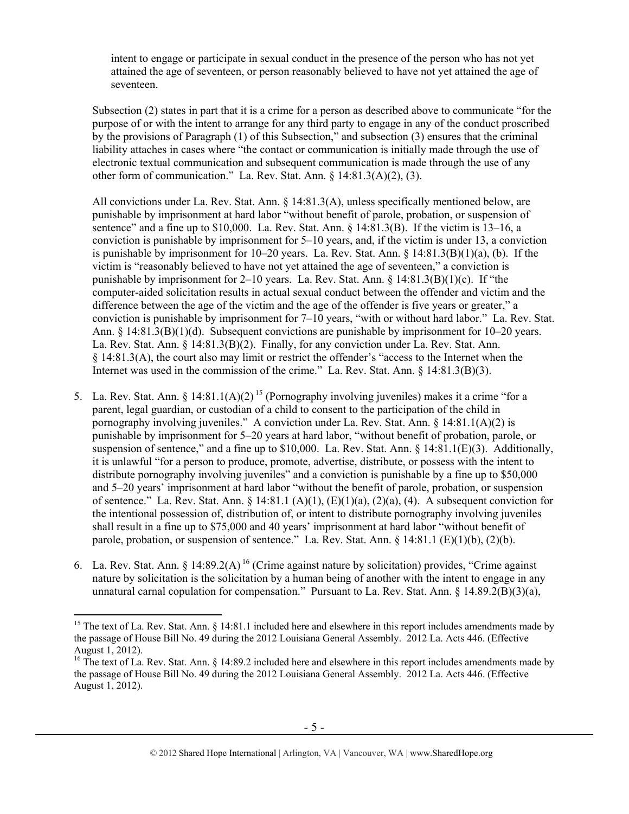intent to engage or participate in sexual conduct in the presence of the person who has not yet attained the age of seventeen, or person reasonably believed to have not yet attained the age of seventeen.

Subsection (2) states in part that it is a crime for a person as described above to communicate "for the purpose of or with the intent to arrange for any third party to engage in any of the conduct proscribed by the provisions of Paragraph (1) of this Subsection," and subsection (3) ensures that the criminal liability attaches in cases where "the contact or communication is initially made through the use of electronic textual communication and subsequent communication is made through the use of any other form of communication." La. Rev. Stat. Ann. § 14:81.3(A)(2), (3).

All convictions under La. Rev. Stat. Ann. § 14:81.3(A), unless specifically mentioned below, are punishable by imprisonment at hard labor "without benefit of parole, probation, or suspension of sentence" and a fine up to  $$10,000$ . La. Rev. Stat. Ann.  $$14:81.3(B)$ . If the victim is  $13-16$ , a conviction is punishable by imprisonment for 5–10 years, and, if the victim is under 13, a conviction is punishable by imprisonment for  $10-20$  years. La. Rev. Stat. Ann. §  $14:81.3(B)(1)(a)$ , (b). If the victim is "reasonably believed to have not yet attained the age of seventeen," a conviction is punishable by imprisonment for 2–10 years. La. Rev. Stat. Ann.  $\S 14:81.3(B)(1)(c)$ . If "the computer-aided solicitation results in actual sexual conduct between the offender and victim and the difference between the age of the victim and the age of the offender is five years or greater," a conviction is punishable by imprisonment for 7–10 years, "with or without hard labor." La. Rev. Stat. Ann. § 14:81.3(B)(1)(d). Subsequent convictions are punishable by imprisonment for 10–20 years. La. Rev. Stat. Ann. § 14:81.3(B)(2). Finally, for any conviction under La. Rev. Stat. Ann. § 14:81.3(A), the court also may limit or restrict the offender's "access to the Internet when the Internet was used in the commission of the crime." La. Rev. Stat. Ann. § 14:81.3(B)(3).

- 5. La. Rev. Stat. Ann. § 14:81.1(A)(2)<sup>15</sup> (Pornography involving juveniles) makes it a crime "for a parent, legal guardian, or custodian of a child to consent to the participation of the child in pornography involving juveniles." A conviction under La. Rev. Stat. Ann. § 14:81.1(A)(2) is punishable by imprisonment for 5–20 years at hard labor, "without benefit of probation, parole, or suspension of sentence," and a fine up to \$10,000. La. Rev. Stat. Ann. § 14:81.1(E)(3). Additionally, it is unlawful "for a person to produce, promote, advertise, distribute, or possess with the intent to distribute pornography involving juveniles" and a conviction is punishable by a fine up to \$50,000 and 5–20 years' imprisonment at hard labor "without the benefit of parole, probation, or suspension of sentence." La. Rev. Stat. Ann.  $\S 14:81.1 (A)(1)$ ,  $(E)(1)(a)$ ,  $(2)(a)$ ,  $(4)$ . A subsequent conviction for the intentional possession of, distribution of, or intent to distribute pornography involving juveniles shall result in a fine up to \$75,000 and 40 years' imprisonment at hard labor "without benefit of parole, probation, or suspension of sentence." La. Rev. Stat. Ann. § 14:81.1 (E)(1)(b), (2)(b).
- 6. La. Rev. Stat. Ann. § 14:89.2(A)<sup>16</sup> (Crime against nature by solicitation) provides, "Crime against" nature by solicitation is the solicitation by a human being of another with the intent to engage in any unnatural carnal copulation for compensation." Pursuant to La. Rev. Stat. Ann. § 14.89.2(B)(3)(a),

<sup>&</sup>lt;sup>15</sup> The text of La. Rev. Stat. Ann. § 14:81.1 included here and elsewhere in this report includes amendments made by the passage of House Bill No. 49 during the 2012 Louisiana General Assembly. 2012 La. Acts 446. (Effective August 1, 2012).

<sup>&</sup>lt;sup>16</sup> The text of La. Rev. Stat. Ann. § 14:89.2 included here and elsewhere in this report includes amendments made by the passage of House Bill No. 49 during the 2012 Louisiana General Assembly. 2012 La. Acts 446. (Effective August 1, 2012).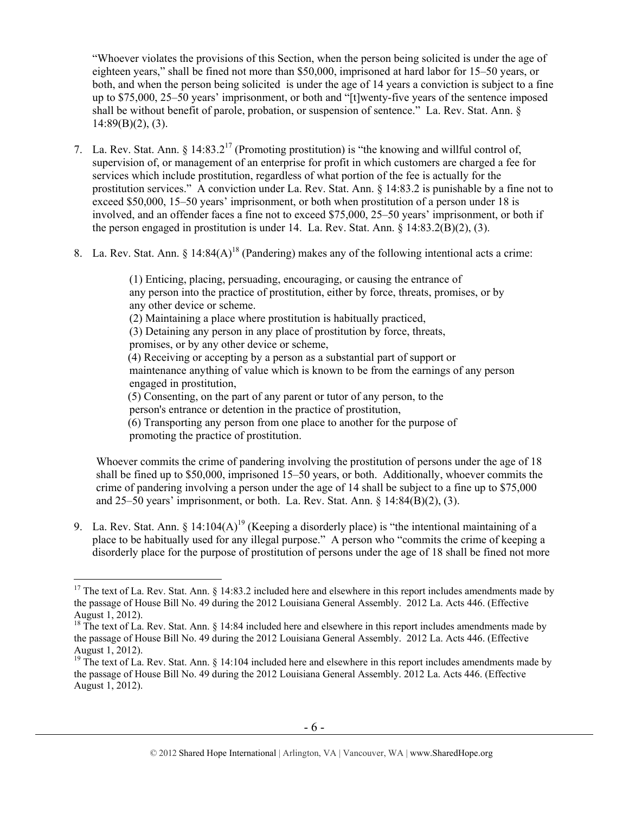"Whoever violates the provisions of this Section, when the person being solicited is under the age of eighteen years," shall be fined not more than \$50,000, imprisoned at hard labor for 15–50 years, or both, and when the person being solicited is under the age of 14 years a conviction is subject to a fine up to \$75,000, 25–50 years' imprisonment, or both and "[t]wenty-five years of the sentence imposed shall be without benefit of parole, probation, or suspension of sentence." La. Rev. Stat. Ann. §  $14:89(B)(2)$ , (3).

- 7. La. Rev. Stat. Ann.  $\delta$  14:83.2<sup>17</sup> (Promoting prostitution) is "the knowing and willful control of, supervision of, or management of an enterprise for profit in which customers are charged a fee for services which include prostitution, regardless of what portion of the fee is actually for the prostitution services." A conviction under La. Rev. Stat. Ann. § 14:83.2 is punishable by a fine not to exceed \$50,000, 15–50 years' imprisonment, or both when prostitution of a person under 18 is involved, and an offender faces a fine not to exceed \$75,000, 25–50 years' imprisonment, or both if the person engaged in prostitution is under 14. La. Rev. Stat. Ann. § 14:83.2(B)(2), (3).
- 8. La. Rev. Stat. Ann. §  $14:84(A)^{18}$  (Pandering) makes any of the following intentional acts a crime:

(1) Enticing, placing, persuading, encouraging, or causing the entrance of any person into the practice of prostitution, either by force, threats, promises, or by any other device or scheme. (2) Maintaining a place where prostitution is habitually practiced, (3) Detaining any person in any place of prostitution by force, threats, promises, or by any other device or scheme, (4) Receiving or accepting by a person as a substantial part of support or maintenance anything of value which is known to be from the earnings of any person engaged in prostitution, (5) Consenting, on the part of any parent or tutor of any person, to the person's entrance or detention in the practice of prostitution, (6) Transporting any person from one place to another for the purpose of promoting the practice of prostitution.

Whoever commits the crime of pandering involving the prostitution of persons under the age of 18 shall be fined up to \$50,000, imprisoned 15–50 years, or both. Additionally, whoever commits the crime of pandering involving a person under the age of 14 shall be subject to a fine up to \$75,000 and 25–50 years' imprisonment, or both. La. Rev. Stat. Ann.  $\S$  14:84(B)(2), (3).

9. La. Rev. Stat. Ann.  $\S$  14:104(A)<sup>19</sup> (Keeping a disorderly place) is "the intentional maintaining of a place to be habitually used for any illegal purpose." A person who "commits the crime of keeping a disorderly place for the purpose of prostitution of persons under the age of 18 shall be fined not more

 $17$  The text of La. Rev. Stat. Ann. § 14:83.2 included here and elsewhere in this report includes amendments made by the passage of House Bill No. 49 during the 2012 Louisiana General Assembly. 2012 La. Acts 446. (Effective August 1, 2012).

 $18$  The text of La. Rev. Stat. Ann. § 14:84 included here and elsewhere in this report includes amendments made by the passage of House Bill No. 49 during the 2012 Louisiana General Assembly. 2012 La. Acts 446. (Effective August 1, 2012).

<sup>&</sup>lt;sup>19</sup> The text of La. Rev. Stat. Ann.  $\S$  14:104 included here and elsewhere in this report includes amendments made by the passage of House Bill No. 49 during the 2012 Louisiana General Assembly. 2012 La. Acts 446. (Effective August 1, 2012).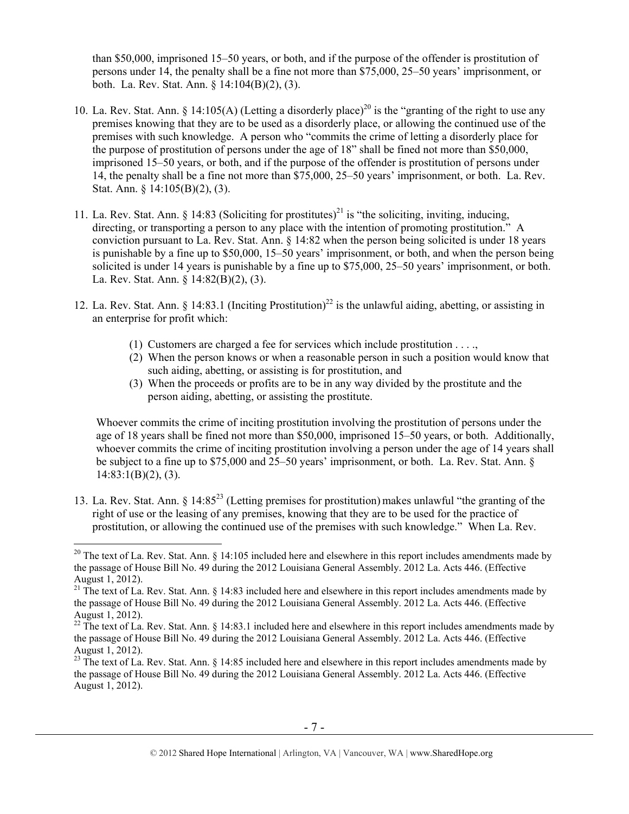than \$50,000, imprisoned 15–50 years, or both, and if the purpose of the offender is prostitution of persons under 14, the penalty shall be a fine not more than \$75,000, 25–50 years' imprisonment, or both. La. Rev. Stat. Ann. § 14:104(B)(2), (3).

- 10. La. Rev. Stat. Ann. § 14:105(A) (Letting a disorderly place)<sup>20</sup> is the "granting of the right to use any premises knowing that they are to be used as a disorderly place, or allowing the continued use of the premises with such knowledge. A person who "commits the crime of letting a disorderly place for the purpose of prostitution of persons under the age of 18" shall be fined not more than \$50,000, imprisoned 15–50 years, or both, and if the purpose of the offender is prostitution of persons under 14, the penalty shall be a fine not more than \$75,000, 25–50 years' imprisonment, or both. La. Rev. Stat. Ann. § 14:105(B)(2), (3).
- 11. La. Rev. Stat. Ann. § 14:83 (Soliciting for prostitutes)<sup>21</sup> is "the soliciting, inviting, inducing, directing, or transporting a person to any place with the intention of promoting prostitution." A conviction pursuant to La. Rev. Stat. Ann. § 14:82 when the person being solicited is under 18 years is punishable by a fine up to \$50,000, 15–50 years' imprisonment, or both, and when the person being solicited is under 14 years is punishable by a fine up to \$75,000, 25–50 years' imprisonment, or both. La. Rev. Stat. Ann. § 14:82(B)(2), (3).
- 12. La. Rev. Stat. Ann. § 14:83.1 (Inciting Prostitution)<sup>22</sup> is the unlawful aiding, abetting, or assisting in an enterprise for profit which:
	- (1) Customers are charged a fee for services which include prostitution . . . .,
	- (2) When the person knows or when a reasonable person in such a position would know that such aiding, abetting, or assisting is for prostitution, and
	- (3) When the proceeds or profits are to be in any way divided by the prostitute and the person aiding, abetting, or assisting the prostitute.

Whoever commits the crime of inciting prostitution involving the prostitution of persons under the age of 18 years shall be fined not more than \$50,000, imprisoned 15–50 years, or both. Additionally, whoever commits the crime of inciting prostitution involving a person under the age of 14 years shall be subject to a fine up to \$75,000 and 25–50 years' imprisonment, or both. La. Rev. Stat. Ann. §  $14:83:1(B)(2)$ , (3).

13. La. Rev. Stat. Ann. § 14:85<sup>23</sup> (Letting premises for prostitution) makes unlawful "the granting of the right of use or the leasing of any premises, knowing that they are to be used for the practice of prostitution, or allowing the continued use of the premises with such knowledge." When La. Rev.

<sup>&</sup>lt;sup>20</sup> The text of La. Rev. Stat. Ann. § 14:105 included here and elsewhere in this report includes amendments made by the passage of House Bill No. 49 during the 2012 Louisiana General Assembly. 2012 La. Acts 446. (Effective August 1, 2012).

<sup>&</sup>lt;sup>21</sup> The text of La. Rev. Stat. Ann. § 14:83 included here and elsewhere in this report includes amendments made by the passage of House Bill No. 49 during the 2012 Louisiana General Assembly. 2012 La. Acts 446. (Effective August 1, 2012).

 $^{22}$  The text of La. Rev. Stat. Ann. § 14:83.1 included here and elsewhere in this report includes amendments made by the passage of House Bill No. 49 during the 2012 Louisiana General Assembly. 2012 La. Acts 446. (Effective August 1, 2012).

 $^{23}$  The text of La. Rev. Stat. Ann. § 14:85 included here and elsewhere in this report includes amendments made by the passage of House Bill No. 49 during the 2012 Louisiana General Assembly. 2012 La. Acts 446. (Effective August 1, 2012).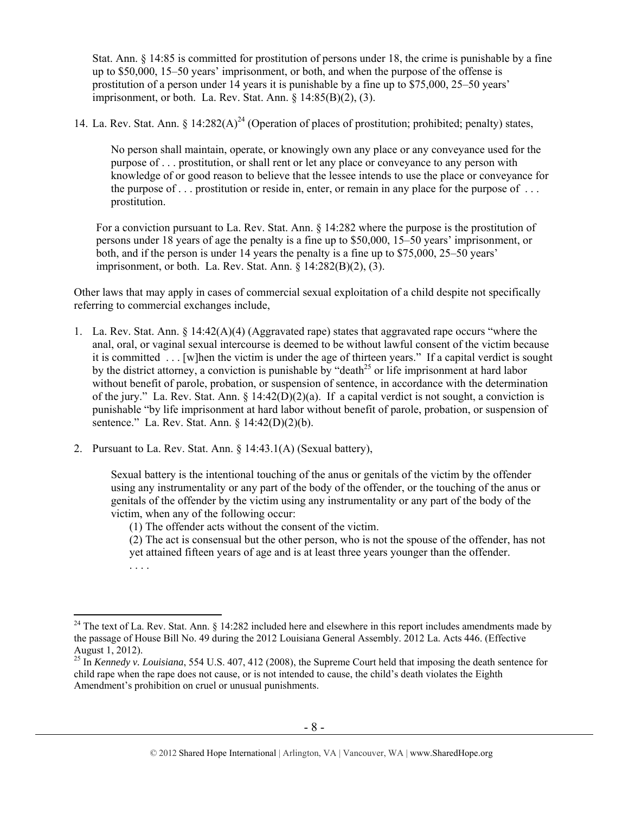Stat. Ann. § 14:85 is committed for prostitution of persons under 18, the crime is punishable by a fine up to \$50,000, 15–50 years' imprisonment, or both, and when the purpose of the offense is prostitution of a person under 14 years it is punishable by a fine up to \$75,000, 25–50 years' imprisonment, or both. La. Rev. Stat. Ann. § 14:85(B)(2), (3).

14. La. Rev. Stat. Ann. § 14:282(A)<sup>24</sup> (Operation of places of prostitution; prohibited; penalty) states,

No person shall maintain, operate, or knowingly own any place or any conveyance used for the purpose of . . . prostitution, or shall rent or let any place or conveyance to any person with knowledge of or good reason to believe that the lessee intends to use the place or conveyance for the purpose of  $\ldots$  prostitution or reside in, enter, or remain in any place for the purpose of  $\ldots$ prostitution.

For a conviction pursuant to La. Rev. Stat. Ann. § 14:282 where the purpose is the prostitution of persons under 18 years of age the penalty is a fine up to \$50,000, 15–50 years' imprisonment, or both, and if the person is under 14 years the penalty is a fine up to \$75,000, 25–50 years' imprisonment, or both. La. Rev. Stat. Ann. § 14:282(B)(2), (3).

Other laws that may apply in cases of commercial sexual exploitation of a child despite not specifically referring to commercial exchanges include,

- 1. La. Rev. Stat. Ann. § 14:42(A)(4) (Aggravated rape) states that aggravated rape occurs "where the anal, oral, or vaginal sexual intercourse is deemed to be without lawful consent of the victim because it is committed . . . [w]hen the victim is under the age of thirteen years." If a capital verdict is sought by the district attorney, a conviction is punishable by "death<sup>25</sup> or life imprisonment at hard labor without benefit of parole, probation, or suspension of sentence, in accordance with the determination of the jury." La. Rev. Stat. Ann.  $\S 14:42(D)(2)(a)$ . If a capital verdict is not sought, a conviction is punishable "by life imprisonment at hard labor without benefit of parole, probation, or suspension of sentence." La. Rev. Stat. Ann. § 14:42(D)(2)(b).
- 2. Pursuant to La. Rev. Stat. Ann. § 14:43.1(A) (Sexual battery),

Sexual battery is the intentional touching of the anus or genitals of the victim by the offender using any instrumentality or any part of the body of the offender, or the touching of the anus or genitals of the offender by the victim using any instrumentality or any part of the body of the victim, when any of the following occur:

(1) The offender acts without the consent of the victim.

(2) The act is consensual but the other person, who is not the spouse of the offender, has not yet attained fifteen years of age and is at least three years younger than the offender. . . . .

 $\overline{a}$ <sup>24</sup> The text of La. Rev. Stat. Ann.  $\S$  14:282 included here and elsewhere in this report includes amendments made by the passage of House Bill No. 49 during the 2012 Louisiana General Assembly. 2012 La. Acts 446. (Effective August 1, 2012).

<sup>25</sup> In *Kennedy v. Louisiana*, 554 U.S. 407, 412 (2008), the Supreme Court held that imposing the death sentence for child rape when the rape does not cause, or is not intended to cause, the child's death violates the Eighth Amendment's prohibition on cruel or unusual punishments.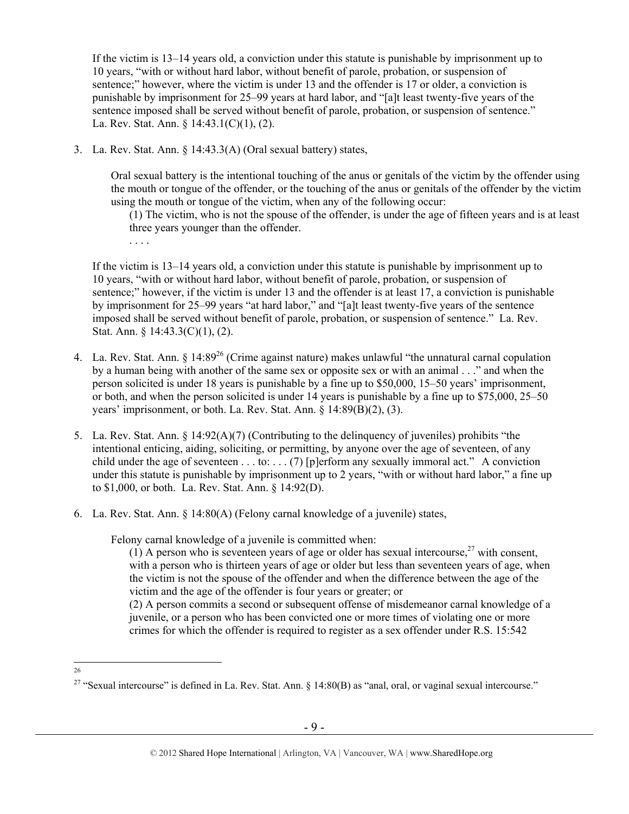If the victim is 13–14 years old, a conviction under this statute is punishable by imprisonment up to 10 years, "with or without hard labor, without benefit of parole, probation, or suspension of sentence;" however, where the victim is under 13 and the offender is 17 or older, a conviction is punishable by imprisonment for 25–99 years at hard labor, and "[a]t least twenty-five years of the sentence imposed shall be served without benefit of parole, probation, or suspension of sentence." La. Rev. Stat. Ann. § 14:43.1(C)(1), (2).

3. La. Rev. Stat. Ann. § 14:43.3(A) (Oral sexual battery) states,

Oral sexual battery is the intentional touching of the anus or genitals of the victim by the offender using the mouth or tongue of the offender, or the touching of the anus or genitals of the offender by the victim using the mouth or tongue of the victim, when any of the following occur:

(1) The victim, who is not the spouse of the offender, is under the age of fifteen years and is at least three years younger than the offender.

. . . .

If the victim is 13–14 years old, a conviction under this statute is punishable by imprisonment up to 10 years, "with or without hard labor, without benefit of parole, probation, or suspension of sentence;" however, if the victim is under 13 and the offender is at least 17, a conviction is punishable by imprisonment for 25–99 years "at hard labor," and "[a]t least twenty-five years of the sentence imposed shall be served without benefit of parole, probation, or suspension of sentence." La. Rev. Stat. Ann. § 14:43.3(C)(1), (2).

- 4. La. Rev. Stat. Ann. § 14:89<sup>26</sup> (Crime against nature) makes unlawful "the unnatural carnal copulation by a human being with another of the same sex or opposite sex or with an animal . . ." and when the person solicited is under 18 years is punishable by a fine up to \$50,000, 15–50 years' imprisonment, or both, and when the person solicited is under 14 years is punishable by a fine up to \$75,000, 25–50 years' imprisonment, or both. La. Rev. Stat. Ann. § 14:89(B)(2), (3).
- 5. La. Rev. Stat. Ann. § 14:92(A)(7) (Contributing to the delinquency of juveniles) prohibits "the intentional enticing, aiding, soliciting, or permitting, by anyone over the age of seventeen, of any child under the age of seventeen . . . to: . . . (7) [p]erform any sexually immoral act." A conviction under this statute is punishable by imprisonment up to 2 years, "with or without hard labor," a fine up to \$1,000, or both. La. Rev. Stat. Ann. § 14:92(D).
- 6. La. Rev. Stat. Ann. § 14:80(A) (Felony carnal knowledge of a juvenile) states,

Felony carnal knowledge of a juvenile is committed when:

(1) A person who is seventeen years of age or older has sexual intercourse,  $27$  with consent, with a person who is thirteen years of age or older but less than seventeen years of age, when the victim is not the spouse of the offender and when the difference between the age of the victim and the age of the offender is four years or greater; or

(2) A person commits a second or subsequent offense of misdemeanor carnal knowledge of a juvenile, or a person who has been convicted one or more times of violating one or more crimes for which the offender is required to register as a sex offender under R.S. 15:542

26

<sup>&</sup>lt;sup>27</sup> "Sexual intercourse" is defined in La. Rev. Stat. Ann. § 14:80(B) as "anal, oral, or vaginal sexual intercourse."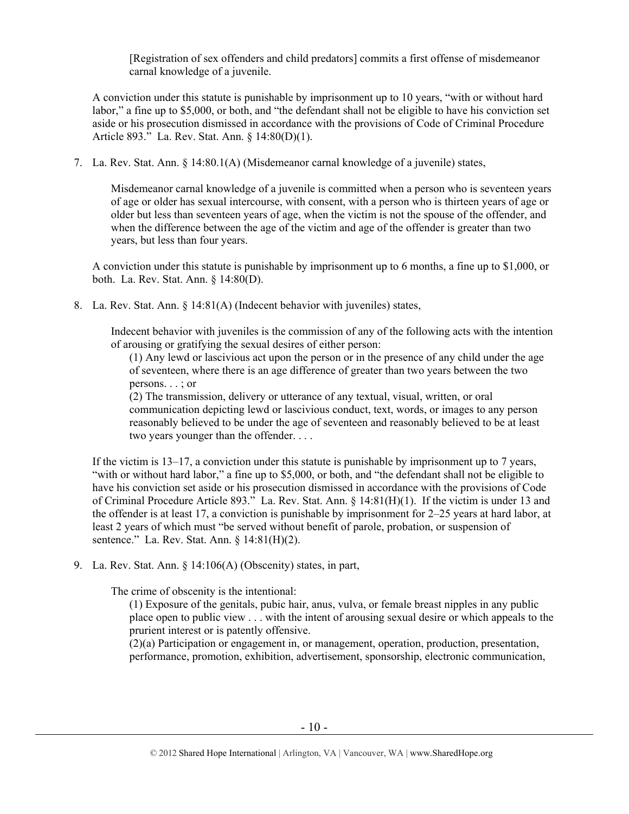[Registration of sex offenders and child predators] commits a first offense of misdemeanor carnal knowledge of a juvenile.

A conviction under this statute is punishable by imprisonment up to 10 years, "with or without hard labor," a fine up to \$5,000, or both, and "the defendant shall not be eligible to have his conviction set aside or his prosecution dismissed in accordance with the provisions of Code of Criminal Procedure Article 893." La. Rev. Stat. Ann. § 14:80(D)(1).

7. La. Rev. Stat. Ann. § 14:80.1(A) (Misdemeanor carnal knowledge of a juvenile) states,

Misdemeanor carnal knowledge of a juvenile is committed when a person who is seventeen years of age or older has sexual intercourse, with consent, with a person who is thirteen years of age or older but less than seventeen years of age, when the victim is not the spouse of the offender, and when the difference between the age of the victim and age of the offender is greater than two years, but less than four years.

A conviction under this statute is punishable by imprisonment up to 6 months, a fine up to \$1,000, or both. La. Rev. Stat. Ann. § 14:80(D).

8. La. Rev. Stat. Ann. § 14:81(A) (Indecent behavior with juveniles) states,

Indecent behavior with juveniles is the commission of any of the following acts with the intention of arousing or gratifying the sexual desires of either person:

(1) Any lewd or lascivious act upon the person or in the presence of any child under the age of seventeen, where there is an age difference of greater than two years between the two persons. . . ; or

(2) The transmission, delivery or utterance of any textual, visual, written, or oral communication depicting lewd or lascivious conduct, text, words, or images to any person reasonably believed to be under the age of seventeen and reasonably believed to be at least two years younger than the offender. . . .

If the victim is 13–17, a conviction under this statute is punishable by imprisonment up to 7 years, "with or without hard labor," a fine up to \$5,000, or both, and "the defendant shall not be eligible to have his conviction set aside or his prosecution dismissed in accordance with the provisions of Code of Criminal Procedure Article 893." La. Rev. Stat. Ann. § 14:81(H)(1). If the victim is under 13 and the offender is at least 17, a conviction is punishable by imprisonment for 2–25 years at hard labor, at least 2 years of which must "be served without benefit of parole, probation, or suspension of sentence." La. Rev. Stat. Ann. § 14:81(H)(2).

9. La. Rev. Stat. Ann. § 14:106(A) (Obscenity) states, in part,

The crime of obscenity is the intentional:

(1) Exposure of the genitals, pubic hair, anus, vulva, or female breast nipples in any public place open to public view . . . with the intent of arousing sexual desire or which appeals to the prurient interest or is patently offensive.

(2)(a) Participation or engagement in, or management, operation, production, presentation, performance, promotion, exhibition, advertisement, sponsorship, electronic communication,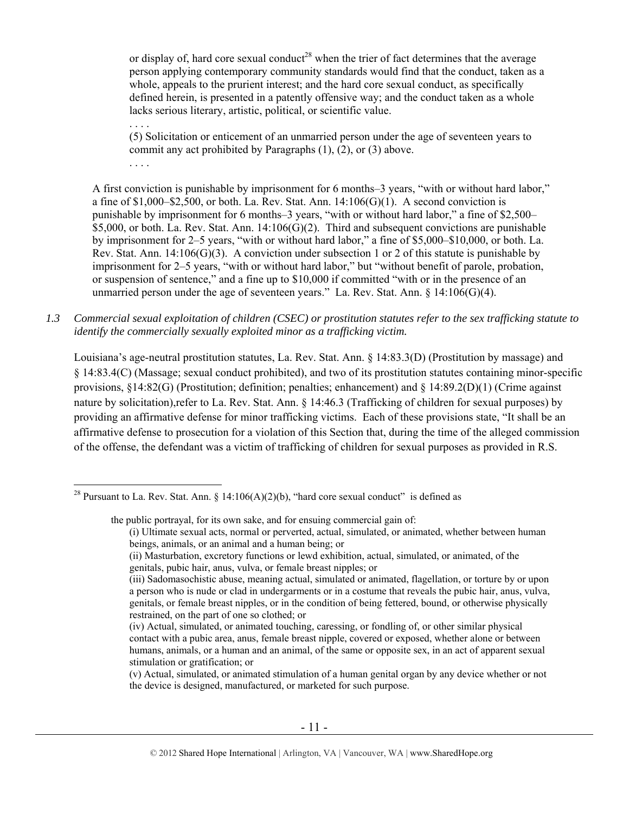or display of, hard core sexual conduct<sup>28</sup> when the trier of fact determines that the average person applying contemporary community standards would find that the conduct, taken as a whole, appeals to the prurient interest; and the hard core sexual conduct, as specifically defined herein, is presented in a patently offensive way; and the conduct taken as a whole lacks serious literary, artistic, political, or scientific value.

(5) Solicitation or enticement of an unmarried person under the age of seventeen years to commit any act prohibited by Paragraphs (1), (2), or (3) above. . . . .

. . . .

 $\overline{a}$ 

A first conviction is punishable by imprisonment for 6 months–3 years, "with or without hard labor," a fine of  $$1,000–$2,500$ , or both. La. Rev. Stat. Ann.  $14:106(G)(1)$ . A second conviction is punishable by imprisonment for 6 months–3 years, "with or without hard labor," a fine of \$2,500–  $$5,000$ , or both. La. Rev. Stat. Ann. 14:106(G)(2). Third and subsequent convictions are punishable by imprisonment for 2–5 years, "with or without hard labor," a fine of \$5,000–\$10,000, or both. La. Rev. Stat. Ann.  $14:106(G)(3)$ . A conviction under subsection 1 or 2 of this statute is punishable by imprisonment for 2–5 years, "with or without hard labor," but "without benefit of parole, probation, or suspension of sentence," and a fine up to \$10,000 if committed "with or in the presence of an unmarried person under the age of seventeen years." La. Rev. Stat. Ann.  $\S$  14:106(G)(4).

*1.3 Commercial sexual exploitation of children (CSEC) or prostitution statutes refer to the sex trafficking statute to identify the commercially sexually exploited minor as a trafficking victim.* 

Louisiana's age-neutral prostitution statutes, La. Rev. Stat. Ann. § 14:83.3(D) (Prostitution by massage) and § 14:83.4(C) (Massage; sexual conduct prohibited), and two of its prostitution statutes containing minor-specific provisions,  $\S 14:82(G)$  (Prostitution; definition; penalties; enhancement) and  $\S 14:89.2(D)(1)$  (Crime against nature by solicitation),refer to La. Rev. Stat. Ann. § 14:46.3 (Trafficking of children for sexual purposes) by providing an affirmative defense for minor trafficking victims. Each of these provisions state, "It shall be an affirmative defense to prosecution for a violation of this Section that, during the time of the alleged commission of the offense, the defendant was a victim of trafficking of children for sexual purposes as provided in R.S.

the public portrayal, for its own sake, and for ensuing commercial gain of:

<sup>&</sup>lt;sup>28</sup> Pursuant to La. Rev. Stat. Ann. § 14:106(A)(2)(b), "hard core sexual conduct" is defined as

<sup>(</sup>i) Ultimate sexual acts, normal or perverted, actual, simulated, or animated, whether between human beings, animals, or an animal and a human being; or

<sup>(</sup>ii) Masturbation, excretory functions or lewd exhibition, actual, simulated, or animated, of the genitals, pubic hair, anus, vulva, or female breast nipples; or

<sup>(</sup>iii) Sadomasochistic abuse, meaning actual, simulated or animated, flagellation, or torture by or upon a person who is nude or clad in undergarments or in a costume that reveals the pubic hair, anus, vulva, genitals, or female breast nipples, or in the condition of being fettered, bound, or otherwise physically restrained, on the part of one so clothed; or

<sup>(</sup>iv) Actual, simulated, or animated touching, caressing, or fondling of, or other similar physical contact with a pubic area, anus, female breast nipple, covered or exposed, whether alone or between humans, animals, or a human and an animal, of the same or opposite sex, in an act of apparent sexual stimulation or gratification; or

<sup>(</sup>v) Actual, simulated, or animated stimulation of a human genital organ by any device whether or not the device is designed, manufactured, or marketed for such purpose.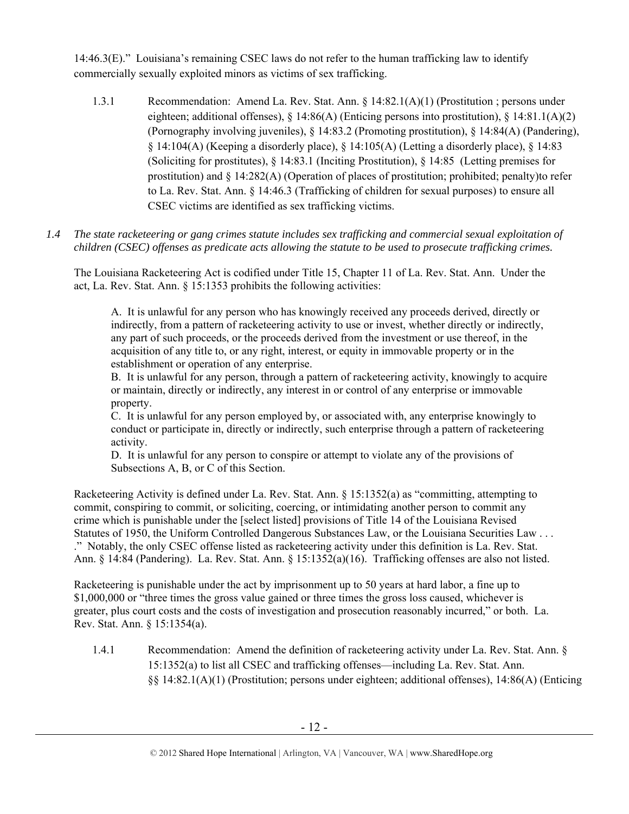14:46.3(E)." Louisiana's remaining CSEC laws do not refer to the human trafficking law to identify commercially sexually exploited minors as victims of sex trafficking.

- 1.3.1 Recommendation: Amend La. Rev. Stat. Ann. § 14:82.1(A)(1) (Prostitution ; persons under eighteen; additional offenses),  $\S 14:86(A)$  (Enticing persons into prostitution),  $\S 14:81.1(A)(2)$ (Pornography involving juveniles), § 14:83.2 (Promoting prostitution), § 14:84(A) (Pandering), § 14:104(A) (Keeping a disorderly place), § 14:105(A) (Letting a disorderly place), § 14:83 (Soliciting for prostitutes), § 14:83.1 (Inciting Prostitution), § 14:85 (Letting premises for prostitution) and  $\S 14:282(A)$  (Operation of places of prostitution; prohibited; penalty)to refer to La. Rev. Stat. Ann. § 14:46.3 (Trafficking of children for sexual purposes) to ensure all CSEC victims are identified as sex trafficking victims.
- *1.4 The state racketeering or gang crimes statute includes sex trafficking and commercial sexual exploitation of children (CSEC) offenses as predicate acts allowing the statute to be used to prosecute trafficking crimes.*

The Louisiana Racketeering Act is codified under Title 15, Chapter 11 of La. Rev. Stat. Ann. Under the act, La. Rev. Stat. Ann. § 15:1353 prohibits the following activities:

A. It is unlawful for any person who has knowingly received any proceeds derived, directly or indirectly, from a pattern of racketeering activity to use or invest, whether directly or indirectly, any part of such proceeds, or the proceeds derived from the investment or use thereof, in the acquisition of any title to, or any right, interest, or equity in immovable property or in the establishment or operation of any enterprise.

B. It is unlawful for any person, through a pattern of racketeering activity, knowingly to acquire or maintain, directly or indirectly, any interest in or control of any enterprise or immovable property.

C. It is unlawful for any person employed by, or associated with, any enterprise knowingly to conduct or participate in, directly or indirectly, such enterprise through a pattern of racketeering activity.

D. It is unlawful for any person to conspire or attempt to violate any of the provisions of Subsections A, B, or C of this Section.

Racketeering Activity is defined under La. Rev. Stat. Ann. § 15:1352(a) as "committing, attempting to commit, conspiring to commit, or soliciting, coercing, or intimidating another person to commit any crime which is punishable under the [select listed] provisions of Title 14 of the Louisiana Revised Statutes of 1950, the Uniform Controlled Dangerous Substances Law, or the Louisiana Securities Law . . . ." Notably, the only CSEC offense listed as racketeering activity under this definition is La. Rev. Stat. Ann. § 14:84 (Pandering). La. Rev. Stat. Ann. § 15:1352(a)(16). Trafficking offenses are also not listed.

Racketeering is punishable under the act by imprisonment up to 50 years at hard labor, a fine up to \$1,000,000 or "three times the gross value gained or three times the gross loss caused, whichever is greater, plus court costs and the costs of investigation and prosecution reasonably incurred," or both. La. Rev. Stat. Ann. § 15:1354(a).

1.4.1 Recommendation: Amend the definition of racketeering activity under La. Rev. Stat. Ann. § 15:1352(a) to list all CSEC and trafficking offenses—including La. Rev. Stat. Ann. §§ 14:82.1(A)(1) (Prostitution; persons under eighteen; additional offenses), 14:86(A) (Enticing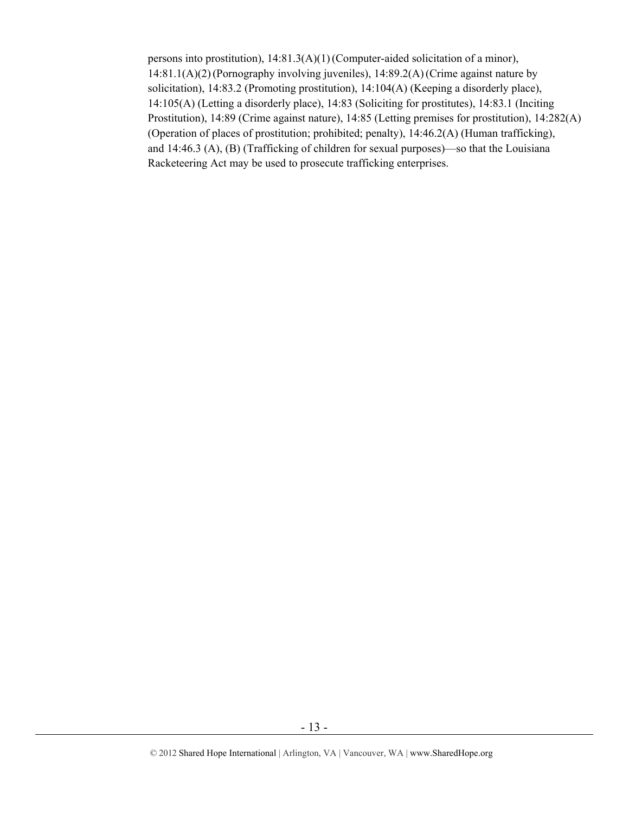persons into prostitution), 14:81.3(A)(1)(Computer-aided solicitation of a minor), 14:81.1(A)(2)(Pornography involving juveniles), 14:89.2(A)(Crime against nature by solicitation), 14:83.2 (Promoting prostitution), 14:104(A) (Keeping a disorderly place), 14:105(A) (Letting a disorderly place), 14:83 (Soliciting for prostitutes), 14:83.1 (Inciting Prostitution), 14:89 (Crime against nature), 14:85 (Letting premises for prostitution), 14:282(A) (Operation of places of prostitution; prohibited; penalty), 14:46.2(A) (Human trafficking), and 14:46.3 (A), (B) (Trafficking of children for sexual purposes)—so that the Louisiana Racketeering Act may be used to prosecute trafficking enterprises.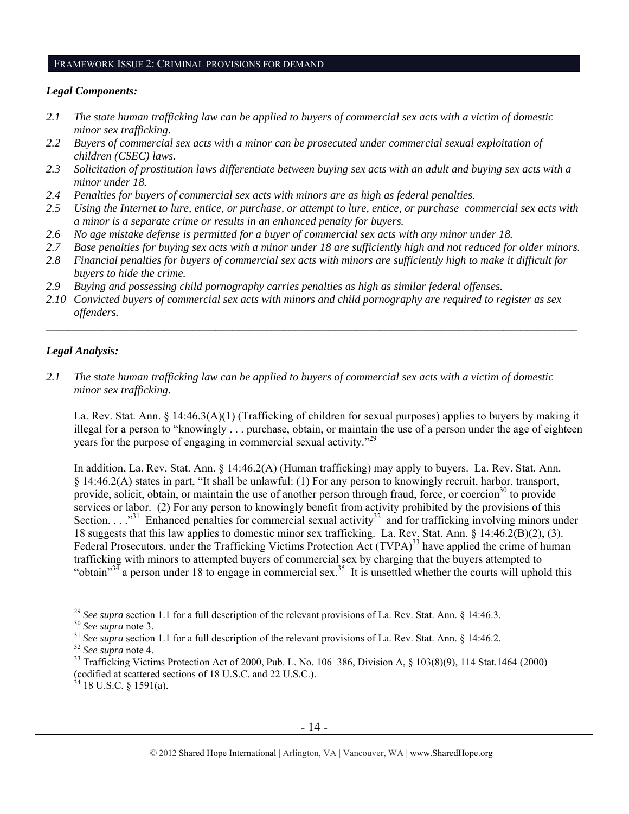#### FRAMEWORK ISSUE 2: CRIMINAL PROVISIONS FOR DEMAND

#### *Legal Components:*

- *2.1 The state human trafficking law can be applied to buyers of commercial sex acts with a victim of domestic minor sex trafficking.*
- *2.2 Buyers of commercial sex acts with a minor can be prosecuted under commercial sexual exploitation of children (CSEC) laws.*
- *2.3 Solicitation of prostitution laws differentiate between buying sex acts with an adult and buying sex acts with a minor under 18.*
- *2.4 Penalties for buyers of commercial sex acts with minors are as high as federal penalties.*
- *2.5 Using the Internet to lure, entice, or purchase, or attempt to lure, entice, or purchase commercial sex acts with a minor is a separate crime or results in an enhanced penalty for buyers.*
- *2.6 No age mistake defense is permitted for a buyer of commercial sex acts with any minor under 18.*
- *2.7 Base penalties for buying sex acts with a minor under 18 are sufficiently high and not reduced for older minors.*
- *2.8 Financial penalties for buyers of commercial sex acts with minors are sufficiently high to make it difficult for buyers to hide the crime.*
- *2.9 Buying and possessing child pornography carries penalties as high as similar federal offenses.*
- *2.10 Convicted buyers of commercial sex acts with minors and child pornography are required to register as sex offenders.*

## *Legal Analysis:*

*2.1 The state human trafficking law can be applied to buyers of commercial sex acts with a victim of domestic minor sex trafficking.*

La. Rev. Stat. Ann. § 14:46.3(A)(1) (Trafficking of children for sexual purposes) applies to buyers by making it illegal for a person to "knowingly . . . purchase, obtain, or maintain the use of a person under the age of eighteen years for the purpose of engaging in commercial sexual activity."29

In addition, La. Rev. Stat. Ann. § 14:46.2(A) (Human trafficking) may apply to buyers. La. Rev. Stat. Ann. § 14:46.2(A) states in part, "It shall be unlawful: (1) For any person to knowingly recruit, harbor, transport, provide, solicit, obtain, or maintain the use of another person through fraud, force, or coercion<sup>30</sup> to provide services or labor. (2) For any person to knowingly benefit from activity prohibited by the provisions of this Section.  $\ldots$ <sup>31</sup> Enhanced penalties for commercial sexual activity<sup>32</sup> and for trafficking involving minors under 18 suggests that this law applies to domestic minor sex trafficking. La. Rev. Stat. Ann. § 14:46.2(B)(2), (3). Federal Prosecutors, under the Trafficking Victims Protection Act (TVPA)<sup>33</sup> have applied the crime of human trafficking with minors to attempted buyers of commercial sex by charging that the buyers attempted to "obtain"<sup>34</sup> a person under 18 to engage in commercial sex.<sup>35</sup> It is unsettled whether the courts will uphold this

<sup>&</sup>lt;sup>29</sup> See supra section 1.1 for a full description of the relevant provisions of La. Rev. Stat. Ann. § 14:46.3.<br><sup>30</sup> See supra note 3.<br><sup>31</sup> See supra section 1.1 for a full description of the relevant provisions of La. Rev (codified at scattered sections of 18 U.S.C. and 22 U.S.C.).  $^{34}$  18 U.S.C. § 1591(a).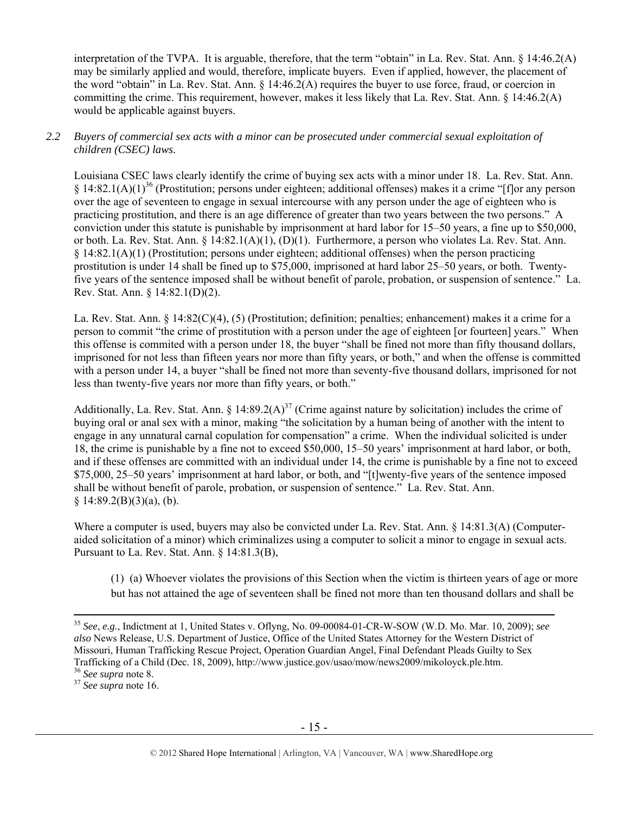interpretation of the TVPA. It is arguable, therefore, that the term "obtain" in La. Rev. Stat. Ann. § 14:46.2(A) may be similarly applied and would, therefore, implicate buyers. Even if applied, however, the placement of the word "obtain" in La. Rev. Stat. Ann. § 14:46.2(A) requires the buyer to use force, fraud, or coercion in committing the crime. This requirement, however, makes it less likely that La. Rev. Stat. Ann. § 14:46.2(A) would be applicable against buyers.

# *2.2 Buyers of commercial sex acts with a minor can be prosecuted under commercial sexual exploitation of children (CSEC) laws.*

Louisiana CSEC laws clearly identify the crime of buying sex acts with a minor under 18. La. Rev. Stat. Ann.  $§$  14:82.1(A)(1)<sup>36</sup> (Prostitution; persons under eighteen; additional offenses) makes it a crime "[f]or any person over the age of seventeen to engage in sexual intercourse with any person under the age of eighteen who is practicing prostitution, and there is an age difference of greater than two years between the two persons." A conviction under this statute is punishable by imprisonment at hard labor for 15–50 years, a fine up to \$50,000, or both. La. Rev. Stat. Ann. § 14:82.1(A)(1), (D)(1). Furthermore, a person who violates La. Rev. Stat. Ann. § 14:82.1(A)(1) (Prostitution; persons under eighteen; additional offenses) when the person practicing prostitution is under 14 shall be fined up to \$75,000, imprisoned at hard labor 25–50 years, or both. Twentyfive years of the sentence imposed shall be without benefit of parole, probation, or suspension of sentence." La. Rev. Stat. Ann. § 14:82.1(D)(2).

La. Rev. Stat. Ann. § 14:82(C)(4), (5) (Prostitution; definition; penalties; enhancement) makes it a crime for a person to commit "the crime of prostitution with a person under the age of eighteen [or fourteen] years." When this offense is commited with a person under 18, the buyer "shall be fined not more than fifty thousand dollars, imprisoned for not less than fifteen years nor more than fifty years, or both," and when the offense is committed with a person under 14, a buyer "shall be fined not more than seventy-five thousand dollars, imprisoned for not less than twenty-five years nor more than fifty years, or both."

Additionally, La. Rev. Stat. Ann.  $\S 14:89.2(A)^{37}$  (Crime against nature by solicitation) includes the crime of buying oral or anal sex with a minor, making "the solicitation by a human being of another with the intent to engage in any unnatural carnal copulation for compensation" a crime. When the individual solicited is under 18, the crime is punishable by a fine not to exceed \$50,000, 15–50 years' imprisonment at hard labor, or both, and if these offenses are committed with an individual under 14, the crime is punishable by a fine not to exceed \$75,000, 25–50 years' imprisonment at hard labor, or both, and "[t]wenty-five years of the sentence imposed shall be without benefit of parole, probation, or suspension of sentence." La. Rev. Stat. Ann.  $§ 14:89.2(B)(3)(a)$ , (b).

Where a computer is used, buyers may also be convicted under La. Rev. Stat. Ann. § 14:81.3(A) (Computeraided solicitation of a minor) which criminalizes using a computer to solicit a minor to engage in sexual acts. Pursuant to La. Rev. Stat. Ann. § 14:81.3(B),

(1) (a) Whoever violates the provisions of this Section when the victim is thirteen years of age or more but has not attained the age of seventeen shall be fined not more than ten thousand dollars and shall be

 <sup>35</sup> *See*, *e.g.*, Indictment at 1, United States v. Oflyng, No. 09-00084-01-CR-W-SOW (W.D. Mo. Mar. 10, 2009); *see also* News Release, U.S. Department of Justice, Office of the United States Attorney for the Western District of Missouri, Human Trafficking Rescue Project, Operation Guardian Angel, Final Defendant Pleads Guilty to Sex Trafficking of a Child (Dec. 18, 2009), http://www.justice.gov/usao/mow/news2009/mikoloyck.ple.htm. 36 *See supra* note 8. 37 *See supra* note 16.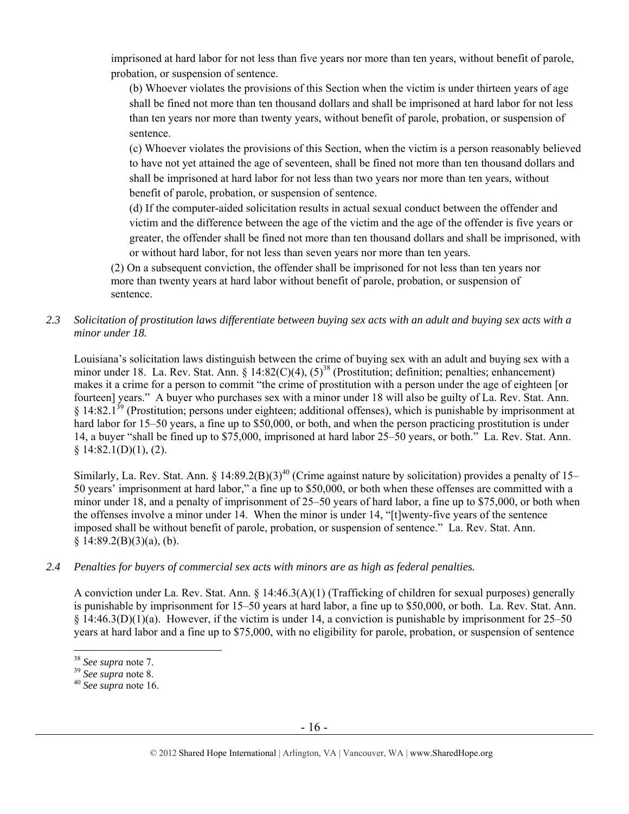imprisoned at hard labor for not less than five years nor more than ten years, without benefit of parole, probation, or suspension of sentence.

(b) Whoever violates the provisions of this Section when the victim is under thirteen years of age shall be fined not more than ten thousand dollars and shall be imprisoned at hard labor for not less than ten years nor more than twenty years, without benefit of parole, probation, or suspension of sentence.

(c) Whoever violates the provisions of this Section, when the victim is a person reasonably believed to have not yet attained the age of seventeen, shall be fined not more than ten thousand dollars and shall be imprisoned at hard labor for not less than two years nor more than ten years, without benefit of parole, probation, or suspension of sentence.

(d) If the computer-aided solicitation results in actual sexual conduct between the offender and victim and the difference between the age of the victim and the age of the offender is five years or greater, the offender shall be fined not more than ten thousand dollars and shall be imprisoned, with or without hard labor, for not less than seven years nor more than ten years.

(2) On a subsequent conviction, the offender shall be imprisoned for not less than ten years nor more than twenty years at hard labor without benefit of parole, probation, or suspension of sentence.

*2.3 Solicitation of prostitution laws differentiate between buying sex acts with an adult and buying sex acts with a minor under 18.* 

Louisiana's solicitation laws distinguish between the crime of buying sex with an adult and buying sex with a minor under 18. La. Rev. Stat. Ann. § 14:82(C)(4),  $(5)^{38}$  (Prostitution; definition; penalties; enhancement) makes it a crime for a person to commit "the crime of prostitution with a person under the age of eighteen [or fourteen] years." A buyer who purchases sex with a minor under 18 will also be guilty of La. Rev. Stat. Ann.  $§$  14:82.1<sup>39</sup> (Prostitution; persons under eighteen; additional offenses), which is punishable by imprisonment at hard labor for 15–50 years, a fine up to \$50,000, or both, and when the person practicing prostitution is under 14, a buyer "shall be fined up to \$75,000, imprisoned at hard labor 25–50 years, or both." La. Rev. Stat. Ann.  $§ 14:82.1(D)(1), (2).$ 

Similarly, La. Rev. Stat. Ann. § 14:89.2(B)(3)<sup>40</sup> (Crime against nature by solicitation) provides a penalty of 15– 50 years' imprisonment at hard labor," a fine up to \$50,000, or both when these offenses are committed with a minor under 18, and a penalty of imprisonment of 25–50 years of hard labor, a fine up to \$75,000, or both when the offenses involve a minor under 14. When the minor is under 14, "[t]wenty-five years of the sentence imposed shall be without benefit of parole, probation, or suspension of sentence." La. Rev. Stat. Ann.  $§ 14:89.2(B)(3)(a), (b).$ 

# *2.4 Penalties for buyers of commercial sex acts with minors are as high as federal penalties.*

A conviction under La. Rev. Stat. Ann. § 14:46.3(A)(1) (Trafficking of children for sexual purposes) generally is punishable by imprisonment for 15–50 years at hard labor, a fine up to \$50,000, or both. La. Rev. Stat. Ann. § 14:46.3(D)(1)(a). However, if the victim is under 14, a conviction is punishable by imprisonment for 25–50 years at hard labor and a fine up to \$75,000, with no eligibility for parole, probation, or suspension of sentence

<sup>38</sup> *See supra* note 7. 39 *See supra* note 8. 40 *See supra* note 16.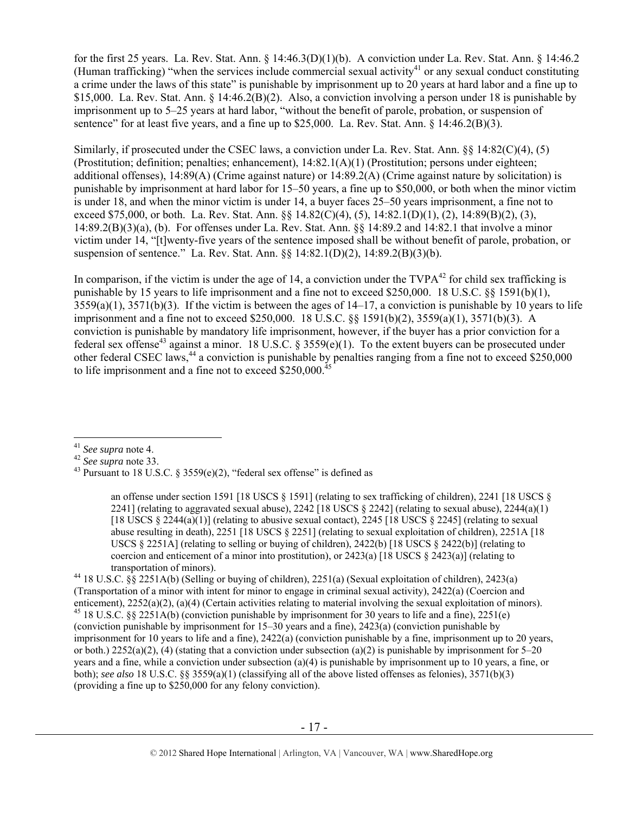for the first 25 years. La. Rev. Stat. Ann. § 14:46.3(D)(1)(b). A conviction under La. Rev. Stat. Ann. § 14:46.2 (Human trafficking) "when the services include commercial sexual activity<sup>41</sup> or any sexual conduct constituting a crime under the laws of this state" is punishable by imprisonment up to 20 years at hard labor and a fine up to \$15,000. La. Rev. Stat. Ann. § 14:46.2(B)(2). Also, a conviction involving a person under 18 is punishable by imprisonment up to 5–25 years at hard labor, "without the benefit of parole, probation, or suspension of sentence" for at least five years, and a fine up to  $$25,000$ . La. Rev. Stat. Ann.  $§$  14:46.2(B)(3).

Similarly, if prosecuted under the CSEC laws, a conviction under La. Rev. Stat. Ann. §§ 14:82(C)(4), (5) (Prostitution; definition; penalties; enhancement), 14:82.1(A)(1) (Prostitution; persons under eighteen; additional offenses), 14:89(A) (Crime against nature) or 14:89.2(A) (Crime against nature by solicitation) is punishable by imprisonment at hard labor for 15–50 years, a fine up to \$50,000, or both when the minor victim is under 18, and when the minor victim is under 14, a buyer faces 25–50 years imprisonment, a fine not to exceed \$75,000, or both. La. Rev. Stat. Ann. §§ 14.82(C)(4), (5), 14:82.1(D)(1), (2), 14:89(B)(2), (3), 14:89.2(B)(3)(a), (b). For offenses under La. Rev. Stat. Ann. §§ 14:89.2 and 14:82.1 that involve a minor victim under 14, "[t]wenty-five years of the sentence imposed shall be without benefit of parole, probation, or suspension of sentence." La. Rev. Stat. Ann. §§ 14:82.1(D)(2), 14:89.2(B)(3)(b).

In comparison, if the victim is under the age of 14, a conviction under the  $TVPA^{42}$  for child sex trafficking is punishable by 15 years to life imprisonment and a fine not to exceed \$250,000. 18 U.S.C. §§ 1591(b)(1),  $3559(a)(1)$ ,  $3571(b)(3)$ . If the victim is between the ages of  $14-17$ , a conviction is punishable by 10 years to life imprisonment and a fine not to exceed \$250,000. 18 U.S.C. §§ 1591(b)(2), 3559(a)(1), 3571(b)(3). A conviction is punishable by mandatory life imprisonment, however, if the buyer has a prior conviction for a federal sex offense<sup>43</sup> against a minor. 18 U.S.C. § 3559(e)(1). To the extent buyers can be prosecuted under other federal CSEC laws,<sup>44</sup> a conviction is punishable by penalties ranging from a fine not to exceed \$250,000 to life imprisonment and a fine not to exceed  $$250,000<sup>4</sup>$ 

<sup>&</sup>lt;sup>41</sup> *See supra* note 4.<br><sup>42</sup> *See supra* note 33.<br><sup>43</sup> Pursuant to 18 U.S.C. § 3559(e)(2), "federal sex offense" is defined as

an offense under section 1591 [18 USCS § 1591] (relating to sex trafficking of children), 2241 [18 USCS § 2241] (relating to aggravated sexual abuse), 2242 [18 USCS  $\S$  2242] (relating to sexual abuse), 2244(a)(1) [18 USCS  $\S$  2244(a)(1)] (relating to abusive sexual contact), 2245 [18 USCS  $\S$  2245] (relating to sexual abuse resulting in death), 2251 [18 USCS § 2251] (relating to sexual exploitation of children), 2251A [18 USCS  $\S 2251$ A] (relating to selling or buying of children), 2422(b) [18 USCS  $\S 2422$ (b)] (relating to coercion and enticement of a minor into prostitution), or 2423(a) [18 USCS  $\S$  2423(a)] (relating to transportation of minors).<br><sup>44</sup> 18 U.S.C. §§ 2251A(b) (Selling or buying of children), 2251(a) (Sexual exploitation of children), 2423(a)

<sup>(</sup>Transportation of a minor with intent for minor to engage in criminal sexual activity), 2422(a) (Coercion and enticement), 2252(a)(2), (a)(4) (Certain activities relating to material involving the sexual exploitation of minors). <sup>45</sup> 18 U.S.C. §§ 2251A(b) (conviction punishable by imprisonment for 30 years to life and a fine), 225 (conviction punishable by imprisonment for 15–30 years and a fine), 2423(a) (conviction punishable by imprisonment for 10 years to life and a fine), 2422(a) (conviction punishable by a fine, imprisonment up to 20 years, or both.)  $2252(a)(2)$ , (4) (stating that a conviction under subsection (a)(2) is punishable by imprisonment for 5–20 years and a fine, while a conviction under subsection (a)(4) is punishable by imprisonment up to 10 years, a fine, or both); *see also* 18 U.S.C. §§ 3559(a)(1) (classifying all of the above listed offenses as felonies), 3571(b)(3) (providing a fine up to \$250,000 for any felony conviction).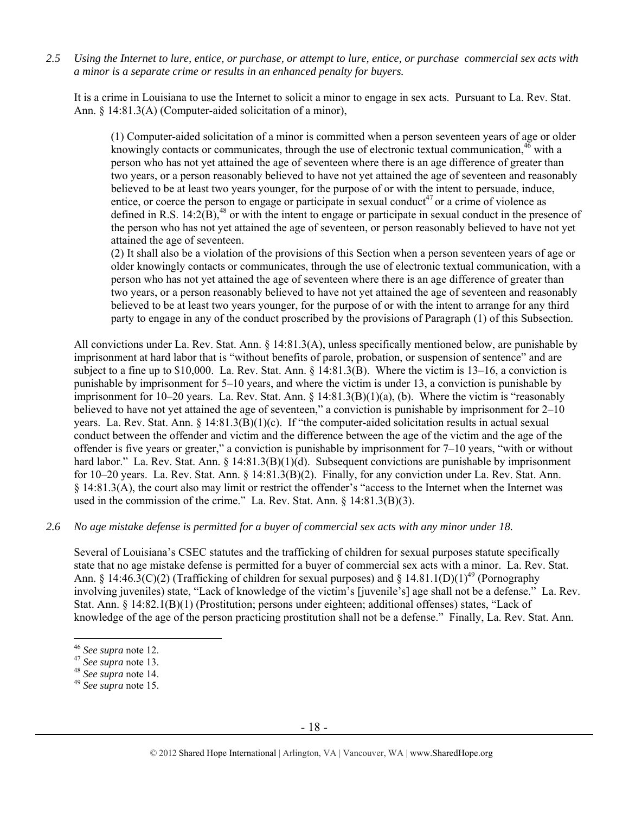*2.5 Using the Internet to lure, entice, or purchase, or attempt to lure, entice, or purchase commercial sex acts with a minor is a separate crime or results in an enhanced penalty for buyers.* 

It is a crime in Louisiana to use the Internet to solicit a minor to engage in sex acts. Pursuant to La. Rev. Stat. Ann. § 14:81.3(A) (Computer-aided solicitation of a minor),

(1) Computer-aided solicitation of a minor is committed when a person seventeen years of age or older knowingly contacts or communicates, through the use of electronic textual communication.<sup>46</sup> with a person who has not yet attained the age of seventeen where there is an age difference of greater than two years, or a person reasonably believed to have not yet attained the age of seventeen and reasonably believed to be at least two years younger, for the purpose of or with the intent to persuade, induce, entice, or coerce the person to engage or participate in sexual conduct<sup>47</sup> or a crime of violence as defined in R.S.  $14:2(B)$ ,<sup>48</sup> or with the intent to engage or participate in sexual conduct in the presence of the person who has not yet attained the age of seventeen, or person reasonably believed to have not yet attained the age of seventeen.

(2) It shall also be a violation of the provisions of this Section when a person seventeen years of age or older knowingly contacts or communicates, through the use of electronic textual communication, with a person who has not yet attained the age of seventeen where there is an age difference of greater than two years, or a person reasonably believed to have not yet attained the age of seventeen and reasonably believed to be at least two years younger, for the purpose of or with the intent to arrange for any third party to engage in any of the conduct proscribed by the provisions of Paragraph (1) of this Subsection.

All convictions under La. Rev. Stat. Ann. § 14:81.3(A), unless specifically mentioned below, are punishable by imprisonment at hard labor that is "without benefits of parole, probation, or suspension of sentence" and are subject to a fine up to \$10,000. La. Rev. Stat. Ann. § 14:81.3(B). Where the victim is 13–16, a conviction is punishable by imprisonment for 5–10 years, and where the victim is under 13, a conviction is punishable by imprisonment for 10–20 years. La. Rev. Stat. Ann. § 14:81.3(B)(1)(a), (b). Where the victim is "reasonably believed to have not yet attained the age of seventeen," a conviction is punishable by imprisonment for 2–10 years. La. Rev. Stat. Ann.  $\S 14:81.3(B)(1)(c)$ . If "the computer-aided solicitation results in actual sexual conduct between the offender and victim and the difference between the age of the victim and the age of the offender is five years or greater," a conviction is punishable by imprisonment for 7–10 years, "with or without hard labor." La. Rev. Stat. Ann. § 14:81.3(B)(1)(d). Subsequent convictions are punishable by imprisonment for 10–20 years. La. Rev. Stat. Ann. § 14:81.3(B)(2). Finally, for any conviction under La. Rev. Stat. Ann. § 14:81.3(A), the court also may limit or restrict the offender's "access to the Internet when the Internet was used in the commission of the crime." La. Rev. Stat. Ann. § 14:81.3(B)(3).

## *2.6 No age mistake defense is permitted for a buyer of commercial sex acts with any minor under 18.*

Several of Louisiana's CSEC statutes and the trafficking of children for sexual purposes statute specifically state that no age mistake defense is permitted for a buyer of commercial sex acts with a minor. La. Rev. Stat. Ann. § 14:46.3(C)(2) (Trafficking of children for sexual purposes) and § 14.81.1(D)(1)<sup>49</sup> (Pornography involving juveniles) state, "Lack of knowledge of the victim's [juvenile's] age shall not be a defense." La. Rev. Stat. Ann. § 14:82.1(B)(1) (Prostitution; persons under eighteen; additional offenses) states, "Lack of knowledge of the age of the person practicing prostitution shall not be a defense." Finally, La. Rev. Stat. Ann.

<sup>46</sup> *See supra* note 12. 47 *See supra* note 13. 48 *See supra* note 14. 49 *See supra* note 15.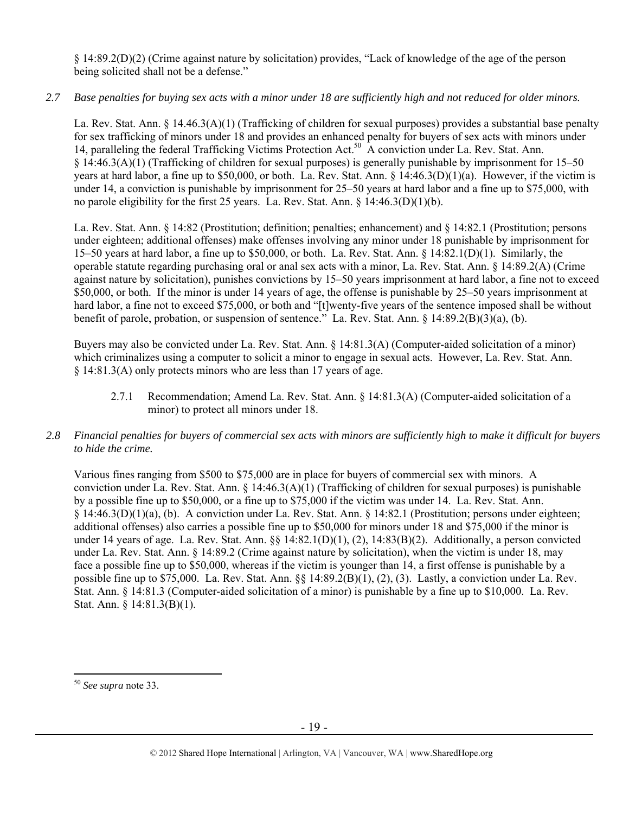§ 14:89.2(D)(2) (Crime against nature by solicitation) provides, "Lack of knowledge of the age of the person being solicited shall not be a defense."

# *2.7 Base penalties for buying sex acts with a minor under 18 are sufficiently high and not reduced for older minors.*

La. Rev. Stat. Ann. § 14.46.3(A)(1) (Trafficking of children for sexual purposes) provides a substantial base penalty for sex trafficking of minors under 18 and provides an enhanced penalty for buyers of sex acts with minors under 14, paralleling the federal Trafficking Victims Protection Act.<sup>50</sup> A conviction under La. Rev. Stat. Ann. § 14:46.3(A)(1) (Trafficking of children for sexual purposes) is generally punishable by imprisonment for 15–50 years at hard labor, a fine up to \$50,000, or both. La. Rev. Stat. Ann. § 14:46.3(D)(1)(a). However, if the victim is under 14, a conviction is punishable by imprisonment for 25–50 years at hard labor and a fine up to \$75,000, with no parole eligibility for the first 25 years. La. Rev. Stat. Ann.  $\S$  14:46.3(D)(1)(b).

La. Rev. Stat. Ann. § 14:82 (Prostitution; definition; penalties; enhancement) and § 14:82.1 (Prostitution; persons under eighteen; additional offenses) make offenses involving any minor under 18 punishable by imprisonment for 15–50 years at hard labor, a fine up to \$50,000, or both. La. Rev. Stat. Ann. § 14:82.1(D)(1). Similarly, the operable statute regarding purchasing oral or anal sex acts with a minor, La. Rev. Stat. Ann. § 14:89.2(A) (Crime against nature by solicitation), punishes convictions by 15–50 years imprisonment at hard labor, a fine not to exceed \$50,000, or both. If the minor is under 14 years of age, the offense is punishable by 25–50 years imprisonment at hard labor, a fine not to exceed \$75,000, or both and "[t]wenty-five years of the sentence imposed shall be without benefit of parole, probation, or suspension of sentence." La. Rev. Stat. Ann. § 14:89.2(B)(3)(a), (b).

Buyers may also be convicted under La. Rev. Stat. Ann. § 14:81.3(A) (Computer-aided solicitation of a minor) which criminalizes using a computer to solicit a minor to engage in sexual acts. However, La. Rev. Stat. Ann. § 14:81.3(A) only protects minors who are less than 17 years of age.

2.7.1 Recommendation; Amend La. Rev. Stat. Ann. § 14:81.3(A) (Computer-aided solicitation of a minor) to protect all minors under 18.

## *2.8 Financial penalties for buyers of commercial sex acts with minors are sufficiently high to make it difficult for buyers to hide the crime.*

Various fines ranging from \$500 to \$75,000 are in place for buyers of commercial sex with minors. A conviction under La. Rev. Stat. Ann. § 14:46.3(A)(1) (Trafficking of children for sexual purposes) is punishable by a possible fine up to \$50,000, or a fine up to \$75,000 if the victim was under 14. La. Rev. Stat. Ann. § 14:46.3(D)(1)(a), (b). A conviction under La. Rev. Stat. Ann. § 14:82.1 (Prostitution; persons under eighteen; additional offenses) also carries a possible fine up to \$50,000 for minors under 18 and \$75,000 if the minor is under 14 years of age. La. Rev. Stat. Ann. §§ 14:82.1(D)(1), (2), 14:83(B)(2). Additionally, a person convicted under La. Rev. Stat. Ann. § 14:89.2 (Crime against nature by solicitation), when the victim is under 18, may face a possible fine up to \$50,000, whereas if the victim is younger than 14, a first offense is punishable by a possible fine up to \$75,000. La. Rev. Stat. Ann. §§ 14:89.2(B)(1), (2), (3). Lastly, a conviction under La. Rev. Stat. Ann. § 14:81.3 (Computer-aided solicitation of a minor) is punishable by a fine up to \$10,000. La. Rev. Stat. Ann. § 14:81.3(B)(1).

<sup>50</sup> *See supra* note 33.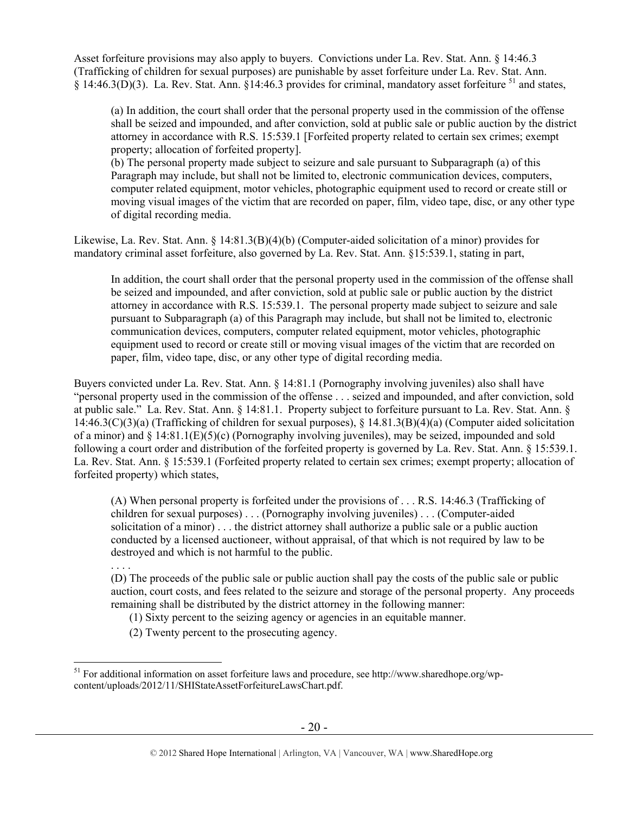Asset forfeiture provisions may also apply to buyers. Convictions under La. Rev. Stat. Ann. § 14:46.3 (Trafficking of children for sexual purposes) are punishable by asset forfeiture under La. Rev. Stat. Ann. § 14:46.3(D)(3). La. Rev. Stat. Ann. §14:46.3 provides for criminal, mandatory asset forfeiture  $^{51}$  and states,

(a) In addition, the court shall order that the personal property used in the commission of the offense shall be seized and impounded, and after conviction, sold at public sale or public auction by the district attorney in accordance with R.S. 15:539.1 [Forfeited property related to certain sex crimes; exempt property; allocation of forfeited property].

(b) The personal property made subject to seizure and sale pursuant to Subparagraph (a) of this Paragraph may include, but shall not be limited to, electronic communication devices, computers, computer related equipment, motor vehicles, photographic equipment used to record or create still or moving visual images of the victim that are recorded on paper, film, video tape, disc, or any other type of digital recording media.

Likewise, La. Rev. Stat. Ann. § 14:81.3(B)(4)(b) (Computer-aided solicitation of a minor) provides for mandatory criminal asset forfeiture, also governed by La. Rev. Stat. Ann. §15:539.1, stating in part,

In addition, the court shall order that the personal property used in the commission of the offense shall be seized and impounded, and after conviction, sold at public sale or public auction by the district attorney in accordance with R.S. 15:539.1. The personal property made subject to seizure and sale pursuant to Subparagraph (a) of this Paragraph may include, but shall not be limited to, electronic communication devices, computers, computer related equipment, motor vehicles, photographic equipment used to record or create still or moving visual images of the victim that are recorded on paper, film, video tape, disc, or any other type of digital recording media.

Buyers convicted under La. Rev. Stat. Ann. § 14:81.1 (Pornography involving juveniles) also shall have "personal property used in the commission of the offense . . . seized and impounded, and after conviction, sold at public sale." La. Rev. Stat. Ann. § 14:81.1. Property subject to forfeiture pursuant to La. Rev. Stat. Ann. § 14:46.3(C)(3)(a) (Trafficking of children for sexual purposes), § 14.81.3(B)(4)(a) (Computer aided solicitation of a minor) and § 14:81.1(E)(5)(c) (Pornography involving juveniles), may be seized, impounded and sold following a court order and distribution of the forfeited property is governed by La. Rev. Stat. Ann. § 15:539.1. La. Rev. Stat. Ann. § 15:539.1 (Forfeited property related to certain sex crimes; exempt property; allocation of forfeited property) which states,

(A) When personal property is forfeited under the provisions of . . . R.S. 14:46.3 (Trafficking of children for sexual purposes) . . . (Pornography involving juveniles) . . . (Computer-aided solicitation of a minor) . . . the district attorney shall authorize a public sale or a public auction conducted by a licensed auctioneer, without appraisal, of that which is not required by law to be destroyed and which is not harmful to the public.

(D) The proceeds of the public sale or public auction shall pay the costs of the public sale or public auction, court costs, and fees related to the seizure and storage of the personal property. Any proceeds remaining shall be distributed by the district attorney in the following manner:

(1) Sixty percent to the seizing agency or agencies in an equitable manner.

(2) Twenty percent to the prosecuting agency.

. . . .

<sup>&</sup>lt;sup>51</sup> For additional information on asset forfeiture laws and procedure, see http://www.sharedhope.org/wpcontent/uploads/2012/11/SHIStateAssetForfeitureLawsChart.pdf.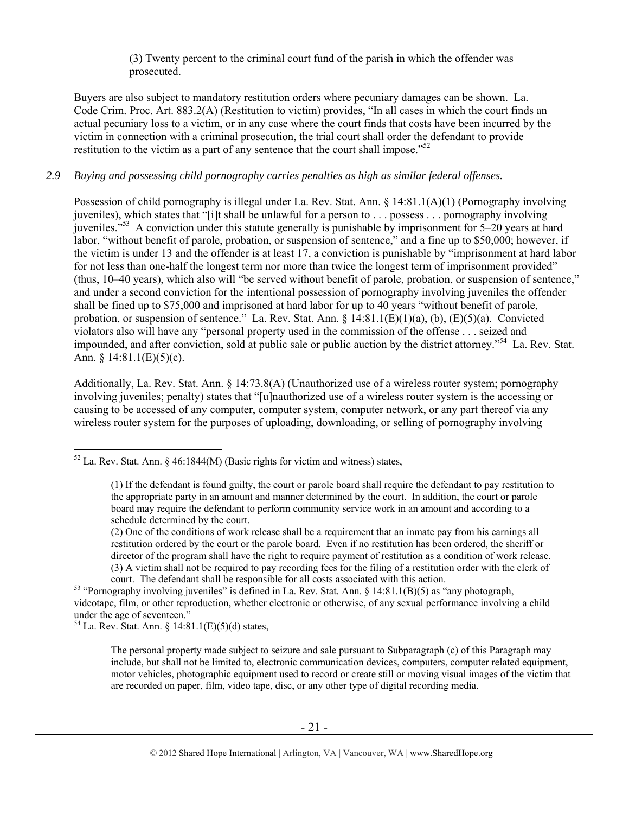(3) Twenty percent to the criminal court fund of the parish in which the offender was prosecuted.

Buyers are also subject to mandatory restitution orders where pecuniary damages can be shown. La. Code Crim. Proc. Art. 883.2(A) (Restitution to victim) provides, "In all cases in which the court finds an actual pecuniary loss to a victim, or in any case where the court finds that costs have been incurred by the victim in connection with a criminal prosecution, the trial court shall order the defendant to provide restitution to the victim as a part of any sentence that the court shall impose.<sup> $52$ </sup>

## *2.9 Buying and possessing child pornography carries penalties as high as similar federal offenses.*

Possession of child pornography is illegal under La. Rev. Stat. Ann. § 14:81.1(A)(1) (Pornography involving iuveniles), which states that "[i]t shall be unlawful for a person to . . . possess . . . pornography involving juveniles."53 A conviction under this statute generally is punishable by imprisonment for 5–20 years at hard labor, "without benefit of parole, probation, or suspension of sentence," and a fine up to \$50,000; however, if the victim is under 13 and the offender is at least 17, a conviction is punishable by "imprisonment at hard labor for not less than one-half the longest term nor more than twice the longest term of imprisonment provided" (thus, 10–40 years), which also will "be served without benefit of parole, probation, or suspension of sentence," and under a second conviction for the intentional possession of pornography involving juveniles the offender shall be fined up to \$75,000 and imprisoned at hard labor for up to 40 years "without benefit of parole, probation, or suspension of sentence." La. Rev. Stat. Ann.  $\S 14:81.1(E)(1)(a)$ , (b),  $(E)(5)(a)$ . Convicted violators also will have any "personal property used in the commission of the offense . . . seized and impounded, and after conviction, sold at public sale or public auction by the district attorney.<sup>554</sup> La. Rev. Stat. Ann.  $\frac{14:81.1(E)(5)(c)}{2}$ .

Additionally, La. Rev. Stat. Ann. § 14:73.8(A) (Unauthorized use of a wireless router system; pornography involving juveniles; penalty) states that "[u]nauthorized use of a wireless router system is the accessing or causing to be accessed of any computer, computer system, computer network, or any part thereof via any wireless router system for the purposes of uploading, downloading, or selling of pornography involving

 $54$  La. Rev. Stat. Ann. § 14:81.1(E)(5)(d) states,

 $\overline{a}$ 

The personal property made subject to seizure and sale pursuant to Subparagraph (c) of this Paragraph may include, but shall not be limited to, electronic communication devices, computers, computer related equipment, motor vehicles, photographic equipment used to record or create still or moving visual images of the victim that are recorded on paper, film, video tape, disc, or any other type of digital recording media.

 $52$  La. Rev. Stat. Ann. § 46:1844(M) (Basic rights for victim and witness) states,

<sup>(1)</sup> If the defendant is found guilty, the court or parole board shall require the defendant to pay restitution to the appropriate party in an amount and manner determined by the court. In addition, the court or parole board may require the defendant to perform community service work in an amount and according to a schedule determined by the court.

<sup>(2)</sup> One of the conditions of work release shall be a requirement that an inmate pay from his earnings all restitution ordered by the court or the parole board. Even if no restitution has been ordered, the sheriff or director of the program shall have the right to require payment of restitution as a condition of work release. (3) A victim shall not be required to pay recording fees for the filing of a restitution order with the clerk of

court. The defendant shall be responsible for all costs associated with this action. 53 "Pornography involving juveniles" is defined in La. Rev. Stat. Ann. § 14:81.1(B)(5) as "any photograph, videotape, film, or other reproduction, whether electronic or otherwise, of any sexual performance involving a child under the age of seventeen."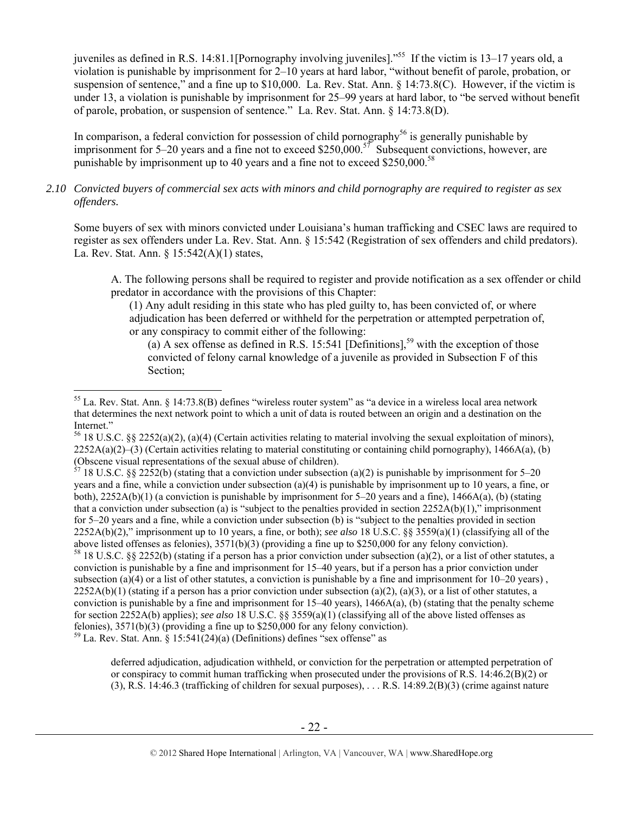juveniles as defined in R.S. 14:81.1[Pornography involving juveniles]."55 If the victim is 13–17 years old, a violation is punishable by imprisonment for 2–10 years at hard labor, "without benefit of parole, probation, or suspension of sentence," and a fine up to \$10,000. La. Rev. Stat. Ann. § 14:73.8(C). However, if the victim is under 13, a violation is punishable by imprisonment for 25–99 years at hard labor, to "be served without benefit of parole, probation, or suspension of sentence." La. Rev. Stat. Ann. § 14:73.8(D).

In comparison, a federal conviction for possession of child pornography<sup>56</sup> is generally punishable by imprisonment for 5–20 years and a fine not to exceed \$250,000.<sup>57</sup> Subsequent convictions, however, are punishable by imprisonment up to 40 years and a fine not to exceed \$250,000.<sup>58</sup>

# *2.10 Convicted buyers of commercial sex acts with minors and child pornography are required to register as sex offenders.*

Some buyers of sex with minors convicted under Louisiana's human trafficking and CSEC laws are required to register as sex offenders under La. Rev. Stat. Ann. § 15:542 (Registration of sex offenders and child predators). La. Rev. Stat. Ann. § 15:542(A)(1) states,

A. The following persons shall be required to register and provide notification as a sex offender or child predator in accordance with the provisions of this Chapter:

(1) Any adult residing in this state who has pled guilty to, has been convicted of, or where adjudication has been deferred or withheld for the perpetration or attempted perpetration of, or any conspiracy to commit either of the following:

(a) A sex offense as defined in R.S. 15:541 [Definitions],<sup>59</sup> with the exception of those convicted of felony carnal knowledge of a juvenile as provided in Subsection F of this Section;

 $\overline{a}$ 

 $57$  18 U.S.C. §§ 2252(b) (stating that a conviction under subsection (a)(2) is punishable by imprisonment for 5–20 years and a fine, while a conviction under subsection (a)(4) is punishable by imprisonment up to 10 years, a fine, or both),  $2252A(b)(1)$  (a conviction is punishable by imprisonment for 5–20 years and a fine),  $1466A(a)$ , (b) (stating that a conviction under subsection (a) is "subject to the penalties provided in section  $2252A(b)(1)$ ," imprisonment for 5–20 years and a fine, while a conviction under subsection (b) is "subject to the penalties provided in section 2252A(b)(2)," imprisonment up to 10 years, a fine, or both); *see also* 18 U.S.C. §§ 3559(a)(1) (classifying all of the above listed offenses as felonies), 3571(b)(3) (providing a fine up to \$250,000 for any felony conviction). <sup>58</sup> 18 U.S.C. §§ 2252(b) (stating if a person has a prior conviction under subsection (a)(2), or a list of other statutes, a conviction is punishable by a fine and imprisonment for 15–40 years, but if a person has a prior conviction under subsection (a)(4) or a list of other statutes, a conviction is punishable by a fine and imprisonment for  $10-20$  years),  $2252A(b)(1)$  (stating if a person has a prior conviction under subsection (a)(2), (a)(3), or a list of other statutes, a conviction is punishable by a fine and imprisonment for  $15-40$  years),  $1466A(a)$ , (b) (stating that the penalty scheme for section 2252A(b) applies); *see also* 18 U.S.C. §§ 3559(a)(1) (classifying all of the above listed offenses as felonies), 3571(b)(3) (providing a fine up to \$250,000 for any felony conviction).  $59$  La. Rev. Stat. Ann. § 15:541(24)(a) (Definitions) defines "sex offense" as

deferred adjudication, adjudication withheld, or conviction for the perpetration or attempted perpetration of or conspiracy to commit human trafficking when prosecuted under the provisions of R.S.  $14:46.2(B)(2)$  or (3), R.S. 14:46.3 (trafficking of children for sexual purposes), . . . R.S. 14:89.2(B)(3) (crime against nature

<sup>55</sup> La. Rev. Stat. Ann. § 14:73.8(B) defines "wireless router system" as "a device in a wireless local area network that determines the next network point to which a unit of data is routed between an origin and a destination on the Internet."

<sup>&</sup>lt;sup>56</sup> 18 U.S.C. §§ 2252(a)(2), (a)(4) (Certain activities relating to material involving the sexual exploitation of minors),  $2252A(a)(2)$ –(3) (Certain activities relating to material constituting or containing child pornography), 1466A(a), (b) (Obscene visual representations of the sexual abuse of children).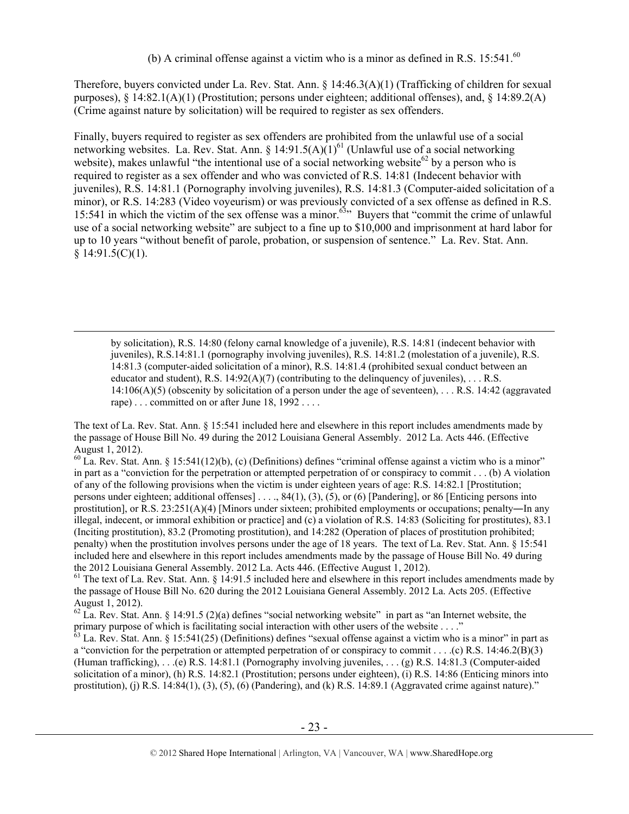Therefore, buyers convicted under La. Rev. Stat. Ann. § 14:46.3(A)(1) (Trafficking of children for sexual purposes),  $\S 14:82.1(A)(1)$  (Prostitution; persons under eighteen; additional offenses), and,  $\S 14:89.2(A)$ (Crime against nature by solicitation) will be required to register as sex offenders.

Finally, buyers required to register as sex offenders are prohibited from the unlawful use of a social networking websites. La. Rev. Stat. Ann. § 14:91.5(A) $(1)^{61}$  (Unlawful use of a social networking website), makes unlawful "the intentional use of a social networking website<sup>62</sup> by a person who is required to register as a sex offender and who was convicted of R.S. 14:81 (Indecent behavior with juveniles), R.S. 14:81.1 (Pornography involving juveniles), R.S. 14:81.3 (Computer-aided solicitation of a minor), or R.S. 14:283 (Video voyeurism) or was previously convicted of a sex offense as defined in R.S. 15:541 in which the victim of the sex offense was a minor.<sup> $63$ </sup> Buyers that "commit the crime of unlawful use of a social networking website" are subject to a fine up to \$10,000 and imprisonment at hard labor for up to 10 years "without benefit of parole, probation, or suspension of sentence." La. Rev. Stat. Ann.  $§ 14:91.5(C)(1).$ 

 by solicitation), R.S. 14:80 (felony carnal knowledge of a juvenile), R.S. 14:81 (indecent behavior with juveniles), R.S.14:81.1 (pornography involving juveniles), R.S. 14:81.2 (molestation of a juvenile), R.S. 14:81.3 (computer-aided solicitation of a minor), R.S. 14:81.4 (prohibited sexual conduct between an educator and student), R.S.  $14:92(A)(7)$  (contributing to the delinquency of juveniles), ... R.S.  $14:106(A)(5)$  (obscenity by solicitation of a person under the age of seventeen), ... R.S. 14:42 (aggravated rape) . . . committed on or after June 18, 1992 . . . .

The text of La. Rev. Stat. Ann. § 15:541 included here and elsewhere in this report includes amendments made by the passage of House Bill No. 49 during the 2012 Louisiana General Assembly. 2012 La. Acts 446. (Effective August 1, 2012).

 $60$  La. Rev. Stat. Ann. § 15:541(12)(b), (c) (Definitions) defines "criminal offense against a victim who is a minor" in part as a "conviction for the perpetration or attempted perpetration of or conspiracy to commit . . . (b) A violation of any of the following provisions when the victim is under eighteen years of age: R.S. 14:82.1 [Prostitution; persons under eighteen; additional offenses] ...,  $84(1)$ ,  $(3)$ ,  $(5)$ , or  $(6)$  [Pandering], or  $86$  [Enticing persons into prostitution], or R.S. 23:251(A)(4) [Minors under sixteen; prohibited employments or occupations; penalty―In any illegal, indecent, or immoral exhibition or practice] and (c) a violation of R.S. 14:83 (Soliciting for prostitutes), 83.1 (Inciting prostitution), 83.2 (Promoting prostitution), and 14:282 (Operation of places of prostitution prohibited; penalty) when the prostitution involves persons under the age of 18 years. The text of La. Rev. Stat. Ann. § 15:541 included here and elsewhere in this report includes amendments made by the passage of House Bill No. 49 during the 2012 Louisiana General Assembly. 2012 La. Acts 446. (Effective August 1, 2012).

 $61$  The text of La. Rev. Stat. Ann. § 14:91.5 included here and elsewhere in this report includes amendments made by the passage of House Bill No. 620 during the 2012 Louisiana General Assembly. 2012 La. Acts 205. (Effective August 1, 2012).

<sup>&</sup>lt;sup>62</sup> La. Rev. Stat. Ann. § 14:91.5 (2)(a) defines "social networking website" in part as "an Internet website, the primary purpose of which is facilitating social interaction with other users of the website . . . ."

 $^{63}$  La. Rev. Stat. Ann. § 15:541(25) (Definitions) defines "sexual offense against a victim who is a minor" in part as a "conviction for the perpetration or attempted perpetration of or conspiracy to commit . . . . (c) R.S. 14:46.2(B)(3) (Human trafficking), . . .(e) R.S. 14:81.1 (Pornography involving juveniles, . . . (g) R.S. 14:81.3 (Computer-aided solicitation of a minor), (h) R.S. 14:82.1 (Prostitution; persons under eighteen), (i) R.S. 14:86 (Enticing minors into prostitution), (j) R.S.  $14:84(1)$ ,  $(3)$ ,  $(5)$ ,  $(6)$  (Pandering), and (k) R.S.  $14:89.1$  (Aggravated crime against nature)."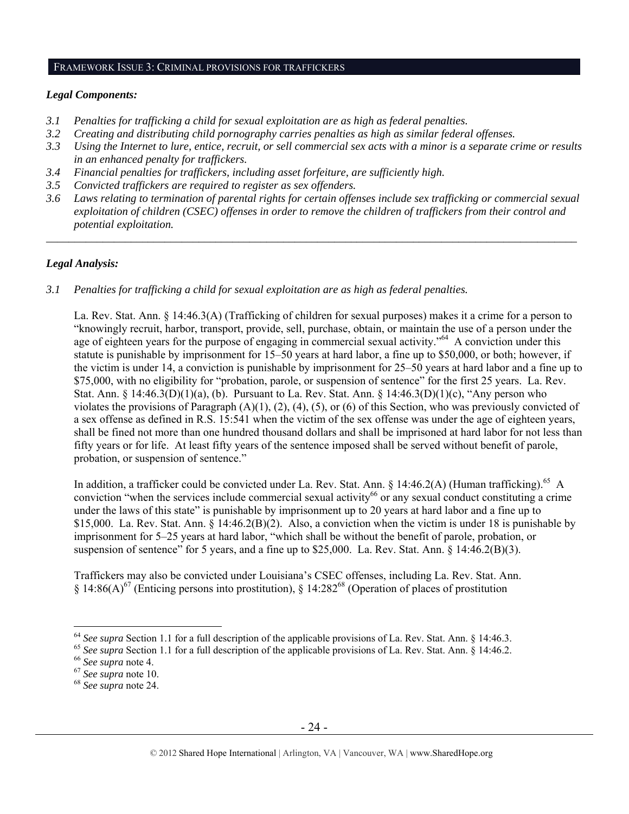#### FRAMEWORK ISSUE 3: CRIMINAL PROVISIONS FOR TRAFFICKERS

#### *Legal Components:*

- *3.1 Penalties for trafficking a child for sexual exploitation are as high as federal penalties.*
- *3.2 Creating and distributing child pornography carries penalties as high as similar federal offenses.*
- *3.3 Using the Internet to lure, entice, recruit, or sell commercial sex acts with a minor is a separate crime or results in an enhanced penalty for traffickers.*
- *3.4 Financial penalties for traffickers, including asset forfeiture, are sufficiently high.*
- *3.5 Convicted traffickers are required to register as sex offenders.*
- *3.6 Laws relating to termination of parental rights for certain offenses include sex trafficking or commercial sexual exploitation of children (CSEC) offenses in order to remove the children of traffickers from their control and potential exploitation.*

*\_\_\_\_\_\_\_\_\_\_\_\_\_\_\_\_\_\_\_\_\_\_\_\_\_\_\_\_\_\_\_\_\_\_\_\_\_\_\_\_\_\_\_\_\_\_\_\_\_\_\_\_\_\_\_\_\_\_\_\_\_\_\_\_\_\_\_\_\_\_\_\_\_\_\_\_\_\_\_\_\_\_\_\_\_\_\_\_\_\_\_\_\_\_* 

## *Legal Analysis:*

*3.1 Penalties for trafficking a child for sexual exploitation are as high as federal penalties.* 

La. Rev. Stat. Ann. § 14:46.3(A) (Trafficking of children for sexual purposes) makes it a crime for a person to "knowingly recruit, harbor, transport, provide, sell, purchase, obtain, or maintain the use of a person under the age of eighteen years for the purpose of engaging in commercial sexual activity."<sup>64</sup> A conviction under this statute is punishable by imprisonment for 15–50 years at hard labor, a fine up to \$50,000, or both; however, if the victim is under 14, a conviction is punishable by imprisonment for 25–50 years at hard labor and a fine up to \$75,000, with no eligibility for "probation, parole, or suspension of sentence" for the first 25 years. La. Rev. Stat. Ann. § 14:46.3(D)(1)(a), (b). Pursuant to La. Rev. Stat. Ann. § 14:46.3(D)(1)(c), "Any person who violates the provisions of Paragraph (A)(1), (2), (4), (5), or (6) of this Section, who was previously convicted of a sex offense as defined in R.S. 15:541 when the victim of the sex offense was under the age of eighteen years, shall be fined not more than one hundred thousand dollars and shall be imprisoned at hard labor for not less than fifty years or for life. At least fifty years of the sentence imposed shall be served without benefit of parole, probation, or suspension of sentence."

In addition, a trafficker could be convicted under La. Rev. Stat. Ann. § 14:46.2(A) (Human trafficking).<sup>65</sup> A conviction "when the services include commercial sexual activity<sup>66</sup> or any sexual conduct constituting a crime under the laws of this state" is punishable by imprisonment up to 20 years at hard labor and a fine up to \$15,000. La. Rev. Stat. Ann. § 14:46.2(B)(2). Also, a conviction when the victim is under 18 is punishable by imprisonment for 5–25 years at hard labor, "which shall be without the benefit of parole, probation, or suspension of sentence" for 5 years, and a fine up to \$25,000. La. Rev. Stat. Ann. § 14:46.2(B)(3).

Traffickers may also be convicted under Louisiana's CSEC offenses, including La. Rev. Stat. Ann. § 14:86(A)<sup>67</sup> (Enticing persons into prostitution), § 14:282<sup>68</sup> (Operation of places of prostitution

<sup>&</sup>lt;sup>64</sup> See supra Section 1.1 for a full description of the applicable provisions of La. Rev. Stat. Ann. § 14:46.3.<br><sup>65</sup> See supra Section 1.1 for a full description of the applicable provisions of La. Rev. Stat. Ann. § 14:4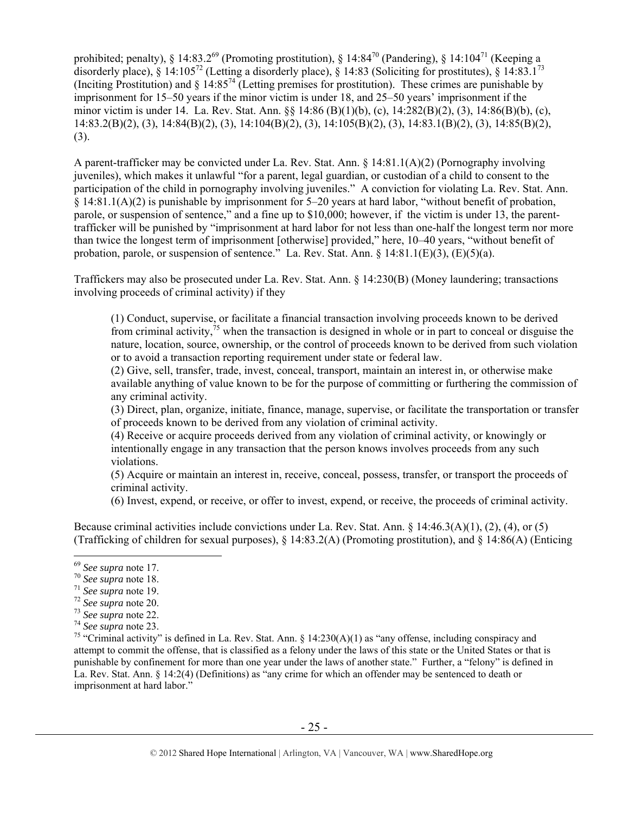prohibited; penalty), § 14:83.2<sup>69</sup> (Promoting prostitution), § 14:84<sup>70</sup> (Pandering), § 14:104<sup>71</sup> (Keeping a disorderly place), § 14:105<sup>72</sup> (Letting a disorderly place), § 14:83 (Soliciting for prostitutes), § 14:83.1<sup>73</sup> (Inciting Prostitution) and  $\S$  14:85<sup>74</sup> (Letting premises for prostitution). These crimes are punishable by imprisonment for 15–50 years if the minor victim is under 18, and 25–50 years' imprisonment if the minor victim is under 14. La. Rev. Stat. Ann. §§ 14:86 (B)(1)(b), (c), 14:282(B)(2), (3), 14:86(B)(b), (c), 14:83.2(B)(2), (3), 14:84(B)(2), (3), 14:104(B)(2), (3), 14:105(B)(2), (3), 14:83.1(B)(2), (3), 14:85(B)(2), (3).

A parent-trafficker may be convicted under La. Rev. Stat. Ann. § 14:81.1(A)(2) (Pornography involving juveniles), which makes it unlawful "for a parent, legal guardian, or custodian of a child to consent to the participation of the child in pornography involving juveniles." A conviction for violating La. Rev. Stat. Ann. § 14:81.1(A)(2) is punishable by imprisonment for 5–20 years at hard labor, "without benefit of probation, parole, or suspension of sentence," and a fine up to \$10,000; however, if the victim is under 13, the parenttrafficker will be punished by "imprisonment at hard labor for not less than one-half the longest term nor more than twice the longest term of imprisonment [otherwise] provided," here, 10–40 years, "without benefit of probation, parole, or suspension of sentence." La. Rev. Stat. Ann. § 14:81.1(E)(3), (E)(5)(a).

Traffickers may also be prosecuted under La. Rev. Stat. Ann. § 14:230(B) (Money laundering; transactions involving proceeds of criminal activity) if they

(1) Conduct, supervise, or facilitate a financial transaction involving proceeds known to be derived from criminal activity,  $\frac{75}{15}$  when the transaction is designed in whole or in part to conceal or disguise the nature, location, source, ownership, or the control of proceeds known to be derived from such violation or to avoid a transaction reporting requirement under state or federal law.

(2) Give, sell, transfer, trade, invest, conceal, transport, maintain an interest in, or otherwise make available anything of value known to be for the purpose of committing or furthering the commission of any criminal activity.

(3) Direct, plan, organize, initiate, finance, manage, supervise, or facilitate the transportation or transfer of proceeds known to be derived from any violation of criminal activity.

(4) Receive or acquire proceeds derived from any violation of criminal activity, or knowingly or intentionally engage in any transaction that the person knows involves proceeds from any such violations.

(5) Acquire or maintain an interest in, receive, conceal, possess, transfer, or transport the proceeds of criminal activity.

(6) Invest, expend, or receive, or offer to invest, expend, or receive, the proceeds of criminal activity.

Because criminal activities include convictions under La. Rev. Stat. Ann. § 14:46.3(A)(1), (2), (4), or (5) (Trafficking of children for sexual purposes), § 14:83.2(A) (Promoting prostitution), and § 14:86(A) (Enticing

<sup>&</sup>lt;sup>69</sup> See supra note 17.

<sup>&</sup>lt;sup>70</sup> See supra note 18.<br>
<sup>71</sup> See supra note 19.<br>
<sup>72</sup> See supra note 20.<br>
<sup>73</sup> See supra note 22.<br>
<sup>74</sup> See supra note 23.<br>
<sup>74</sup> See supra note 23.<br>
<sup>75</sup> "Criminal activity" is defined in La. Rev. Stat. Ann. § 14:230(A)( attempt to commit the offense, that is classified as a felony under the laws of this state or the United States or that is punishable by confinement for more than one year under the laws of another state." Further, a "felony" is defined in La. Rev. Stat. Ann. § 14:2(4) (Definitions) as "any crime for which an offender may be sentenced to death or imprisonment at hard labor."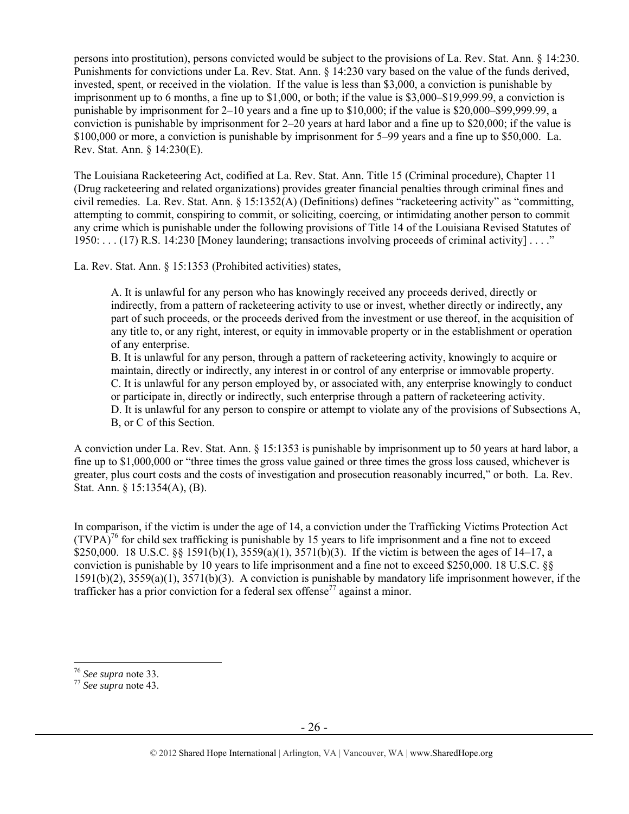persons into prostitution), persons convicted would be subject to the provisions of La. Rev. Stat. Ann. § 14:230. Punishments for convictions under La. Rev. Stat. Ann. § 14:230 vary based on the value of the funds derived, invested, spent, or received in the violation. If the value is less than \$3,000, a conviction is punishable by imprisonment up to 6 months, a fine up to \$1,000, or both; if the value is \$3,000–\$19,999.99, a conviction is punishable by imprisonment for 2–10 years and a fine up to \$10,000; if the value is \$20,000–\$99,999.99, a conviction is punishable by imprisonment for 2–20 years at hard labor and a fine up to \$20,000; if the value is \$100,000 or more, a conviction is punishable by imprisonment for 5–99 years and a fine up to \$50,000. La. Rev. Stat. Ann. § 14:230(E).

The Louisiana Racketeering Act, codified at La. Rev. Stat. Ann. Title 15 (Criminal procedure), Chapter 11 (Drug racketeering and related organizations) provides greater financial penalties through criminal fines and civil remedies. La. Rev. Stat. Ann. § 15:1352(A) (Definitions) defines "racketeering activity" as "committing, attempting to commit, conspiring to commit, or soliciting, coercing, or intimidating another person to commit any crime which is punishable under the following provisions of Title 14 of the Louisiana Revised Statutes of 1950: . . . (17) R.S. 14:230 [Money laundering; transactions involving proceeds of criminal activity] . . . ."

La. Rev. Stat. Ann. § 15:1353 (Prohibited activities) states,

A. It is unlawful for any person who has knowingly received any proceeds derived, directly or indirectly, from a pattern of racketeering activity to use or invest, whether directly or indirectly, any part of such proceeds, or the proceeds derived from the investment or use thereof, in the acquisition of any title to, or any right, interest, or equity in immovable property or in the establishment or operation of any enterprise.

B. It is unlawful for any person, through a pattern of racketeering activity, knowingly to acquire or maintain, directly or indirectly, any interest in or control of any enterprise or immovable property. C. It is unlawful for any person employed by, or associated with, any enterprise knowingly to conduct or participate in, directly or indirectly, such enterprise through a pattern of racketeering activity. D. It is unlawful for any person to conspire or attempt to violate any of the provisions of Subsections A, B, or C of this Section.

A conviction under La. Rev. Stat. Ann. § 15:1353 is punishable by imprisonment up to 50 years at hard labor, a fine up to \$1,000,000 or "three times the gross value gained or three times the gross loss caused, whichever is greater, plus court costs and the costs of investigation and prosecution reasonably incurred," or both. La. Rev. Stat. Ann. § 15:1354(A), (B).

In comparison, if the victim is under the age of 14, a conviction under the Trafficking Victims Protection Act  $(TVPA)<sup>76</sup>$  for child sex trafficking is punishable by 15 years to life imprisonment and a fine not to exceed \$250,000. 18 U.S.C. §§ 1591(b)(1), 3559(a)(1), 3571(b)(3). If the victim is between the ages of 14–17, a conviction is punishable by 10 years to life imprisonment and a fine not to exceed \$250,000. 18 U.S.C. §§ 1591(b)(2), 3559(a)(1), 3571(b)(3). A conviction is punishable by mandatory life imprisonment however, if the trafficker has a prior conviction for a federal sex offense<sup>77</sup> against a minor.

<sup>76</sup> *See supra* note 33. 77 *See supra* note 43.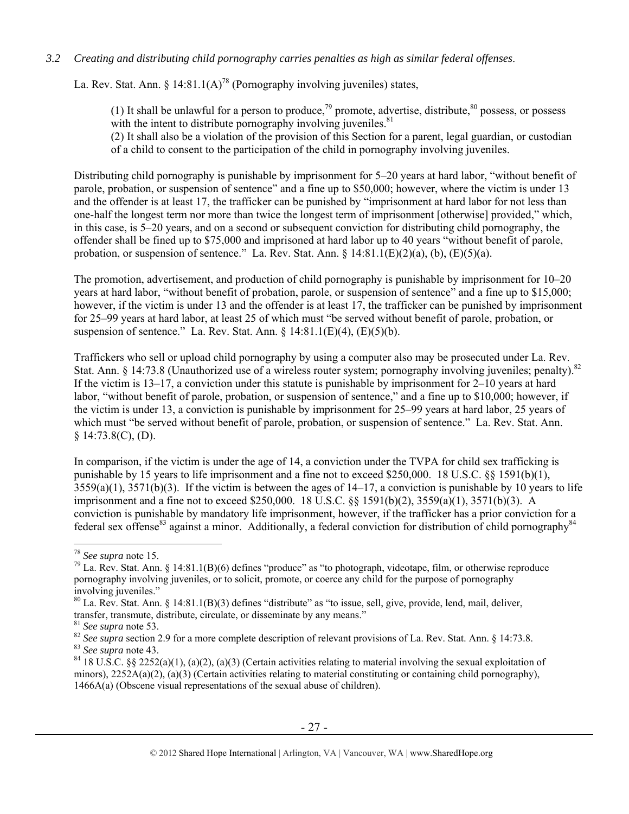## *3.2 Creating and distributing child pornography carries penalties as high as similar federal offenses*.

La. Rev. Stat. Ann.  $\frac{14.81.1(A)^{78}}{P^5}$  (Pornography involving juveniles) states,

(1) It shall be unlawful for a person to produce, <sup>79</sup> promote, advertise, distribute,  $80$  possess, or possess with the intent to distribute pornography involving juveniles.  $81$ (2) It shall also be a violation of the provision of this Section for a parent, legal guardian, or custodian of a child to consent to the participation of the child in pornography involving juveniles.

Distributing child pornography is punishable by imprisonment for 5–20 years at hard labor, "without benefit of parole, probation, or suspension of sentence" and a fine up to \$50,000; however, where the victim is under 13 and the offender is at least 17, the trafficker can be punished by "imprisonment at hard labor for not less than one-half the longest term nor more than twice the longest term of imprisonment [otherwise] provided," which, in this case, is 5–20 years, and on a second or subsequent conviction for distributing child pornography, the offender shall be fined up to \$75,000 and imprisoned at hard labor up to 40 years "without benefit of parole, probation, or suspension of sentence." La. Rev. Stat. Ann.  $\S$  14:81.1(E)(2)(a), (b), (E)(5)(a).

The promotion, advertisement, and production of child pornography is punishable by imprisonment for 10–20 years at hard labor, "without benefit of probation, parole, or suspension of sentence" and a fine up to \$15,000; however, if the victim is under 13 and the offender is at least 17, the trafficker can be punished by imprisonment for 25–99 years at hard labor, at least 25 of which must "be served without benefit of parole, probation, or suspension of sentence." La. Rev. Stat. Ann.  $\S$  14:81.1(E)(4), (E)(5)(b).

Traffickers who sell or upload child pornography by using a computer also may be prosecuted under La. Rev. Stat. Ann. § 14:73.8 (Unauthorized use of a wireless router system; pornography involving juveniles; penalty).<sup>82</sup> If the victim is 13–17, a conviction under this statute is punishable by imprisonment for 2–10 years at hard labor, "without benefit of parole, probation, or suspension of sentence," and a fine up to \$10,000; however, if the victim is under 13, a conviction is punishable by imprisonment for 25–99 years at hard labor, 25 years of which must "be served without benefit of parole, probation, or suspension of sentence." La. Rev. Stat. Ann.  $§$  14:73.8(C), (D).

In comparison, if the victim is under the age of 14, a conviction under the TVPA for child sex trafficking is punishable by 15 years to life imprisonment and a fine not to exceed \$250,000. 18 U.S.C. §§ 1591(b)(1),  $3559(a)(1)$ ,  $3571(b)(3)$ . If the victim is between the ages of  $14-17$ , a conviction is punishable by 10 years to life imprisonment and a fine not to exceed \$250,000. 18 U.S.C. §§ 1591(b)(2), 3559(a)(1), 3571(b)(3). A conviction is punishable by mandatory life imprisonment, however, if the trafficker has a prior conviction for a federal sex offense<sup>83</sup> against a minor. Additionally, a federal conviction for distribution of child pornography<sup>84</sup>

<sup>&</sup>lt;sup>78</sup> *See supra* note 15.<br><sup>79</sup> La. Rev. Stat. Ann. § 14:81.1(B)(6) defines "produce" as "to photograph, videotape, film, or otherwise reproduce pornography involving juveniles, or to solicit, promote, or coerce any child for the purpose of pornography involving juveniles."

 $80$  La. Rev. Stat. Ann. § 14:81.1(B)(3) defines "distribute" as "to issue, sell, give, provide, lend, mail, deliver,

transfer, transmute, distribute, circulate, or disseminate by any means."<br>
<sup>81</sup> See supra note 53.<br>
<sup>82</sup> See supra section 2.9 for a more complete description of relevant provisions of La. Rev. Stat. Ann. § 14:73.8.<br>
<sup>83</sup>

minors),  $2252A(a)(2)$ ,  $(a)(3)$  (Certain activities relating to material constituting or containing child pornography), 1466A(a) (Obscene visual representations of the sexual abuse of children).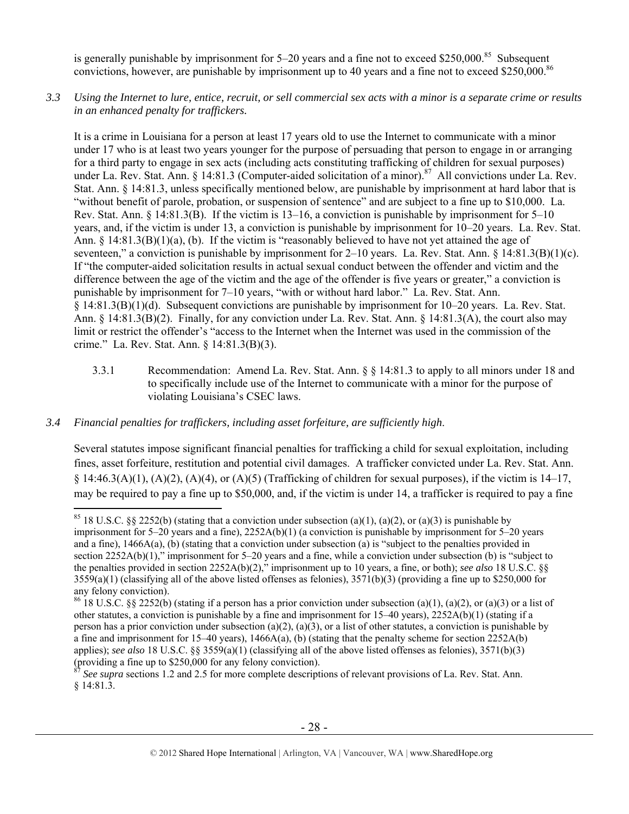is generally punishable by imprisonment for 5–20 years and a fine not to exceed \$250,000.<sup>85</sup> Subsequent convictions, however, are punishable by imprisonment up to 40 years and a fine not to exceed \$250,000.<sup>86</sup>

*3.3 Using the Internet to lure, entice, recruit, or sell commercial sex acts with a minor is a separate crime or results in an enhanced penalty for traffickers.* 

It is a crime in Louisiana for a person at least 17 years old to use the Internet to communicate with a minor under 17 who is at least two years younger for the purpose of persuading that person to engage in or arranging for a third party to engage in sex acts (including acts constituting trafficking of children for sexual purposes) under La. Rev. Stat. Ann. § 14:81.3 (Computer-aided solicitation of a minor).<sup>87</sup> All convictions under La. Rev. Stat. Ann. § 14:81.3, unless specifically mentioned below, are punishable by imprisonment at hard labor that is "without benefit of parole, probation, or suspension of sentence" and are subject to a fine up to \$10,000. La. Rev. Stat. Ann. § 14:81.3(B). If the victim is 13–16, a conviction is punishable by imprisonment for 5–10 years, and, if the victim is under 13, a conviction is punishable by imprisonment for 10–20 years. La. Rev. Stat. Ann.  $\S$  14:81.3(B)(1)(a), (b). If the victim is "reasonably believed to have not yet attained the age of seventeen," a conviction is punishable by imprisonment for 2–10 years. La. Rev. Stat. Ann. § 14:81.3(B)(1)(c). If "the computer-aided solicitation results in actual sexual conduct between the offender and victim and the difference between the age of the victim and the age of the offender is five years or greater," a conviction is punishable by imprisonment for 7–10 years, "with or without hard labor." La. Rev. Stat. Ann. § 14:81.3(B)(1)(d). Subsequent convictions are punishable by imprisonment for 10–20 years. La. Rev. Stat. Ann. § 14:81.3(B)(2). Finally, for any conviction under La. Rev. Stat. Ann. § 14:81.3(A), the court also may limit or restrict the offender's "access to the Internet when the Internet was used in the commission of the crime." La. Rev. Stat. Ann. § 14:81.3(B)(3).

3.3.1 Recommendation: Amend La. Rev. Stat. Ann. § § 14:81.3 to apply to all minors under 18 and to specifically include use of the Internet to communicate with a minor for the purpose of violating Louisiana's CSEC laws.

## *3.4 Financial penalties for traffickers, including asset forfeiture, are sufficiently high*.

 $\overline{a}$ 

Several statutes impose significant financial penalties for trafficking a child for sexual exploitation, including fines, asset forfeiture, restitution and potential civil damages. A trafficker convicted under La. Rev. Stat. Ann. § 14:46.3(A)(1), (A)(2), (A)(4), or (A)(5) (Trafficking of children for sexual purposes), if the victim is 14–17, may be required to pay a fine up to \$50,000, and, if the victim is under 14, a trafficker is required to pay a fine

<sup>&</sup>lt;sup>85</sup> 18 U.S.C. §§ 2252(b) (stating that a conviction under subsection (a)(1), (a)(2), or (a)(3) is punishable by imprisonment for 5–20 years and a fine), 2252A(b)(1) (a conviction is punishable by imprisonment for 5–20 years and a fine),  $1466A(a)$ , (b) (stating that a conviction under subsection (a) is "subject to the penalties provided in section 2252A(b)(1)," imprisonment for 5–20 years and a fine, while a conviction under subsection (b) is "subject to the penalties provided in section 2252A(b)(2)," imprisonment up to 10 years, a fine, or both); *see also* 18 U.S.C. §§  $3559(a)(1)$  (classifying all of the above listed offenses as felonies),  $3571(b)(3)$  (providing a fine up to \$250,000 for any felony conviction).

<sup>&</sup>lt;sup>86</sup> 18 U.S.C. §§ 2252(b) (stating if a person has a prior conviction under subsection (a)(1), (a)(2), or (a)(3) or a list of other statutes, a conviction is punishable by a fine and imprisonment for 15–40 years), 2252A(b)(1) (stating if a person has a prior conviction under subsection (a)(2), (a)(3), or a list of other statutes, a conviction is punishable by a fine and imprisonment for 15–40 years), 1466A(a), (b) (stating that the penalty scheme for section 2252A(b) applies); *see also* 18 U.S.C. §§ 3559(a)(1) (classifying all of the above listed offenses as felonies), 3571(b)(3) (providing a fine up to \$250,000 for any felony conviction).

<sup>87</sup> *See supra* sections 1.2 and 2.5 for more complete descriptions of relevant provisions of La. Rev. Stat. Ann. § 14:81.3.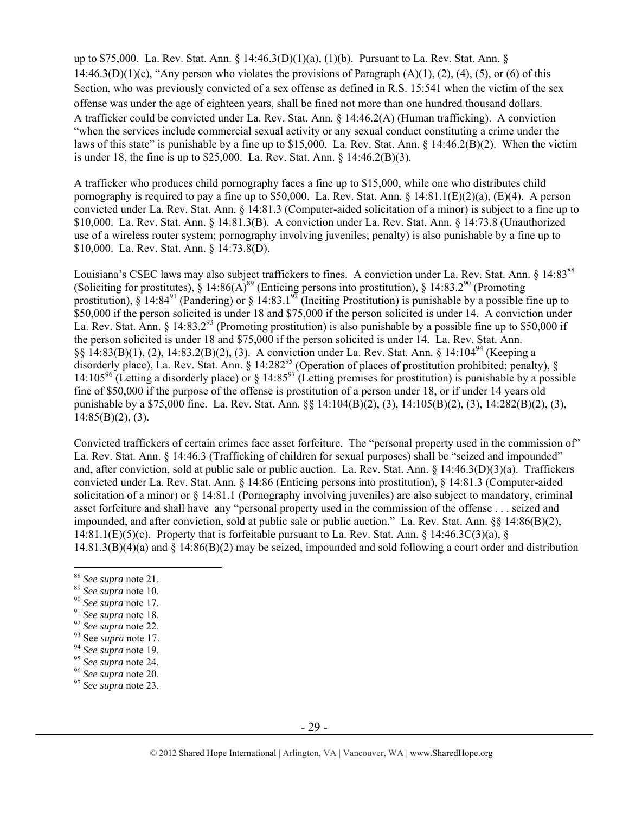up to \$75,000. La. Rev. Stat. Ann. § 14:46.3(D)(1)(a), (1)(b). Pursuant to La. Rev. Stat. Ann. § 14:46.3(D)(1)(c), "Any person who violates the provisions of Paragraph  $(A)(1)$ ,  $(2)$ ,  $(4)$ ,  $(5)$ , or  $(6)$  of this Section, who was previously convicted of a sex offense as defined in R.S. 15:541 when the victim of the sex offense was under the age of eighteen years, shall be fined not more than one hundred thousand dollars. A trafficker could be convicted under La. Rev. Stat. Ann. § 14:46.2(A) (Human trafficking). A conviction "when the services include commercial sexual activity or any sexual conduct constituting a crime under the laws of this state" is punishable by a fine up to \$15,000. La. Rev. Stat. Ann.  $\S$  14:46.2(B)(2). When the victim is under 18, the fine is up to \$25,000. La. Rev. Stat. Ann. § 14:46.2(B)(3).

A trafficker who produces child pornography faces a fine up to \$15,000, while one who distributes child pornography is required to pay a fine up to \$50,000. La. Rev. Stat. Ann. §  $14:81.1(E)(2)(a)$ ,  $(E)(4)$ . A person convicted under La. Rev. Stat. Ann. § 14:81.3 (Computer-aided solicitation of a minor) is subject to a fine up to \$10,000. La. Rev. Stat. Ann. § 14:81.3(B). A conviction under La. Rev. Stat. Ann. § 14:73.8 (Unauthorized use of a wireless router system; pornography involving juveniles; penalty) is also punishable by a fine up to \$10,000. La. Rev. Stat. Ann. § 14:73.8(D).

Louisiana's CSEC laws may also subject traffickers to fines. A conviction under La. Rev. Stat. Ann. § 14:8388 (Soliciting for prostitutes),  $\S 14:86(A)^{89}$  (Enticing persons into prostitution),  $\S 14:83.2^{90}$  (Promoting prostitution),  $\S$  14:84<sup>91</sup> (Pandering) or  $\S$  14:83.1<sup>92</sup> (Inciting Prostitution) is punishable by a possible fine up to \$50,000 if the person solicited is under 18 and \$75,000 if the person solicited is under 14. A conviction under La. Rev. Stat. Ann. § 14:83.2<sup>93</sup> (Promoting prostitution) is also punishable by a possible fine up to \$50,000 if the person solicited is under 18 and \$75,000 if the person solicited is under 14. La. Rev. Stat. Ann. §§ 14:83(B)(1), (2), 14:83.2(B)(2), (3). A conviction under La. Rev. Stat. Ann. § 14:104<sup>94</sup> (Keeping a disorderly place), La. Rev. Stat. Ann. § 14:282<sup>95</sup> (Operation of places of prostitution prohibited; penalty), § 14:105<sup>96</sup> (Letting a disorderly place) or § 14:85<sup>97</sup> (Letting premises for prostitution) is punishable by a possible fine of \$50,000 if the purpose of the offense is prostitution of a person under 18, or if under 14 years old punishable by a \$75,000 fine. La. Rev. Stat. Ann. §§ 14:104(B)(2), (3), 14:105(B)(2), (3), 14:282(B)(2), (3),  $14:85(B)(2)$ , (3).

Convicted traffickers of certain crimes face asset forfeiture. The "personal property used in the commission of" La. Rev. Stat. Ann. § 14:46.3 (Trafficking of children for sexual purposes) shall be "seized and impounded" and, after conviction, sold at public sale or public auction. La. Rev. Stat. Ann. § 14:46.3(D)(3)(a). Traffickers convicted under La. Rev. Stat. Ann. § 14:86 (Enticing persons into prostitution), § 14:81.3 (Computer-aided solicitation of a minor) or § 14:81.1 (Pornography involving juveniles) are also subject to mandatory, criminal asset forfeiture and shall have any "personal property used in the commission of the offense . . . seized and impounded, and after conviction, sold at public sale or public auction." La. Rev. Stat. Ann. §§ 14:86(B)(2), 14:81.1(E)(5)(c). Property that is forfeitable pursuant to La. Rev. Stat. Ann.  $\S$  14:46.3C(3)(a),  $\S$ 14.81.3(B)(4)(a) and § 14:86(B)(2) may be seized, impounded and sold following a court order and distribution

<sup>&</sup>lt;sup>88</sup> See supra note 21.

<sup>&</sup>lt;sup>89</sup> See supra note 10.<br><sup>90</sup> See supra note 17.<br><sup>91</sup> See supra note 18.<br><sup>92</sup> See supra note 22.<br><sup>93</sup> See supra note 17.<br><sup>94</sup> See supra note 19.<br><sup>95</sup> See supra note 24.<br><sup>96</sup> See supra note 20.<br><sup>97</sup> See supra note 20.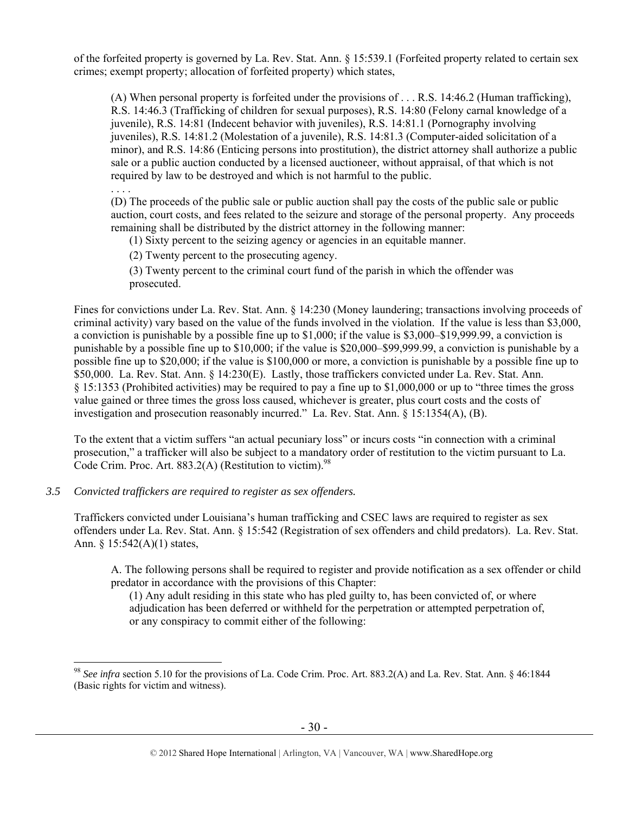of the forfeited property is governed by La. Rev. Stat. Ann. § 15:539.1 (Forfeited property related to certain sex crimes; exempt property; allocation of forfeited property) which states,

(A) When personal property is forfeited under the provisions of . . . R.S. 14:46.2 (Human trafficking), R.S. 14:46.3 (Trafficking of children for sexual purposes), R.S. 14:80 (Felony carnal knowledge of a juvenile), R.S. 14:81 (Indecent behavior with juveniles), R.S. 14:81.1 (Pornography involving juveniles), R.S. 14:81.2 (Molestation of a juvenile), R.S. 14:81.3 (Computer-aided solicitation of a minor), and R.S. 14:86 (Enticing persons into prostitution), the district attorney shall authorize a public sale or a public auction conducted by a licensed auctioneer, without appraisal, of that which is not required by law to be destroyed and which is not harmful to the public.

. . . .

 $\overline{a}$ 

(D) The proceeds of the public sale or public auction shall pay the costs of the public sale or public auction, court costs, and fees related to the seizure and storage of the personal property. Any proceeds remaining shall be distributed by the district attorney in the following manner:

(1) Sixty percent to the seizing agency or agencies in an equitable manner.

(2) Twenty percent to the prosecuting agency.

(3) Twenty percent to the criminal court fund of the parish in which the offender was prosecuted.

Fines for convictions under La. Rev. Stat. Ann. § 14:230 (Money laundering; transactions involving proceeds of criminal activity) vary based on the value of the funds involved in the violation. If the value is less than \$3,000, a conviction is punishable by a possible fine up to \$1,000; if the value is \$3,000–\$19,999.99, a conviction is punishable by a possible fine up to \$10,000; if the value is \$20,000–\$99,999.99, a conviction is punishable by a possible fine up to \$20,000; if the value is \$100,000 or more, a conviction is punishable by a possible fine up to \$50,000. La. Rev. Stat. Ann. § 14:230(E). Lastly, those traffickers convicted under La. Rev. Stat. Ann. § 15:1353 (Prohibited activities) may be required to pay a fine up to \$1,000,000 or up to "three times the gross value gained or three times the gross loss caused, whichever is greater, plus court costs and the costs of investigation and prosecution reasonably incurred." La. Rev. Stat. Ann. § 15:1354(A), (B).

To the extent that a victim suffers "an actual pecuniary loss" or incurs costs "in connection with a criminal prosecution," a trafficker will also be subject to a mandatory order of restitution to the victim pursuant to La. Code Crim. Proc. Art. 883.2(A) (Restitution to victim). $98$ 

*3.5 Convicted traffickers are required to register as sex offenders.*

Traffickers convicted under Louisiana's human trafficking and CSEC laws are required to register as sex offenders under La. Rev. Stat. Ann. § 15:542 (Registration of sex offenders and child predators). La. Rev. Stat. Ann. § 15:542(A)(1) states,

A. The following persons shall be required to register and provide notification as a sex offender or child predator in accordance with the provisions of this Chapter:

(1) Any adult residing in this state who has pled guilty to, has been convicted of, or where adjudication has been deferred or withheld for the perpetration or attempted perpetration of, or any conspiracy to commit either of the following:

<sup>98</sup> *See infra* section 5.10 for the provisions of La. Code Crim. Proc. Art. 883.2(A) and La. Rev. Stat. Ann. § 46:1844 (Basic rights for victim and witness).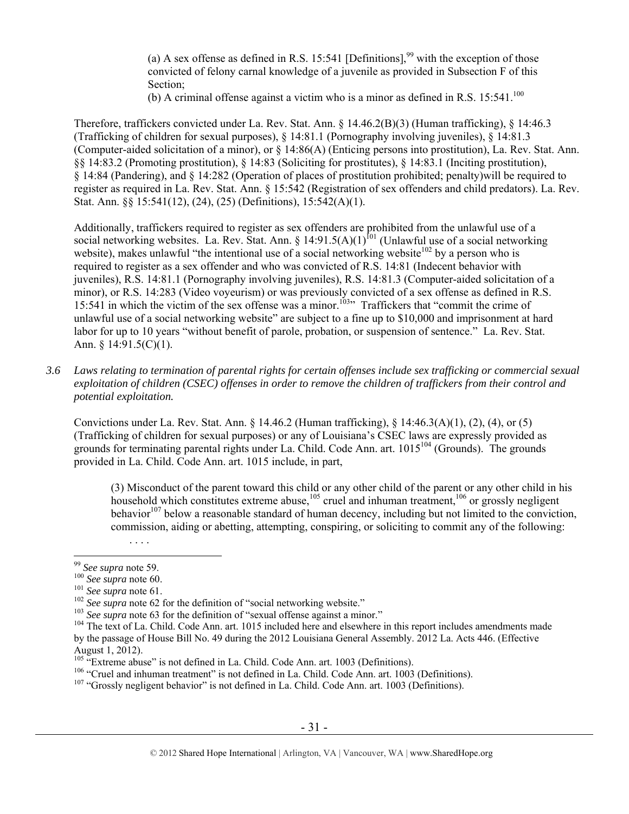(a) A sex offense as defined in R.S. 15:541 [Definitions],<sup>99</sup> with the exception of those convicted of felony carnal knowledge of a juvenile as provided in Subsection F of this Section;

(b) A criminal offense against a victim who is a minor as defined in R.S.  $15:541$ .<sup>100</sup>

Therefore, traffickers convicted under La. Rev. Stat. Ann. § 14.46.2(B)(3) (Human trafficking), § 14:46.3 (Trafficking of children for sexual purposes), § 14:81.1 (Pornography involving juveniles), § 14:81.3 (Computer-aided solicitation of a minor), or § 14:86(A) (Enticing persons into prostitution), La. Rev. Stat. Ann. §§ 14:83.2 (Promoting prostitution), § 14:83 (Soliciting for prostitutes), § 14:83.1 (Inciting prostitution), § 14:84 (Pandering), and § 14:282 (Operation of places of prostitution prohibited; penalty)will be required to register as required in La. Rev. Stat. Ann. § 15:542 (Registration of sex offenders and child predators). La. Rev. Stat. Ann. §§ 15:541(12), (24), (25) (Definitions), 15:542(A)(1).

Additionally, traffickers required to register as sex offenders are prohibited from the unlawful use of a social networking websites. La. Rev. Stat. Ann. § 14:91.5(A)(1)<sup>fol</sup> (Unlawful use of a social networking website), makes unlawful "the intentional use of a social networking website<sup>102</sup> by a person who is required to register as a sex offender and who was convicted of R.S. 14:81 (Indecent behavior with juveniles), R.S. 14:81.1 (Pornography involving juveniles), R.S. 14:81.3 (Computer-aided solicitation of a minor), or R.S. 14:283 (Video voyeurism) or was previously convicted of a sex offense as defined in R.S. 15:541 in which the victim of the sex offense was a minor.<sup>103</sup>" Traffickers that "commit the crime of unlawful use of a social networking website" are subject to a fine up to \$10,000 and imprisonment at hard labor for up to 10 years "without benefit of parole, probation, or suspension of sentence." La. Rev. Stat. Ann. § 14:91.5(C)(1).

*3.6 Laws relating to termination of parental rights for certain offenses include sex trafficking or commercial sexual exploitation of children (CSEC) offenses in order to remove the children of traffickers from their control and potential exploitation.* 

Convictions under La. Rev. Stat. Ann. § 14.46.2 (Human trafficking), § 14:46.3(A)(1), (2), (4), or (5) (Trafficking of children for sexual purposes) or any of Louisiana's CSEC laws are expressly provided as grounds for terminating parental rights under La. Child. Code Ann. art. 1015104 (Grounds). The grounds provided in La. Child. Code Ann. art. 1015 include, in part,

(3) Misconduct of the parent toward this child or any other child of the parent or any other child in his household which constitutes extreme abuse,  $^{105}$  cruel and inhuman treatment,  $^{106}$  or grossly negligent  $\phi$ behavior<sup>107</sup> below a reasonable standard of human decency, including but not limited to the conviction, commission, aiding or abetting, attempting, conspiring, or soliciting to commit any of the following:

. . . .

<sup>&</sup>lt;sup>99</sup> See supra note 59.

the supra note 60.<br>
101 See supra note 60.<br>
101 See supra note 61.<br>
102 See supra note 62 for the definition of "social networking website."<br>
<sup>102</sup> See supra note 63 for the definition of "sexual offense against a minor." by the passage of House Bill No. 49 during the 2012 Louisiana General Assembly. 2012 La. Acts 446. (Effective

August 1, 2012).<br><sup>105</sup> "Extreme abuse" is not defined in La. Child. Code Ann. art. 1003 (Definitions).

<sup>&</sup>lt;sup>106</sup> "Cruel and inhuman treatment" is not defined in La. Child. Code Ann. art. 1003 (Definitions).<br><sup>107</sup> "Grossly negligent behavior" is not defined in La. Child. Code Ann. art. 1003 (Definitions).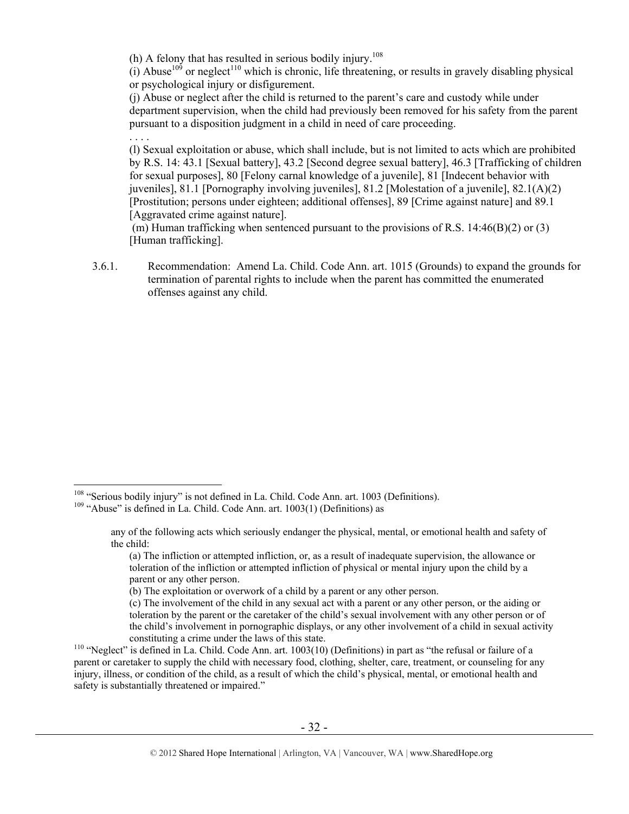(h) A felony that has resulted in serious bodily injury.<sup>108</sup>

. . . .

 $\overline{a}$ 

(i) A buse<sup>109</sup> or neglect<sup>110</sup> which is chronic, life threatening, or results in gravely disabling physical or psychological injury or disfigurement.

(j) Abuse or neglect after the child is returned to the parent's care and custody while under department supervision, when the child had previously been removed for his safety from the parent pursuant to a disposition judgment in a child in need of care proceeding.

(l) Sexual exploitation or abuse, which shall include, but is not limited to acts which are prohibited by R.S. 14: 43.1 [Sexual battery], 43.2 [Second degree sexual battery], 46.3 [Trafficking of children for sexual purposes], 80 [Felony carnal knowledge of a juvenile], 81 [Indecent behavior with juveniles], 81.1 [Pornography involving juveniles], 81.2 [Molestation of a juvenile], 82.1(A)(2) [Prostitution; persons under eighteen; additional offenses], 89 [Crime against nature] and 89.1 [Aggravated crime against nature].

 (m) Human trafficking when sentenced pursuant to the provisions of R.S. 14:46(B)(2) or (3) [Human trafficking].

3.6.1. Recommendation: Amend La. Child. Code Ann. art. 1015 (Grounds) to expand the grounds for termination of parental rights to include when the parent has committed the enumerated offenses against any child.

<sup>&</sup>lt;sup>108</sup> "Serious bodily injury" is not defined in La. Child. Code Ann. art. 1003 (Definitions). <sup>109</sup> "Abuse" is defined in La. Child. Code Ann. art. 1003(1) (Definitions) as

any of the following acts which seriously endanger the physical, mental, or emotional health and safety of the child:

<sup>(</sup>a) The infliction or attempted infliction, or, as a result of inadequate supervision, the allowance or toleration of the infliction or attempted infliction of physical or mental injury upon the child by a parent or any other person.

<sup>(</sup>b) The exploitation or overwork of a child by a parent or any other person.

<sup>(</sup>c) The involvement of the child in any sexual act with a parent or any other person, or the aiding or toleration by the parent or the caretaker of the child's sexual involvement with any other person or of the child's involvement in pornographic displays, or any other involvement of a child in sexual activity constituting a crime under the laws of this state.<br><sup>110</sup> "Neglect" is defined in La. Child. Code Ann. art. 1003(10) (Definitions) in part as "the refusal or failure of a

parent or caretaker to supply the child with necessary food, clothing, shelter, care, treatment, or counseling for any injury, illness, or condition of the child, as a result of which the child's physical, mental, or emotional health and safety is substantially threatened or impaired."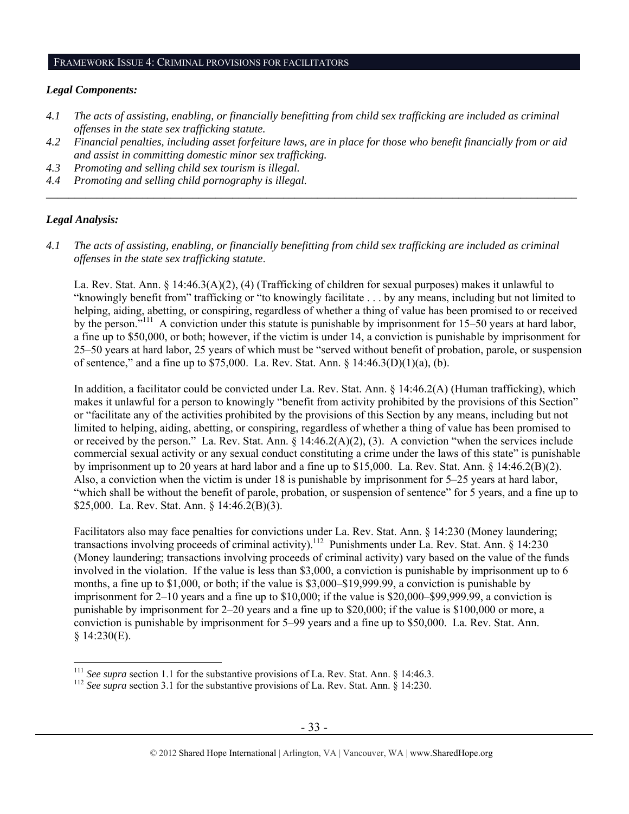## FRAMEWORK ISSUE 4: CRIMINAL PROVISIONS FOR FACILITATORS

#### *Legal Components:*

- *4.1 The acts of assisting, enabling, or financially benefitting from child sex trafficking are included as criminal offenses in the state sex trafficking statute.*
- *4.2 Financial penalties, including asset forfeiture laws, are in place for those who benefit financially from or aid and assist in committing domestic minor sex trafficking.*

*\_\_\_\_\_\_\_\_\_\_\_\_\_\_\_\_\_\_\_\_\_\_\_\_\_\_\_\_\_\_\_\_\_\_\_\_\_\_\_\_\_\_\_\_\_\_\_\_\_\_\_\_\_\_\_\_\_\_\_\_\_\_\_\_\_\_\_\_\_\_\_\_\_\_\_\_\_\_\_\_\_\_\_\_\_\_\_\_\_\_\_\_\_\_* 

- *4.3 Promoting and selling child sex tourism is illegal.*
- *4.4 Promoting and selling child pornography is illegal.*

## *Legal Analysis:*

*4.1 The acts of assisting, enabling, or financially benefitting from child sex trafficking are included as criminal offenses in the state sex trafficking statute*.

La. Rev. Stat. Ann. § 14:46.3(A)(2), (4) (Trafficking of children for sexual purposes) makes it unlawful to "knowingly benefit from" trafficking or "to knowingly facilitate . . . by any means, including but not limited to helping, aiding, abetting, or conspiring, regardless of whether a thing of value has been promised to or received by the person."111 A conviction under this statute is punishable by imprisonment for 15–50 years at hard labor, a fine up to \$50,000, or both; however, if the victim is under 14, a conviction is punishable by imprisonment for 25–50 years at hard labor, 25 years of which must be "served without benefit of probation, parole, or suspension of sentence," and a fine up to \$75,000. La. Rev. Stat. Ann. § 14:46.3(D)(1)(a), (b).

In addition, a facilitator could be convicted under La. Rev. Stat. Ann. § 14:46.2(A) (Human trafficking), which makes it unlawful for a person to knowingly "benefit from activity prohibited by the provisions of this Section" or "facilitate any of the activities prohibited by the provisions of this Section by any means, including but not limited to helping, aiding, abetting, or conspiring, regardless of whether a thing of value has been promised to or received by the person." La. Rev. Stat. Ann. § 14:46.2(A)(2), (3). A conviction "when the services include commercial sexual activity or any sexual conduct constituting a crime under the laws of this state" is punishable by imprisonment up to 20 years at hard labor and a fine up to \$15,000. La. Rev. Stat. Ann. § 14:46.2(B)(2). Also, a conviction when the victim is under 18 is punishable by imprisonment for 5–25 years at hard labor, "which shall be without the benefit of parole, probation, or suspension of sentence" for 5 years, and a fine up to \$25,000. La. Rev. Stat. Ann. § 14:46.2(B)(3).

Facilitators also may face penalties for convictions under La. Rev. Stat. Ann. § 14:230 (Money laundering; transactions involving proceeds of criminal activity).<sup>112</sup> Punishments under La. Rev. Stat. Ann.  $\S$  14:230 (Money laundering; transactions involving proceeds of criminal activity) vary based on the value of the funds involved in the violation. If the value is less than \$3,000, a conviction is punishable by imprisonment up to 6 months, a fine up to \$1,000, or both; if the value is \$3,000–\$19,999.99, a conviction is punishable by imprisonment for 2–10 years and a fine up to \$10,000; if the value is \$20,000–\$99,999.99, a conviction is punishable by imprisonment for 2–20 years and a fine up to \$20,000; if the value is \$100,000 or more, a conviction is punishable by imprisonment for 5–99 years and a fine up to \$50,000. La. Rev. Stat. Ann.  $§$  14:230(E).

 $^{111}$  See supra section 1.1 for the substantive provisions of La. Rev. Stat. Ann. § 14:46.3.

<sup>&</sup>lt;sup>112</sup> See supra section 3.1 for the substantive provisions of La. Rev. Stat. Ann. § 14:230.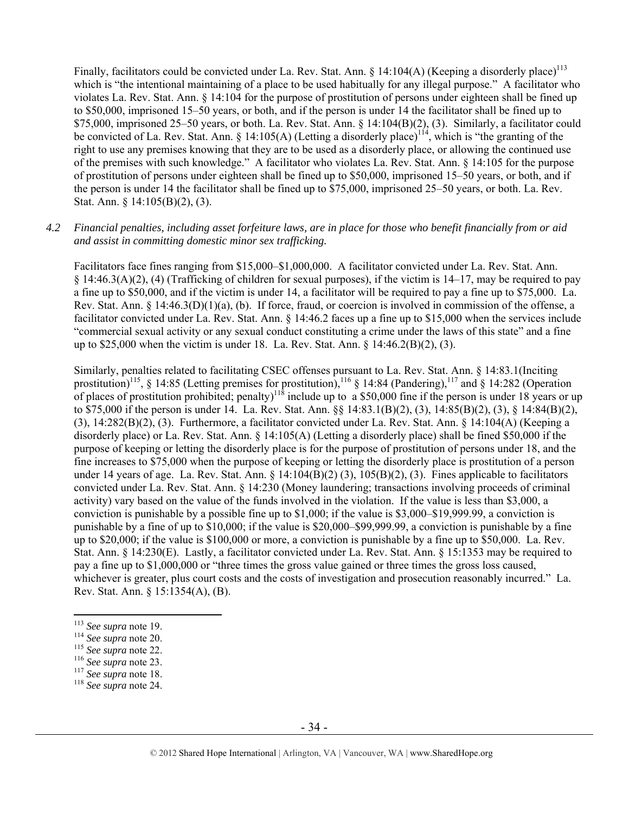Finally, facilitators could be convicted under La. Rev. Stat. Ann. § 14:104(A) (Keeping a disorderly place)<sup>113</sup> which is "the intentional maintaining of a place to be used habitually for any illegal purpose." A facilitator who violates La. Rev. Stat. Ann. § 14:104 for the purpose of prostitution of persons under eighteen shall be fined up to \$50,000, imprisoned 15–50 years, or both, and if the person is under 14 the facilitator shall be fined up to \$75,000, imprisoned 25–50 years, or both. La. Rev. Stat. Ann. § 14:104(B)(2), (3). Similarly, a facilitator could be convicted of La. Rev. Stat. Ann. § 14:105(A) (Letting a disorderly place)<sup>114</sup>, which is "the granting of the right to use any premises knowing that they are to be used as a disorderly place, or allowing the continued use of the premises with such knowledge." A facilitator who violates La. Rev. Stat. Ann. § 14:105 for the purpose of prostitution of persons under eighteen shall be fined up to \$50,000, imprisoned 15–50 years, or both, and if the person is under 14 the facilitator shall be fined up to \$75,000, imprisoned 25–50 years, or both. La. Rev. Stat. Ann. § 14:105(B)(2), (3).

#### *4.2 Financial penalties, including asset forfeiture laws, are in place for those who benefit financially from or aid and assist in committing domestic minor sex trafficking.*

Facilitators face fines ranging from \$15,000–\$1,000,000. A facilitator convicted under La. Rev. Stat. Ann.  $\S$  14:46.3(A)(2), (4) (Trafficking of children for sexual purposes), if the victim is 14–17, may be required to pay a fine up to \$50,000, and if the victim is under 14, a facilitator will be required to pay a fine up to \$75,000. La. Rev. Stat. Ann. § 14:46.3(D)(1)(a), (b). If force, fraud, or coercion is involved in commission of the offense, a facilitator convicted under La. Rev. Stat. Ann. § 14:46.2 faces up a fine up to \$15,000 when the services include "commercial sexual activity or any sexual conduct constituting a crime under the laws of this state" and a fine up to \$25,000 when the victim is under 18. La. Rev. Stat. Ann. § 14:46.2(B)(2), (3).

Similarly, penalties related to facilitating CSEC offenses pursuant to La. Rev. Stat. Ann. § 14:83.1(Inciting prostitution)<sup>115</sup>, § 14:85 (Letting premises for prostitution),<sup>116</sup> § 14:84 (Pandering),<sup>117</sup> and § 14:282 (Operation of places of prostitution prohibited; penalty)<sup>118</sup> include up to a \$50,000 fine if the person is under 18 years or up to \$75,000 if the person is under 14. La. Rev. Stat. Ann. §§ 14:83.1(B)(2), (3), 14:85(B)(2), (3), § 14:84(B)(2), (3), 14:282(B)(2), (3). Furthermore, a facilitator convicted under La. Rev. Stat. Ann. § 14:104(A) (Keeping a disorderly place) or La. Rev. Stat. Ann. § 14:105(A) (Letting a disorderly place) shall be fined \$50,000 if the purpose of keeping or letting the disorderly place is for the purpose of prostitution of persons under 18, and the fine increases to \$75,000 when the purpose of keeping or letting the disorderly place is prostitution of a person under 14 years of age. La. Rev. Stat. Ann. § 14:104(B)(2) (3), 105(B)(2), (3). Fines applicable to facilitators convicted under La. Rev. Stat. Ann. § 14:230 (Money laundering; transactions involving proceeds of criminal activity) vary based on the value of the funds involved in the violation. If the value is less than \$3,000, a conviction is punishable by a possible fine up to \$1,000; if the value is \$3,000–\$19,999.99, a conviction is punishable by a fine of up to \$10,000; if the value is \$20,000–\$99,999.99, a conviction is punishable by a fine up to \$20,000; if the value is \$100,000 or more, a conviction is punishable by a fine up to \$50,000. La. Rev. Stat. Ann. § 14:230(E). Lastly, a facilitator convicted under La. Rev. Stat. Ann. § 15:1353 may be required to pay a fine up to \$1,000,000 or "three times the gross value gained or three times the gross loss caused, whichever is greater, plus court costs and the costs of investigation and prosecution reasonably incurred." La. Rev. Stat. Ann. § 15:1354(A), (B).

<sup>113</sup> *See supra* note 19. 114 *See supra* note 20. 115 *See supra* note 22. 116 *See supra* note 23. 117 *See supra* note 18. 118 *See supra* note 24.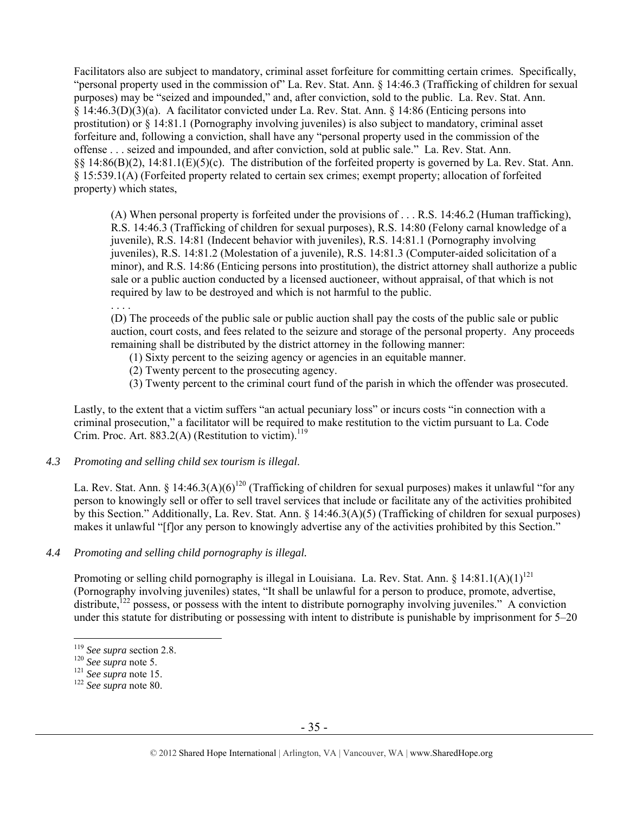Facilitators also are subject to mandatory, criminal asset forfeiture for committing certain crimes. Specifically, "personal property used in the commission of" La. Rev. Stat. Ann. § 14:46.3 (Trafficking of children for sexual purposes) may be "seized and impounded," and, after conviction, sold to the public. La. Rev. Stat. Ann. § 14:46.3(D)(3)(a). A facilitator convicted under La. Rev. Stat. Ann. § 14:86 (Enticing persons into prostitution) or § 14:81.1 (Pornography involving juveniles) is also subject to mandatory, criminal asset forfeiture and, following a conviction, shall have any "personal property used in the commission of the offense . . . seized and impounded, and after conviction, sold at public sale." La. Rev. Stat. Ann. §§ 14:86(B)(2), 14:81.1(E)(5)(c). The distribution of the forfeited property is governed by La. Rev. Stat. Ann. § 15:539.1(A) (Forfeited property related to certain sex crimes; exempt property; allocation of forfeited property) which states,

(A) When personal property is forfeited under the provisions of . . . R.S. 14:46.2 (Human trafficking), R.S. 14:46.3 (Trafficking of children for sexual purposes), R.S. 14:80 (Felony carnal knowledge of a juvenile), R.S. 14:81 (Indecent behavior with juveniles), R.S. 14:81.1 (Pornography involving juveniles), R.S. 14:81.2 (Molestation of a juvenile), R.S. 14:81.3 (Computer-aided solicitation of a minor), and R.S. 14:86 (Enticing persons into prostitution), the district attorney shall authorize a public sale or a public auction conducted by a licensed auctioneer, without appraisal, of that which is not required by law to be destroyed and which is not harmful to the public.

. . . .

(D) The proceeds of the public sale or public auction shall pay the costs of the public sale or public auction, court costs, and fees related to the seizure and storage of the personal property. Any proceeds remaining shall be distributed by the district attorney in the following manner:

- (1) Sixty percent to the seizing agency or agencies in an equitable manner.
- (2) Twenty percent to the prosecuting agency.
- (3) Twenty percent to the criminal court fund of the parish in which the offender was prosecuted.

Lastly, to the extent that a victim suffers "an actual pecuniary loss" or incurs costs "in connection with a criminal prosecution," a facilitator will be required to make restitution to the victim pursuant to La. Code Crim. Proc. Art.  $883.2(A)$  (Restitution to victim).<sup>119</sup>

# *4.3 Promoting and selling child sex tourism is illegal*.

La. Rev. Stat. Ann. § 14:46.3(A)(6)<sup>120</sup> (Trafficking of children for sexual purposes) makes it unlawful "for any person to knowingly sell or offer to sell travel services that include or facilitate any of the activities prohibited by this Section." Additionally, La. Rev. Stat. Ann. § 14:46.3(A)(5) (Trafficking of children for sexual purposes) makes it unlawful "[f]or any person to knowingly advertise any of the activities prohibited by this Section."

## *4.4 Promoting and selling child pornography is illegal.*

Promoting or selling child pornography is illegal in Louisiana. La. Rev. Stat. Ann.  $8\;14:81.1(A)(1)^{121}$ (Pornography involving juveniles) states, "It shall be unlawful for a person to produce, promote, advertise, distribute, $^{122}$  possess, or possess with the intent to distribute pornography involving juveniles." A conviction under this statute for distributing or possessing with intent to distribute is punishable by imprisonment for 5–20

<sup>119</sup> *See supra* section 2.8. 120 *See supra* note 5. 121 *See supra* note 15. 122 *See supra* note 80.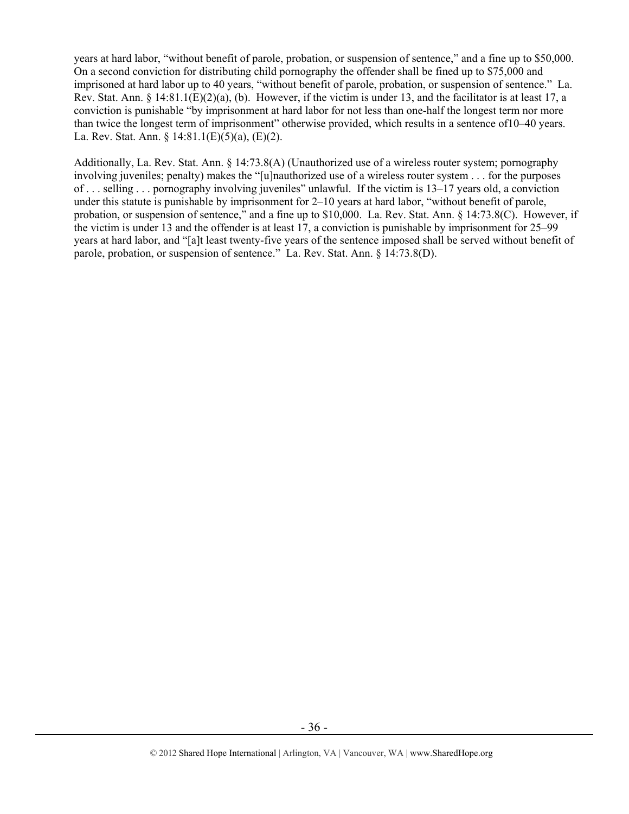years at hard labor, "without benefit of parole, probation, or suspension of sentence," and a fine up to \$50,000. On a second conviction for distributing child pornography the offender shall be fined up to \$75,000 and imprisoned at hard labor up to 40 years, "without benefit of parole, probation, or suspension of sentence." La. Rev. Stat. Ann.  $\S$  14:81.1(E)(2)(a), (b). However, if the victim is under 13, and the facilitator is at least 17, a conviction is punishable "by imprisonment at hard labor for not less than one-half the longest term nor more than twice the longest term of imprisonment" otherwise provided, which results in a sentence of10–40 years. La. Rev. Stat. Ann. § 14:81.1(E)(5)(a), (E)(2).

Additionally, La. Rev. Stat. Ann. § 14:73.8(A) (Unauthorized use of a wireless router system; pornography involving juveniles; penalty) makes the "[u]nauthorized use of a wireless router system . . . for the purposes of . . . selling . . . pornography involving juveniles" unlawful. If the victim is 13–17 years old, a conviction under this statute is punishable by imprisonment for 2–10 years at hard labor, "without benefit of parole, probation, or suspension of sentence," and a fine up to \$10,000. La. Rev. Stat. Ann. § 14:73.8(C). However, if the victim is under 13 and the offender is at least 17, a conviction is punishable by imprisonment for 25–99 years at hard labor, and "[a]t least twenty-five years of the sentence imposed shall be served without benefit of parole, probation, or suspension of sentence." La. Rev. Stat. Ann. § 14:73.8(D).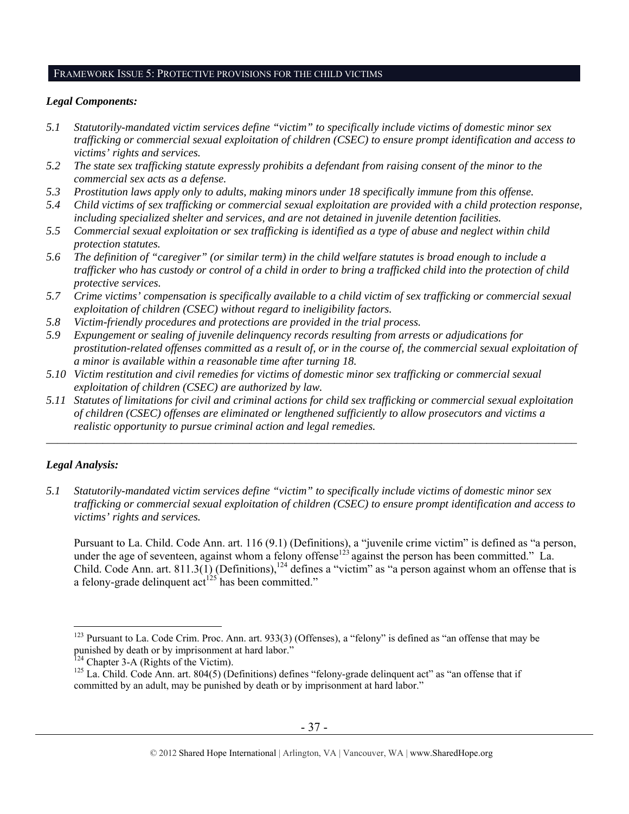#### FRAMEWORK ISSUE 5: PROTECTIVE PROVISIONS FOR THE CHILD VICTIMS

## *Legal Components:*

- *5.1 Statutorily-mandated victim services define "victim" to specifically include victims of domestic minor sex trafficking or commercial sexual exploitation of children (CSEC) to ensure prompt identification and access to victims' rights and services.*
- *5.2 The state sex trafficking statute expressly prohibits a defendant from raising consent of the minor to the commercial sex acts as a defense.*
- *5.3 Prostitution laws apply only to adults, making minors under 18 specifically immune from this offense.*
- *5.4 Child victims of sex trafficking or commercial sexual exploitation are provided with a child protection response, including specialized shelter and services, and are not detained in juvenile detention facilities.*
- *5.5 Commercial sexual exploitation or sex trafficking is identified as a type of abuse and neglect within child protection statutes.*
- *5.6 The definition of "caregiver" (or similar term) in the child welfare statutes is broad enough to include a trafficker who has custody or control of a child in order to bring a trafficked child into the protection of child protective services.*
- *5.7 Crime victims' compensation is specifically available to a child victim of sex trafficking or commercial sexual exploitation of children (CSEC) without regard to ineligibility factors.*
- *5.8 Victim-friendly procedures and protections are provided in the trial process.*
- *5.9 Expungement or sealing of juvenile delinquency records resulting from arrests or adjudications for prostitution-related offenses committed as a result of, or in the course of, the commercial sexual exploitation of a minor is available within a reasonable time after turning 18.*
- *5.10 Victim restitution and civil remedies for victims of domestic minor sex trafficking or commercial sexual exploitation of children (CSEC) are authorized by law.*
- *5.11 Statutes of limitations for civil and criminal actions for child sex trafficking or commercial sexual exploitation of children (CSEC) offenses are eliminated or lengthened sufficiently to allow prosecutors and victims a realistic opportunity to pursue criminal action and legal remedies.*

*\_\_\_\_\_\_\_\_\_\_\_\_\_\_\_\_\_\_\_\_\_\_\_\_\_\_\_\_\_\_\_\_\_\_\_\_\_\_\_\_\_\_\_\_\_\_\_\_\_\_\_\_\_\_\_\_\_\_\_\_\_\_\_\_\_\_\_\_\_\_\_\_\_\_\_\_\_\_\_\_\_\_\_\_\_\_\_\_\_\_\_\_\_\_* 

# *Legal Analysis:*

 $\overline{a}$ 

*5.1 Statutorily-mandated victim services define "victim" to specifically include victims of domestic minor sex trafficking or commercial sexual exploitation of children (CSEC) to ensure prompt identification and access to victims' rights and services.* 

Pursuant to La. Child. Code Ann. art. 116 (9.1) (Definitions), a "juvenile crime victim" is defined as "a person, under the age of seventeen, against whom a felony offense<sup>123</sup> against the person has been committed." La. Child. Code Ann. art. 811.3(1) (Definitions),<sup>124</sup> defines a "victim" as "a person against whom an offense that is a felony-grade delinquent  $\text{act}^{125}$  has been committed."

<sup>&</sup>lt;sup>123</sup> Pursuant to La. Code Crim. Proc. Ann. art. 933(3) (Offenses), a "felony" is defined as "an offense that may be punished by death or by imprisonment at hard labor."<br><sup>124</sup> Chapter 3-A (Rights of the Victim).

<sup>&</sup>lt;sup>125</sup> La. Child. Code Ann. art. 804(5) (Definitions) defines "felony-grade delinquent act" as "an offense that if committed by an adult, may be punished by death or by imprisonment at hard labor."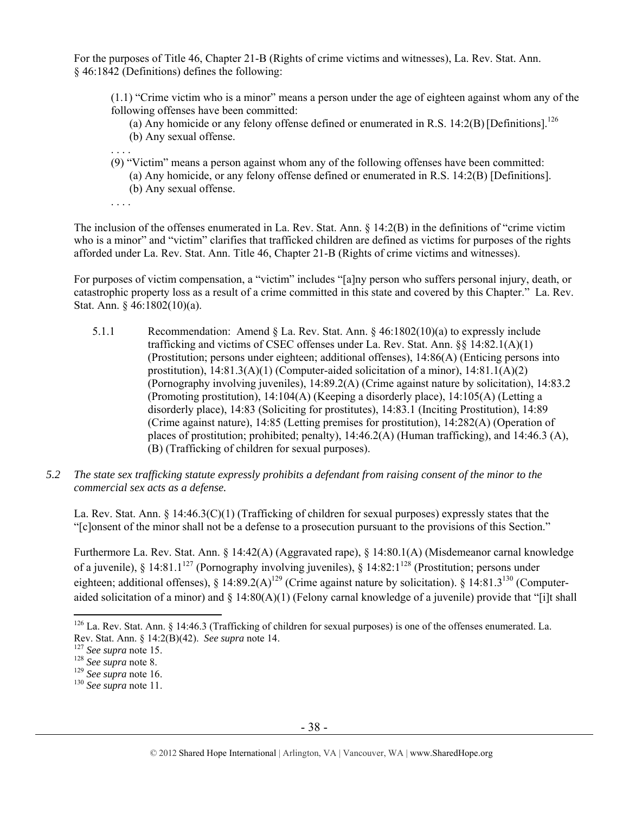For the purposes of Title 46, Chapter 21-B (Rights of crime victims and witnesses), La. Rev. Stat. Ann. § 46:1842 (Definitions) defines the following:

(1.1) "Crime victim who is a minor" means a person under the age of eighteen against whom any of the following offenses have been committed:

- (a) Any homicide or any felony offense defined or enumerated in R.S.  $14:2(B)$  [Definitions].<sup>126</sup>
- (b) Any sexual offense.
- . . . . (9) "Victim" means a person against whom any of the following offenses have been committed: (a) Any homicide, or any felony offense defined or enumerated in R.S. 14:2(B) [Definitions]. (b) Any sexual offense.
- . . . .

The inclusion of the offenses enumerated in La. Rev. Stat. Ann. § 14:2(B) in the definitions of "crime victim who is a minor" and "victim" clarifies that trafficked children are defined as victims for purposes of the rights afforded under La. Rev. Stat. Ann. Title 46, Chapter 21-B (Rights of crime victims and witnesses).

For purposes of victim compensation, a "victim" includes "[a]ny person who suffers personal injury, death, or catastrophic property loss as a result of a crime committed in this state and covered by this Chapter." La. Rev. Stat. Ann. § 46:1802(10)(a).

- 5.1.1 Recommendation: Amend § La. Rev. Stat. Ann. § 46:1802(10)(a) to expressly include trafficking and victims of CSEC offenses under La. Rev. Stat. Ann. §§ 14:82.1(A)(1) (Prostitution; persons under eighteen; additional offenses), 14:86(A) (Enticing persons into prostitution), 14:81.3(A)(1) (Computer-aided solicitation of a minor), 14:81.1(A)(2) (Pornography involving juveniles), 14:89.2(A) (Crime against nature by solicitation), 14:83.2 (Promoting prostitution), 14:104(A) (Keeping a disorderly place), 14:105(A) (Letting a disorderly place), 14:83 (Soliciting for prostitutes), 14:83.1 (Inciting Prostitution), 14:89 (Crime against nature), 14:85 (Letting premises for prostitution), 14:282(A) (Operation of places of prostitution; prohibited; penalty), 14:46.2(A) (Human trafficking), and 14:46.3 (A), (B) (Trafficking of children for sexual purposes).
- *5.2 The state sex trafficking statute expressly prohibits a defendant from raising consent of the minor to the commercial sex acts as a defense.*

La. Rev. Stat. Ann. § 14:46.3(C)(1) (Trafficking of children for sexual purposes) expressly states that the "[c]onsent of the minor shall not be a defense to a prosecution pursuant to the provisions of this Section."

Furthermore La. Rev. Stat. Ann. § 14:42(A) (Aggravated rape), § 14:80.1(A) (Misdemeanor carnal knowledge of a juvenile), § 14:81.1<sup>127</sup> (Pornography involving juveniles), § 14:82:1<sup>128</sup> (Prostitution; persons under eighteen; additional offenses), § 14:89.2(A)<sup>129</sup> (Crime against nature by solicitation). § 14:81.3<sup>130</sup> (Computeraided solicitation of a minor) and  $\S$  14:80(A)(1) (Felony carnal knowledge of a juvenile) provide that "[i]t shall

 $\overline{a}$ <sup>126</sup> La. Rev. Stat. Ann. § 14:46.3 (Trafficking of children for sexual purposes) is one of the offenses enumerated. La. Rev. Stat. Ann. § 14:2(B)(42). *See supra* note 14.<br><sup>127</sup> *See supra* note 15.<br><sup>128</sup> *See supra* note 8.<br><sup>129</sup> *See supra* note 16.<br><sup>130</sup> *See supra* note 11.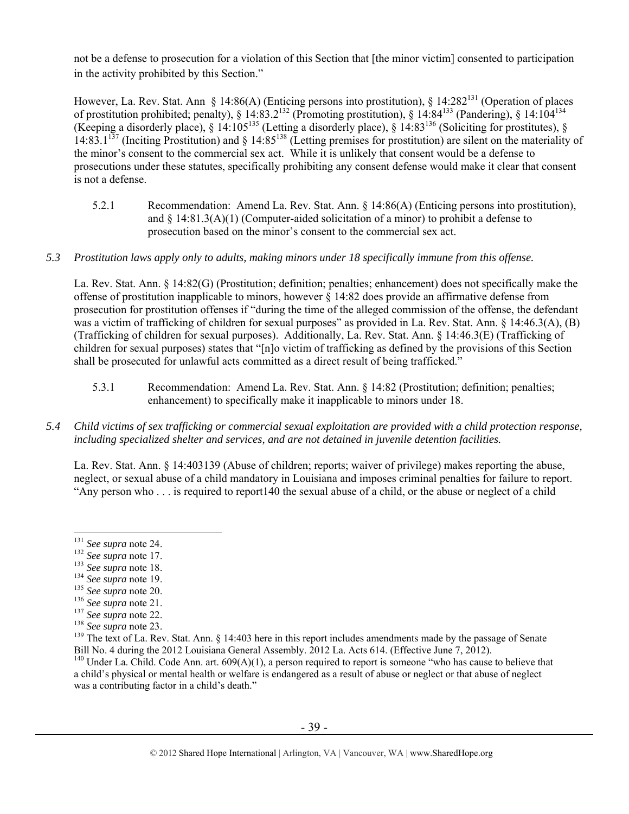not be a defense to prosecution for a violation of this Section that [the minor victim] consented to participation in the activity prohibited by this Section."

However, La. Rev. Stat. Ann § 14:86(A) (Enticing persons into prostitution), § 14:282<sup>131</sup> (Operation of places of prostitution prohibited; penalty), § 14:83.2<sup>132</sup> (Promoting prostitution), § 14:84<sup>133</sup> (Pandering), § 14:104<sup>134</sup> (Keeping a disorderly place), § 14:105<sup>135</sup> (Letting a disorderly place), § 14:83<sup>136</sup> (Soliciting for prostitutes), §  $14:83.1^{137}$  (Inciting Prostitution) and § 14:85<sup>138</sup> (Letting premises for prostitution) are silent on the materiality of the minor's consent to the commercial sex act. While it is unlikely that consent would be a defense to prosecutions under these statutes, specifically prohibiting any consent defense would make it clear that consent is not a defense.

5.2.1 Recommendation: Amend La. Rev. Stat. Ann. § 14:86(A) (Enticing persons into prostitution), and  $\S 14:81.3(A)(1)$  (Computer-aided solicitation of a minor) to prohibit a defense to prosecution based on the minor's consent to the commercial sex act.

## *5.3 Prostitution laws apply only to adults, making minors under 18 specifically immune from this offense.*

La. Rev. Stat. Ann. § 14:82(G) (Prostitution; definition; penalties; enhancement) does not specifically make the offense of prostitution inapplicable to minors, however § 14:82 does provide an affirmative defense from prosecution for prostitution offenses if "during the time of the alleged commission of the offense, the defendant was a victim of trafficking of children for sexual purposes" as provided in La. Rev. Stat. Ann. § 14:46.3(A), (B) (Trafficking of children for sexual purposes). Additionally, La. Rev. Stat. Ann. § 14:46.3(E) (Trafficking of children for sexual purposes) states that "[n]o victim of trafficking as defined by the provisions of this Section shall be prosecuted for unlawful acts committed as a direct result of being trafficked."

- 5.3.1 Recommendation: Amend La. Rev. Stat. Ann. § 14:82 (Prostitution; definition; penalties; enhancement) to specifically make it inapplicable to minors under 18.
- *5.4 Child victims of sex trafficking or commercial sexual exploitation are provided with a child protection response, including specialized shelter and services, and are not detained in juvenile detention facilities.*

La. Rev. Stat. Ann. § 14:403139 (Abuse of children; reports; waiver of privilege) makes reporting the abuse, neglect, or sexual abuse of a child mandatory in Louisiana and imposes criminal penalties for failure to report. "Any person who . . . is required to report140 the sexual abuse of a child, or the abuse or neglect of a child

<sup>140</sup> Under La. Child. Code Ann. art. 609(A)(1), a person required to report is someone "who has cause to believe that a child's physical or mental health or welfare is endangered as a result of abuse or neglect or that abuse of neglect was a contributing factor in a child's death."

<sup>&</sup>lt;sup>131</sup> See supra note 24.

<sup>&</sup>lt;sup>132</sup> See supra note 17.<br>
<sup>133</sup> See supra note 18.<br>
<sup>134</sup> See supra note 19.<br>
<sup>135</sup> See supra note 20.<br>
<sup>136</sup> See supra note 21.<br>
<sup>136</sup> See supra note 21.<br>
<sup>137</sup> See supra note 22.<br>
<sup>138</sup> See supra note 23.<br>
<sup>139</sup> The tex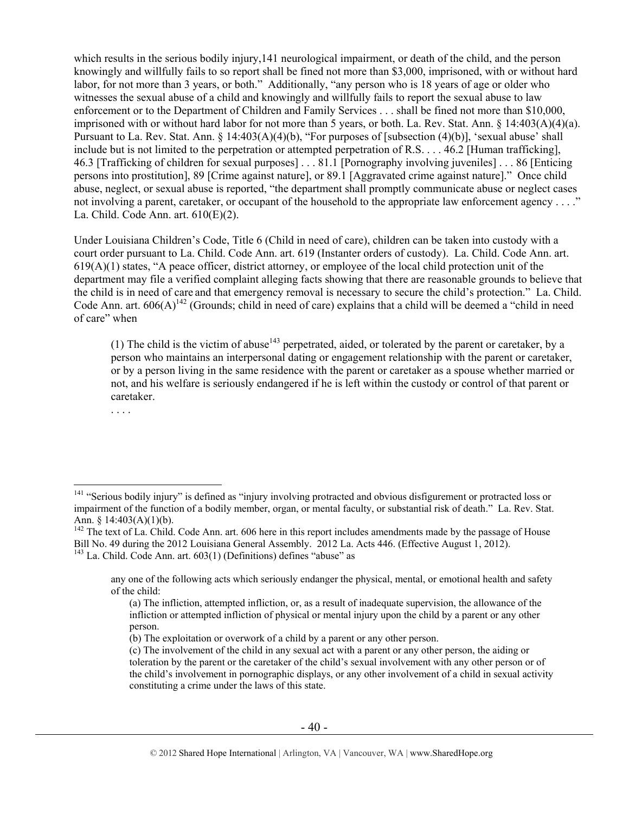which results in the serious bodily injury,141 neurological impairment, or death of the child, and the person knowingly and willfully fails to so report shall be fined not more than \$3,000, imprisoned, with or without hard labor, for not more than 3 years, or both." Additionally, "any person who is 18 years of age or older who witnesses the sexual abuse of a child and knowingly and willfully fails to report the sexual abuse to law enforcement or to the Department of Children and Family Services . . . shall be fined not more than \$10,000, imprisoned with or without hard labor for not more than 5 years, or both. La. Rev. Stat. Ann. § 14:403(A)(4)(a). Pursuant to La. Rev. Stat. Ann. § 14:403(A)(4)(b), "For purposes of [subsection (4)(b)], 'sexual abuse' shall include but is not limited to the perpetration or attempted perpetration of R.S. . . . 46.2 [Human trafficking], 46.3 [Trafficking of children for sexual purposes] . . . 81.1 [Pornography involving juveniles] . . . 86 [Enticing persons into prostitution], 89 [Crime against nature], or 89.1 [Aggravated crime against nature]." Once child abuse, neglect, or sexual abuse is reported, "the department shall promptly communicate abuse or neglect cases not involving a parent, caretaker, or occupant of the household to the appropriate law enforcement agency . . . ." La. Child. Code Ann. art. 610(E)(2).

Under Louisiana Children's Code, Title 6 (Child in need of care), children can be taken into custody with a court order pursuant to La. Child. Code Ann. art. 619 (Instanter orders of custody). La. Child. Code Ann. art.  $619(A)(1)$  states, "A peace officer, district attorney, or employee of the local child protection unit of the department may file a verified complaint alleging facts showing that there are reasonable grounds to believe that the child is in need of care and that emergency removal is necessary to secure the child's protection." La. Child. Code Ann. art.  $606(A)^{142}$  (Grounds; child in need of care) explains that a child will be deemed a "child in need of care" when

(1) The child is the victim of abuse<sup>143</sup> perpetrated, aided, or tolerated by the parent or caretaker, by a person who maintains an interpersonal dating or engagement relationship with the parent or caretaker, or by a person living in the same residence with the parent or caretaker as a spouse whether married or not, and his welfare is seriously endangered if he is left within the custody or control of that parent or caretaker.

. . . .

<sup>&</sup>lt;sup>141</sup> "Serious bodily injury" is defined as "injury involving protracted and obvious disfigurement or protracted loss or impairment of the function of a bodily member, organ, or mental faculty, or substantial risk of death." La. Rev. Stat. Ann. § 14:403(A)(1)(b).

 $142$  The text of La. Child. Code Ann. art. 606 here in this report includes amendments made by the passage of House Bill No. 49 during the 2012 Louisiana General Assembly. 2012 La. Acts 446. (Effective August 1, 2012).  $143$  La. Child. Code Ann. art.  $603(1)$  (Definitions) defines "abuse" as

any one of the following acts which seriously endanger the physical, mental, or emotional health and safety of the child:

<sup>(</sup>a) The infliction, attempted infliction, or, as a result of inadequate supervision, the allowance of the infliction or attempted infliction of physical or mental injury upon the child by a parent or any other person.

<sup>(</sup>b) The exploitation or overwork of a child by a parent or any other person.

<sup>(</sup>c) The involvement of the child in any sexual act with a parent or any other person, the aiding or toleration by the parent or the caretaker of the child's sexual involvement with any other person or of the child's involvement in pornographic displays, or any other involvement of a child in sexual activity constituting a crime under the laws of this state.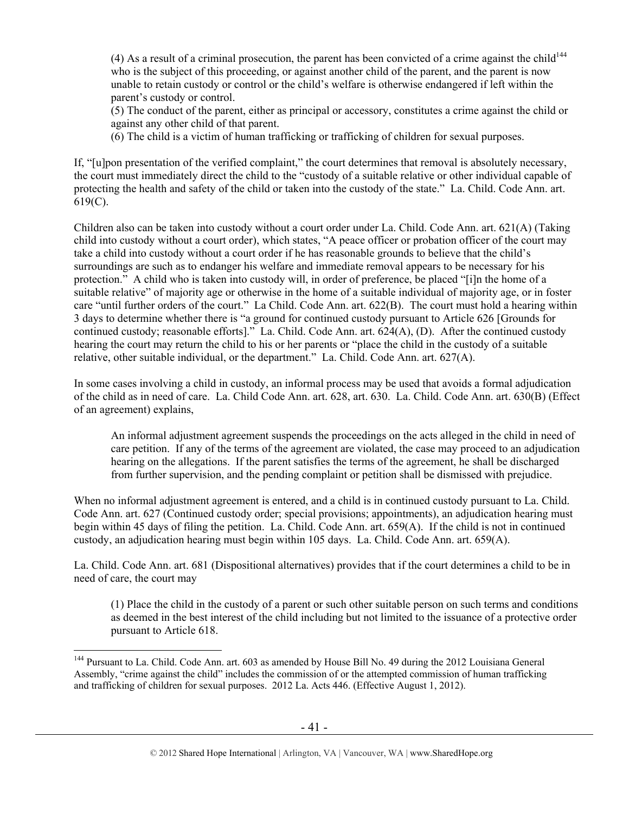(4) As a result of a criminal prosecution, the parent has been convicted of a crime against the child<sup>144</sup> who is the subject of this proceeding, or against another child of the parent, and the parent is now unable to retain custody or control or the child's welfare is otherwise endangered if left within the parent's custody or control.

(5) The conduct of the parent, either as principal or accessory, constitutes a crime against the child or against any other child of that parent.

(6) The child is a victim of human trafficking or trafficking of children for sexual purposes.

If, "[u]pon presentation of the verified complaint," the court determines that removal is absolutely necessary, the court must immediately direct the child to the "custody of a suitable relative or other individual capable of protecting the health and safety of the child or taken into the custody of the state." La. Child. Code Ann. art. 619(C).

Children also can be taken into custody without a court order under La. Child. Code Ann. art. 621(A) (Taking child into custody without a court order), which states, "A peace officer or probation officer of the court may take a child into custody without a court order if he has reasonable grounds to believe that the child's surroundings are such as to endanger his welfare and immediate removal appears to be necessary for his protection." A child who is taken into custody will, in order of preference, be placed "[i]n the home of a suitable relative" of majority age or otherwise in the home of a suitable individual of majority age, or in foster care "until further orders of the court." La Child. Code Ann. art. 622(B). The court must hold a hearing within 3 days to determine whether there is "a ground for continued custody pursuant to Article 626 [Grounds for continued custody; reasonable efforts]." La. Child. Code Ann. art. 624(A), (D). After the continued custody hearing the court may return the child to his or her parents or "place the child in the custody of a suitable relative, other suitable individual, or the department." La. Child. Code Ann. art. 627(A).

In some cases involving a child in custody, an informal process may be used that avoids a formal adjudication of the child as in need of care. La. Child Code Ann. art. 628, art. 630. La. Child. Code Ann. art. 630(B) (Effect of an agreement) explains,

An informal adjustment agreement suspends the proceedings on the acts alleged in the child in need of care petition. If any of the terms of the agreement are violated, the case may proceed to an adjudication hearing on the allegations. If the parent satisfies the terms of the agreement, he shall be discharged from further supervision, and the pending complaint or petition shall be dismissed with prejudice.

When no informal adjustment agreement is entered, and a child is in continued custody pursuant to La. Child. Code Ann. art. 627 (Continued custody order; special provisions; appointments), an adjudication hearing must begin within 45 days of filing the petition. La. Child. Code Ann. art. 659(A). If the child is not in continued custody, an adjudication hearing must begin within 105 days. La. Child. Code Ann. art. 659(A).

La. Child. Code Ann. art. 681 (Dispositional alternatives) provides that if the court determines a child to be in need of care, the court may

(1) Place the child in the custody of a parent or such other suitable person on such terms and conditions as deemed in the best interest of the child including but not limited to the issuance of a protective order pursuant to Article 618.

 $\overline{a}$ <sup>144</sup> Pursuant to La. Child. Code Ann. art. 603 as amended by House Bill No. 49 during the 2012 Louisiana General Assembly, "crime against the child" includes the commission of or the attempted commission of human trafficking and trafficking of children for sexual purposes. 2012 La. Acts 446. (Effective August 1, 2012).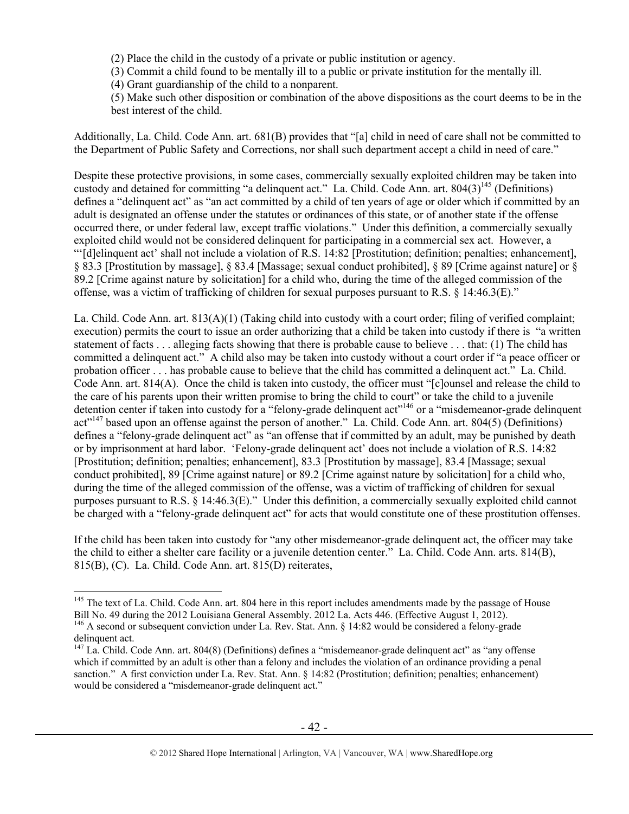(2) Place the child in the custody of a private or public institution or agency.

(3) Commit a child found to be mentally ill to a public or private institution for the mentally ill.

(4) Grant guardianship of the child to a nonparent.

(5) Make such other disposition or combination of the above dispositions as the court deems to be in the best interest of the child.

Additionally, La. Child. Code Ann. art. 681(B) provides that "[a] child in need of care shall not be committed to the Department of Public Safety and Corrections, nor shall such department accept a child in need of care."

Despite these protective provisions, in some cases, commercially sexually exploited children may be taken into custody and detained for committing "a delinquent act." La. Child. Code Ann. art. 804(3)<sup>145</sup> (Definitions) defines a "delinquent act" as "an act committed by a child of ten years of age or older which if committed by an adult is designated an offense under the statutes or ordinances of this state, or of another state if the offense occurred there, or under federal law, except traffic violations." Under this definition, a commercially sexually exploited child would not be considered delinquent for participating in a commercial sex act. However, a "'[d]elinquent act' shall not include a violation of R.S. 14:82 [Prostitution; definition; penalties; enhancement], § 83.3 [Prostitution by massage], § 83.4 [Massage; sexual conduct prohibited], § 89 [Crime against nature] or § 89.2 [Crime against nature by solicitation] for a child who, during the time of the alleged commission of the offense, was a victim of trafficking of children for sexual purposes pursuant to R.S. § 14:46.3(E)."

La. Child. Code Ann. art. 813(A)(1) (Taking child into custody with a court order; filing of verified complaint; execution) permits the court to issue an order authorizing that a child be taken into custody if there is "a written statement of facts . . . alleging facts showing that there is probable cause to believe . . . that: (1) The child has committed a delinquent act." A child also may be taken into custody without a court order if "a peace officer or probation officer . . . has probable cause to believe that the child has committed a delinquent act." La. Child. Code Ann. art. 814(A). Once the child is taken into custody, the officer must "[c]ounsel and release the child to the care of his parents upon their written promise to bring the child to court" or take the child to a juvenile detention center if taken into custody for a "felony-grade delinquent act"<sup>146</sup> or a "misdemeanor-grade delinquent act<sup>"147</sup> based upon an offense against the person of another." La. Child. Code Ann. art. 804(5) (Definitions) defines a "felony-grade delinquent act" as "an offense that if committed by an adult, may be punished by death or by imprisonment at hard labor. 'Felony-grade delinquent act' does not include a violation of R.S. 14:82 [Prostitution; definition; penalties; enhancement], 83.3 [Prostitution by massage], 83.4 [Massage; sexual conduct prohibited], 89 [Crime against nature] or 89.2 [Crime against nature by solicitation] for a child who, during the time of the alleged commission of the offense, was a victim of trafficking of children for sexual purposes pursuant to R.S. § 14:46.3(E)." Under this definition, a commercially sexually exploited child cannot be charged with a "felony-grade delinquent act" for acts that would constitute one of these prostitution offenses.

If the child has been taken into custody for "any other misdemeanor-grade delinquent act, the officer may take the child to either a shelter care facility or a juvenile detention center." La. Child. Code Ann. arts. 814(B), 815(B), (C). La. Child. Code Ann. art. 815(D) reiterates,

<sup>&</sup>lt;sup>145</sup> The text of La. Child. Code Ann. art. 804 here in this report includes amendments made by the passage of House Bill No. 49 during the 2012 Louisiana General Assembly. 2012 La. Acts 446. (Effective August 1, 2012). <sup>146</sup> A second or subsequent conviction under La. Rev. Stat. Ann. § 14:82 would be considered a felony-grade

delinquent act.

<sup>&</sup>lt;sup>147</sup> La. Child. Code Ann. art. 804(8) (Definitions) defines a "misdemeanor-grade delinquent act" as "any offense which if committed by an adult is other than a felony and includes the violation of an ordinance providing a penal sanction." A first conviction under La. Rev. Stat. Ann. § 14:82 (Prostitution; definition; penalties; enhancement) would be considered a "misdemeanor-grade delinquent act."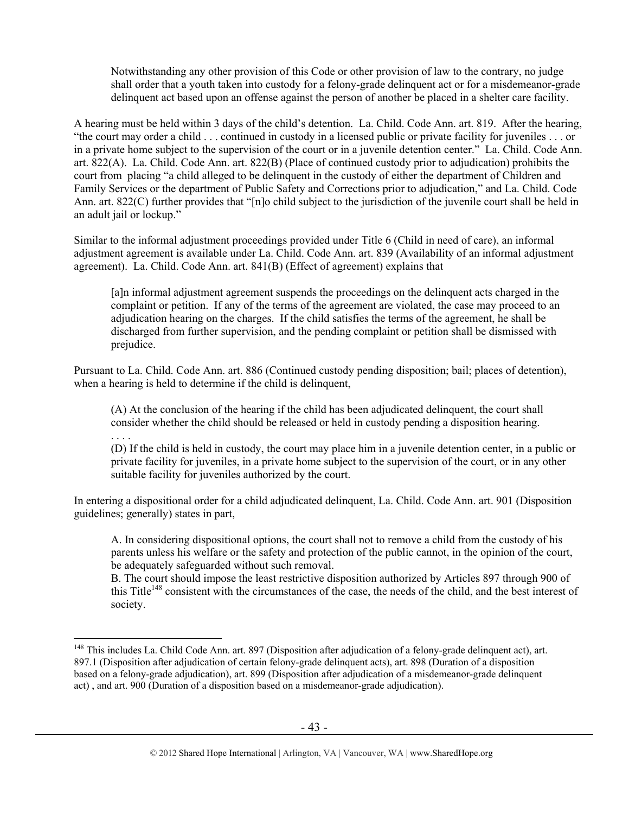Notwithstanding any other provision of this Code or other provision of law to the contrary, no judge shall order that a youth taken into custody for a felony-grade delinquent act or for a misdemeanor-grade delinquent act based upon an offense against the person of another be placed in a shelter care facility.

A hearing must be held within 3 days of the child's detention. La. Child. Code Ann. art. 819. After the hearing, "the court may order a child . . . continued in custody in a licensed public or private facility for juveniles . . . or in a private home subject to the supervision of the court or in a juvenile detention center." La. Child. Code Ann. art. 822(A). La. Child. Code Ann. art. 822(B) (Place of continued custody prior to adjudication) prohibits the court from placing "a child alleged to be delinquent in the custody of either the department of Children and Family Services or the department of Public Safety and Corrections prior to adjudication," and La. Child. Code Ann. art. 822(C) further provides that "[n]o child subject to the jurisdiction of the juvenile court shall be held in an adult jail or lockup."

Similar to the informal adjustment proceedings provided under Title 6 (Child in need of care), an informal adjustment agreement is available under La. Child. Code Ann. art. 839 (Availability of an informal adjustment agreement). La. Child. Code Ann. art. 841(B) (Effect of agreement) explains that

[a]n informal adjustment agreement suspends the proceedings on the delinquent acts charged in the complaint or petition. If any of the terms of the agreement are violated, the case may proceed to an adjudication hearing on the charges. If the child satisfies the terms of the agreement, he shall be discharged from further supervision, and the pending complaint or petition shall be dismissed with prejudice.

Pursuant to La. Child. Code Ann. art. 886 (Continued custody pending disposition; bail; places of detention), when a hearing is held to determine if the child is delinquent,

. . . .

 $\overline{a}$ 

(A) At the conclusion of the hearing if the child has been adjudicated delinquent, the court shall consider whether the child should be released or held in custody pending a disposition hearing.

(D) If the child is held in custody, the court may place him in a juvenile detention center, in a public or private facility for juveniles, in a private home subject to the supervision of the court, or in any other suitable facility for juveniles authorized by the court.

In entering a dispositional order for a child adjudicated delinquent, La. Child. Code Ann. art. 901 (Disposition guidelines; generally) states in part,

A. In considering dispositional options, the court shall not to remove a child from the custody of his parents unless his welfare or the safety and protection of the public cannot, in the opinion of the court, be adequately safeguarded without such removal.

B. The court should impose the least restrictive disposition authorized by Articles 897 through 900 of this Title<sup>148</sup> consistent with the circumstances of the case, the needs of the child, and the best interest of society.

<sup>&</sup>lt;sup>148</sup> This includes La. Child Code Ann. art. 897 (Disposition after adjudication of a felony-grade delinquent act), art. 897.1 (Disposition after adjudication of certain felony-grade delinquent acts), art. 898 (Duration of a disposition based on a felony-grade adjudication), art. 899 (Disposition after adjudication of a misdemeanor-grade delinquent act) , and art. 900 (Duration of a disposition based on a misdemeanor-grade adjudication).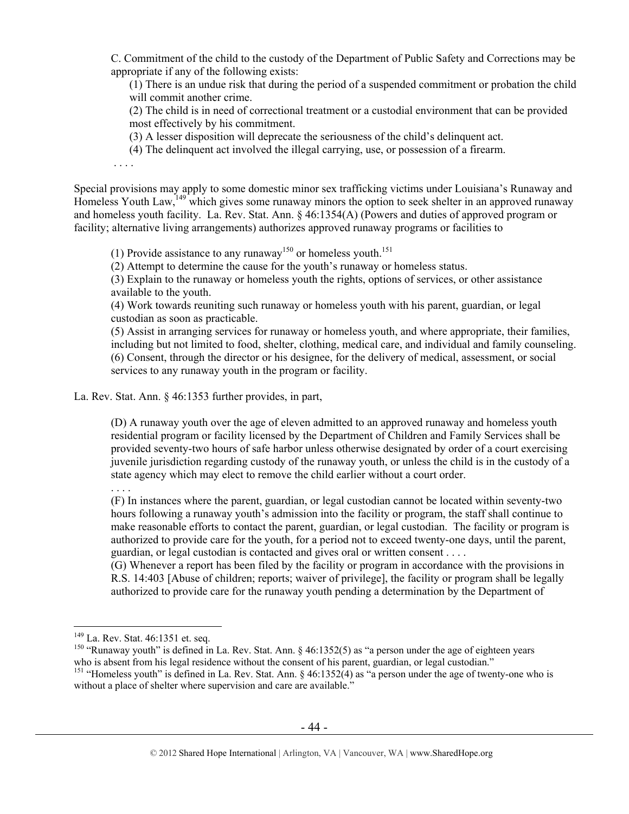C. Commitment of the child to the custody of the Department of Public Safety and Corrections may be appropriate if any of the following exists:

(1) There is an undue risk that during the period of a suspended commitment or probation the child will commit another crime.

(2) The child is in need of correctional treatment or a custodial environment that can be provided most effectively by his commitment.

(3) A lesser disposition will deprecate the seriousness of the child's delinquent act.

(4) The delinquent act involved the illegal carrying, use, or possession of a firearm.

. . . .

Special provisions may apply to some domestic minor sex trafficking victims under Louisiana's Runaway and Homeless Youth Law,<sup>149</sup> which gives some runaway minors the option to seek shelter in an approved runaway and homeless youth facility. La. Rev. Stat. Ann. § 46:1354(A) (Powers and duties of approved program or facility; alternative living arrangements) authorizes approved runaway programs or facilities to

(1) Provide assistance to any runaway<sup>150</sup> or homeless youth.<sup>151</sup>

(2) Attempt to determine the cause for the youth's runaway or homeless status.

(3) Explain to the runaway or homeless youth the rights, options of services, or other assistance available to the youth.

(4) Work towards reuniting such runaway or homeless youth with his parent, guardian, or legal custodian as soon as practicable.

(5) Assist in arranging services for runaway or homeless youth, and where appropriate, their families, including but not limited to food, shelter, clothing, medical care, and individual and family counseling. (6) Consent, through the director or his designee, for the delivery of medical, assessment, or social services to any runaway youth in the program or facility.

La. Rev. Stat. Ann. § 46:1353 further provides, in part,

(D) A runaway youth over the age of eleven admitted to an approved runaway and homeless youth residential program or facility licensed by the Department of Children and Family Services shall be provided seventy-two hours of safe harbor unless otherwise designated by order of a court exercising juvenile jurisdiction regarding custody of the runaway youth, or unless the child is in the custody of a state agency which may elect to remove the child earlier without a court order.

. . . .

 $\overline{a}$ 

(F) In instances where the parent, guardian, or legal custodian cannot be located within seventy-two hours following a runaway youth's admission into the facility or program, the staff shall continue to make reasonable efforts to contact the parent, guardian, or legal custodian. The facility or program is authorized to provide care for the youth, for a period not to exceed twenty-one days, until the parent, guardian, or legal custodian is contacted and gives oral or written consent . . . .

(G) Whenever a report has been filed by the facility or program in accordance with the provisions in R.S. 14:403 [Abuse of children; reports; waiver of privilege], the facility or program shall be legally authorized to provide care for the runaway youth pending a determination by the Department of

<sup>&</sup>lt;sup>149</sup> La. Rev. Stat. 46:1351 et. seq.<br><sup>150</sup> "Runaway youth" is defined in La. Rev. Stat. Ann. § 46:1352(5) as "a person under the age of eighteen years who is absent from his legal residence without the consent of his parent, guardian, or legal custodian."

<sup>&</sup>lt;sup>151</sup> "Homeless youth" is defined in La. Rev. Stat. Ann.  $\S$  46:1352(4) as "a person under the age of twenty-one who is without a place of shelter where supervision and care are available."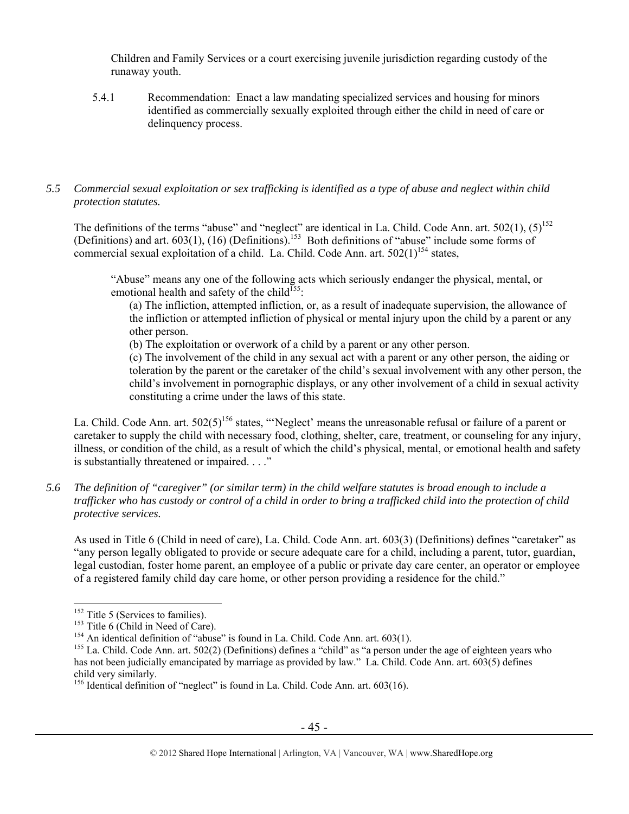Children and Family Services or a court exercising juvenile jurisdiction regarding custody of the runaway youth.

5.4.1 Recommendation: Enact a law mandating specialized services and housing for minors identified as commercially sexually exploited through either the child in need of care or delinquency process.

# *5.5 Commercial sexual exploitation or sex trafficking is identified as a type of abuse and neglect within child protection statutes.*

The definitions of the terms "abuse" and "neglect" are identical in La. Child. Code Ann. art.  $502(1)$ ,  $(5)^{152}$ (Definitions) and art.  $603(1)$ ,  $(16)$  (Definitions).<sup>153</sup> Both definitions of "abuse" include some forms of commercial sexual exploitation of a child. La. Child. Code Ann. art.  $502(1)^{154}$  states,

"Abuse" means any one of the following acts which seriously endanger the physical, mental, or emotional health and safety of the child<sup>155</sup>:

(a) The infliction, attempted infliction, or, as a result of inadequate supervision, the allowance of the infliction or attempted infliction of physical or mental injury upon the child by a parent or any other person.

(b) The exploitation or overwork of a child by a parent or any other person.

(c) The involvement of the child in any sexual act with a parent or any other person, the aiding or toleration by the parent or the caretaker of the child's sexual involvement with any other person, the child's involvement in pornographic displays, or any other involvement of a child in sexual activity constituting a crime under the laws of this state.

La. Child. Code Ann. art.  $502(5)^{156}$  states, "'Neglect' means the unreasonable refusal or failure of a parent or caretaker to supply the child with necessary food, clothing, shelter, care, treatment, or counseling for any injury, illness, or condition of the child, as a result of which the child's physical, mental, or emotional health and safety is substantially threatened or impaired. . . ."

*5.6 The definition of "caregiver" (or similar term) in the child welfare statutes is broad enough to include a trafficker who has custody or control of a child in order to bring a trafficked child into the protection of child protective services.* 

As used in Title 6 (Child in need of care), La. Child. Code Ann. art. 603(3) (Definitions) defines "caretaker" as "any person legally obligated to provide or secure adequate care for a child, including a parent, tutor, guardian, legal custodian, foster home parent, an employee of a public or private day care center, an operator or employee of a registered family child day care home, or other person providing a residence for the child."

 $152$  Title 5 (Services to families).

<sup>&</sup>lt;sup>153</sup> Title 6 (Child in Need of Care).<br><sup>154</sup> An identical definition of "abuse" is found in La. Child. Code Ann. art. 603(1).<br><sup>155</sup> La. Child. Code Ann. art. 502(2) (Definitions) defines a "child" as "a person under the a has not been judicially emancipated by marriage as provided by law." La. Child. Code Ann. art. 603(5) defines child very similarly.

<sup>&</sup>lt;sup>156</sup> Identical definition of "neglect" is found in La. Child. Code Ann. art. 603(16).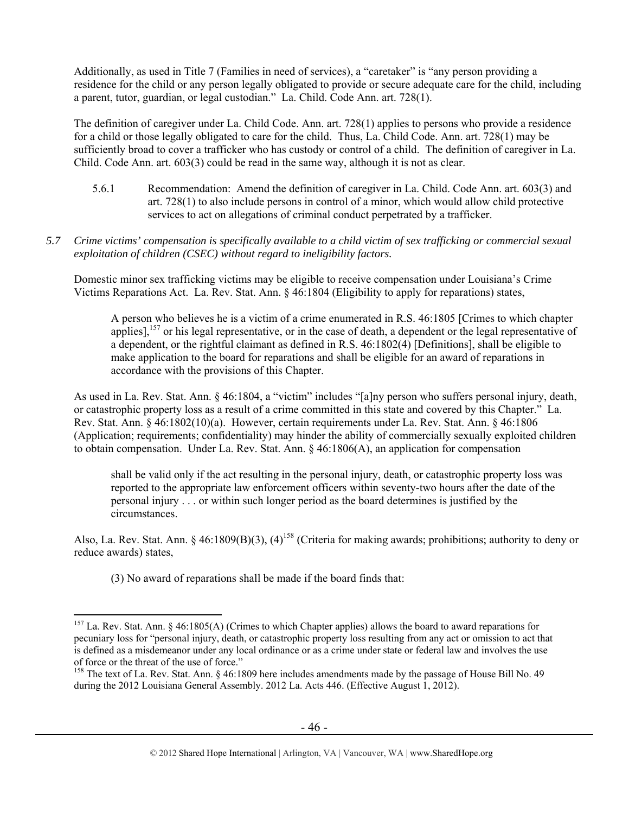Additionally, as used in Title 7 (Families in need of services), a "caretaker" is "any person providing a residence for the child or any person legally obligated to provide or secure adequate care for the child, including a parent, tutor, guardian, or legal custodian." La. Child. Code Ann. art. 728(1).

The definition of caregiver under La. Child Code. Ann. art. 728(1) applies to persons who provide a residence for a child or those legally obligated to care for the child. Thus, La. Child Code. Ann. art. 728(1) may be sufficiently broad to cover a trafficker who has custody or control of a child. The definition of caregiver in La. Child. Code Ann. art. 603(3) could be read in the same way, although it is not as clear.

- 5.6.1 Recommendation: Amend the definition of caregiver in La. Child. Code Ann. art. 603(3) and art. 728(1) to also include persons in control of a minor, which would allow child protective services to act on allegations of criminal conduct perpetrated by a trafficker.
- *5.7 Crime victims' compensation is specifically available to a child victim of sex trafficking or commercial sexual exploitation of children (CSEC) without regard to ineligibility factors.*

Domestic minor sex trafficking victims may be eligible to receive compensation under Louisiana's Crime Victims Reparations Act. La. Rev. Stat. Ann. § 46:1804 (Eligibility to apply for reparations) states,

A person who believes he is a victim of a crime enumerated in R.S. 46:1805 [Crimes to which chapter applies],<sup>157</sup> or his legal representative, or in the case of death, a dependent or the legal representative of a dependent, or the rightful claimant as defined in R.S. 46:1802(4) [Definitions], shall be eligible to make application to the board for reparations and shall be eligible for an award of reparations in accordance with the provisions of this Chapter.

As used in La. Rev. Stat. Ann. § 46:1804, a "victim" includes "[a]ny person who suffers personal injury, death, or catastrophic property loss as a result of a crime committed in this state and covered by this Chapter." La. Rev. Stat. Ann. § 46:1802(10)(a). However, certain requirements under La. Rev. Stat. Ann. § 46:1806 (Application; requirements; confidentiality) may hinder the ability of commercially sexually exploited children to obtain compensation. Under La. Rev. Stat. Ann.  $\S$  46:1806(A), an application for compensation

shall be valid only if the act resulting in the personal injury, death, or catastrophic property loss was reported to the appropriate law enforcement officers within seventy-two hours after the date of the personal injury . . . or within such longer period as the board determines is justified by the circumstances.

Also, La. Rev. Stat. Ann. § 46:1809(B)(3), (4)<sup>158</sup> (Criteria for making awards; prohibitions; authority to deny or reduce awards) states,

(3) No award of reparations shall be made if the board finds that:

 $\overline{a}$ 157 La. Rev. Stat. Ann. § 46:1805(A) (Crimes to which Chapter applies) allows the board to award reparations for pecuniary loss for "personal injury, death, or catastrophic property loss resulting from any act or omission to act that is defined as a misdemeanor under any local ordinance or as a crime under state or federal law and involves the use of force or the threat of the use of force."<br><sup>158</sup> The text of La. Rev. Stat. Ann. § 46:1809 here includes amendments made by the passage of House Bill No. 49

during the 2012 Louisiana General Assembly. 2012 La. Acts 446. (Effective August 1, 2012).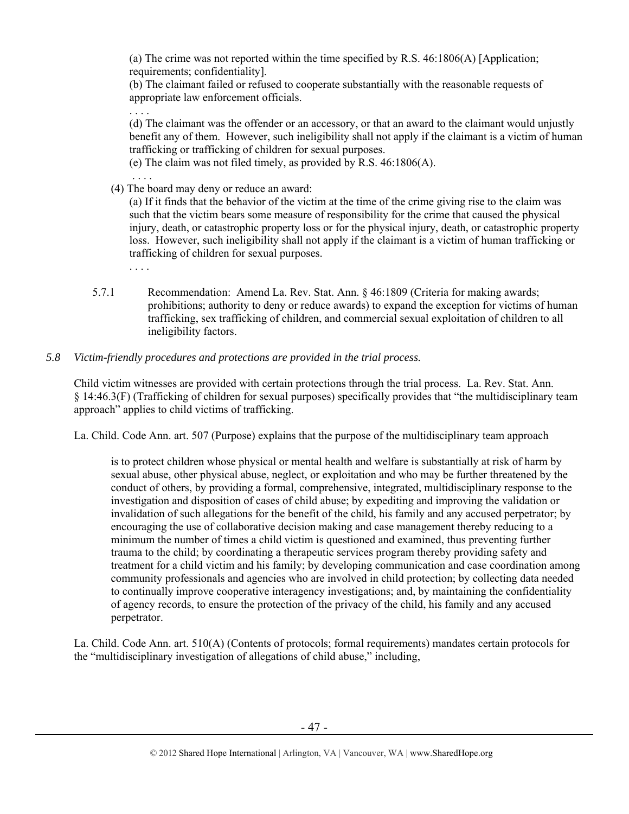(a) The crime was not reported within the time specified by R.S. 46:1806(A) [Application; requirements; confidentiality].

(b) The claimant failed or refused to cooperate substantially with the reasonable requests of appropriate law enforcement officials.

- (d) The claimant was the offender or an accessory, or that an award to the claimant would unjustly benefit any of them. However, such ineligibility shall not apply if the claimant is a victim of human trafficking or trafficking of children for sexual purposes.
- (e) The claim was not filed timely, as provided by R.S. 46:1806(A).
- (4) The board may deny or reduce an award:

. . . .

. . . .

. . . .

(a) If it finds that the behavior of the victim at the time of the crime giving rise to the claim was such that the victim bears some measure of responsibility for the crime that caused the physical injury, death, or catastrophic property loss or for the physical injury, death, or catastrophic property loss. However, such ineligibility shall not apply if the claimant is a victim of human trafficking or trafficking of children for sexual purposes.

- 5.7.1 Recommendation: Amend La. Rev. Stat. Ann. § 46:1809 (Criteria for making awards; prohibitions; authority to deny or reduce awards) to expand the exception for victims of human trafficking, sex trafficking of children, and commercial sexual exploitation of children to all ineligibility factors.
- *5.8 Victim-friendly procedures and protections are provided in the trial process.*

Child victim witnesses are provided with certain protections through the trial process. La. Rev. Stat. Ann. § 14:46.3(F) (Trafficking of children for sexual purposes) specifically provides that "the multidisciplinary team approach" applies to child victims of trafficking.

La. Child. Code Ann. art. 507 (Purpose) explains that the purpose of the multidisciplinary team approach

is to protect children whose physical or mental health and welfare is substantially at risk of harm by sexual abuse, other physical abuse, neglect, or exploitation and who may be further threatened by the conduct of others, by providing a formal, comprehensive, integrated, multidisciplinary response to the investigation and disposition of cases of child abuse; by expediting and improving the validation or invalidation of such allegations for the benefit of the child, his family and any accused perpetrator; by encouraging the use of collaborative decision making and case management thereby reducing to a minimum the number of times a child victim is questioned and examined, thus preventing further trauma to the child; by coordinating a therapeutic services program thereby providing safety and treatment for a child victim and his family; by developing communication and case coordination among community professionals and agencies who are involved in child protection; by collecting data needed to continually improve cooperative interagency investigations; and, by maintaining the confidentiality of agency records, to ensure the protection of the privacy of the child, his family and any accused perpetrator.

La. Child. Code Ann. art. 510(A) (Contents of protocols; formal requirements) mandates certain protocols for the "multidisciplinary investigation of allegations of child abuse," including,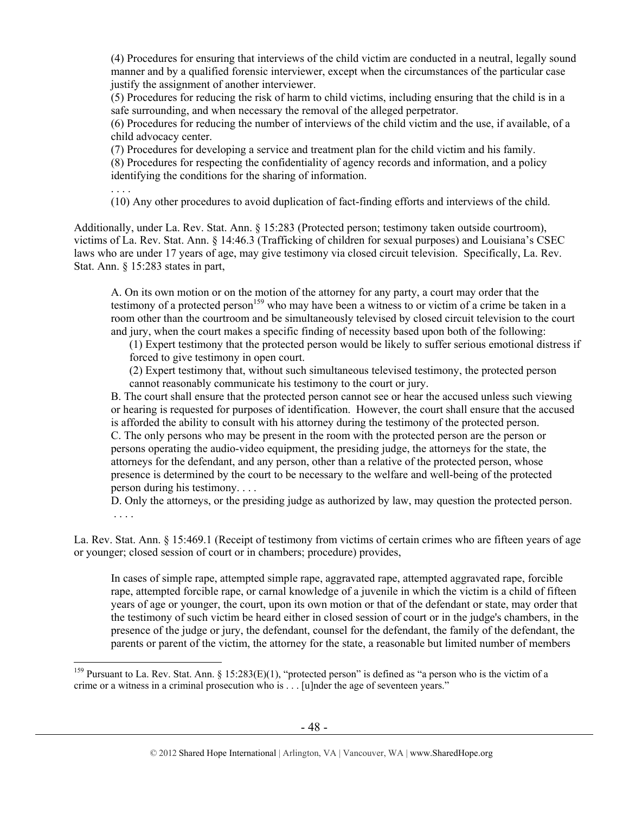(4) Procedures for ensuring that interviews of the child victim are conducted in a neutral, legally sound manner and by a qualified forensic interviewer, except when the circumstances of the particular case justify the assignment of another interviewer.

(5) Procedures for reducing the risk of harm to child victims, including ensuring that the child is in a safe surrounding, and when necessary the removal of the alleged perpetrator.

(6) Procedures for reducing the number of interviews of the child victim and the use, if available, of a child advocacy center.

(7) Procedures for developing a service and treatment plan for the child victim and his family. (8) Procedures for respecting the confidentiality of agency records and information, and a policy identifying the conditions for the sharing of information.

. . . .

 $\overline{a}$ 

(10) Any other procedures to avoid duplication of fact-finding efforts and interviews of the child.

Additionally, under La. Rev. Stat. Ann. § 15:283 (Protected person; testimony taken outside courtroom), victims of La. Rev. Stat. Ann. § 14:46.3 (Trafficking of children for sexual purposes) and Louisiana's CSEC laws who are under 17 years of age, may give testimony via closed circuit television. Specifically, La. Rev. Stat. Ann. § 15:283 states in part,

A. On its own motion or on the motion of the attorney for any party, a court may order that the testimony of a protected person<sup>159</sup> who may have been a witness to or victim of a crime be taken in a room other than the courtroom and be simultaneously televised by closed circuit television to the court and jury, when the court makes a specific finding of necessity based upon both of the following:

(1) Expert testimony that the protected person would be likely to suffer serious emotional distress if forced to give testimony in open court.

(2) Expert testimony that, without such simultaneous televised testimony, the protected person cannot reasonably communicate his testimony to the court or jury.

B. The court shall ensure that the protected person cannot see or hear the accused unless such viewing or hearing is requested for purposes of identification. However, the court shall ensure that the accused is afforded the ability to consult with his attorney during the testimony of the protected person. C. The only persons who may be present in the room with the protected person are the person or persons operating the audio-video equipment, the presiding judge, the attorneys for the state, the attorneys for the defendant, and any person, other than a relative of the protected person, whose presence is determined by the court to be necessary to the welfare and well-being of the protected person during his testimony. . . .

D. Only the attorneys, or the presiding judge as authorized by law, may question the protected person. . . . .

La. Rev. Stat. Ann. § 15:469.1 (Receipt of testimony from victims of certain crimes who are fifteen years of age or younger; closed session of court or in chambers; procedure) provides,

In cases of simple rape, attempted simple rape, aggravated rape, attempted aggravated rape, forcible rape, attempted forcible rape, or carnal knowledge of a juvenile in which the victim is a child of fifteen years of age or younger, the court, upon its own motion or that of the defendant or state, may order that the testimony of such victim be heard either in closed session of court or in the judge's chambers, in the presence of the judge or jury, the defendant, counsel for the defendant, the family of the defendant, the parents or parent of the victim, the attorney for the state, a reasonable but limited number of members

<sup>&</sup>lt;sup>159</sup> Pursuant to La. Rev. Stat. Ann. § 15:283(E)(1), "protected person" is defined as "a person who is the victim of a crime or a witness in a criminal prosecution who is . . . [u]nder the age of seventeen years."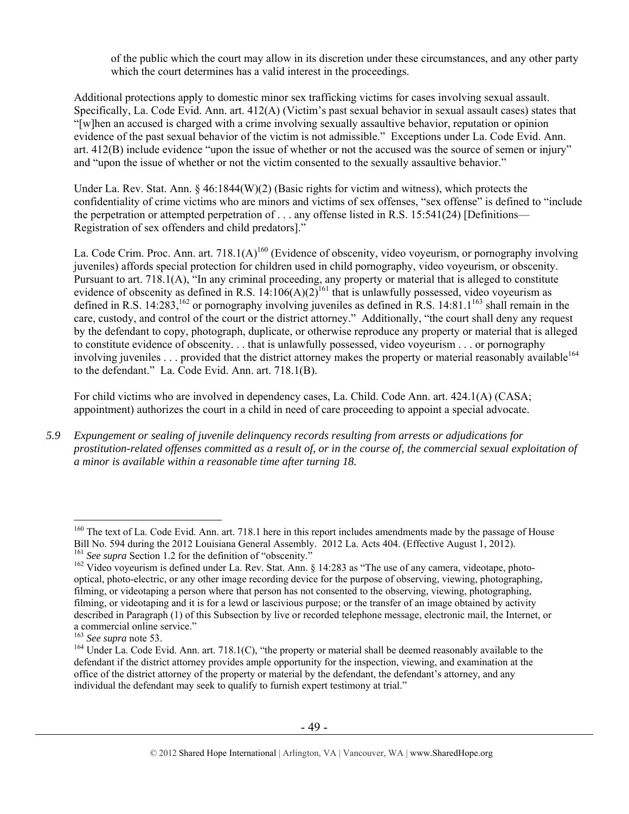of the public which the court may allow in its discretion under these circumstances, and any other party which the court determines has a valid interest in the proceedings.

Additional protections apply to domestic minor sex trafficking victims for cases involving sexual assault. Specifically, La. Code Evid. Ann. art. 412(A) (Victim's past sexual behavior in sexual assault cases) states that "[w]hen an accused is charged with a crime involving sexually assaultive behavior, reputation or opinion evidence of the past sexual behavior of the victim is not admissible." Exceptions under La. Code Evid. Ann. art. 412(B) include evidence "upon the issue of whether or not the accused was the source of semen or injury" and "upon the issue of whether or not the victim consented to the sexually assaultive behavior."

Under La. Rev. Stat. Ann. § 46:1844(W)(2) (Basic rights for victim and witness), which protects the confidentiality of crime victims who are minors and victims of sex offenses, "sex offense" is defined to "include the perpetration or attempted perpetration of . . . any offense listed in R.S. 15:541(24) [Definitions— Registration of sex offenders and child predators]."

La. Code Crim. Proc. Ann. art. 718.1(A)<sup>160</sup> (Evidence of obscenity, video voyeurism, or pornography involving juveniles) affords special protection for children used in child pornography, video voyeurism, or obscenity. Pursuant to art. 718.1(A), "In any criminal proceeding, any property or material that is alleged to constitute evidence of obscenity as defined in R.S.  $14:106(A)(2)^{161}$  that is unlawfully possessed, video voyeurism as defined in R.S. 14:283,<sup>162</sup> or pornography involving juveniles as defined in R.S. 14:81.1<sup>163</sup> shall remain in the care, custody, and control of the court or the district attorney." Additionally, "the court shall deny any request by the defendant to copy, photograph, duplicate, or otherwise reproduce any property or material that is alleged to constitute evidence of obscenity. . . that is unlawfully possessed, video voyeurism . . . or pornography involving juveniles . . . provided that the district attorney makes the property or material reasonably available<sup>164</sup> to the defendant." La. Code Evid. Ann. art. 718.1(B).

For child victims who are involved in dependency cases, La. Child. Code Ann. art. 424.1(A) (CASA; appointment) authorizes the court in a child in need of care proceeding to appoint a special advocate.

*5.9 Expungement or sealing of juvenile delinquency records resulting from arrests or adjudications for prostitution-related offenses committed as a result of, or in the course of, the commercial sexual exploitation of a minor is available within a reasonable time after turning 18.* 

<sup>&</sup>lt;sup>160</sup> The text of La. Code Evid. Ann. art. 718.1 here in this report includes amendments made by the passage of House Bill No. 594 during the 2012 Louisiana General Assembly. 2012 La. Acts 404. (Effective August 1, 2012).<br><sup>161</sup> See supra Section 1.2 for the definition of "obscenity."

<sup>&</sup>lt;sup>162</sup> Video voyeurism is defined under La. Rev. Stat. Ann. § 14:283 as "The use of any camera, videotape, photooptical, photo-electric, or any other image recording device for the purpose of observing, viewing, photographing, filming, or videotaping a person where that person has not consented to the observing, viewing, photographing, filming, or videotaping and it is for a lewd or lascivious purpose; or the transfer of an image obtained by activity described in Paragraph (1) of this Subsection by live or recorded telephone message, electronic mail, the Internet, or a commercial online service."<br> $^{163}$  *See supra* note 53.

<sup>&</sup>lt;sup>164</sup> Under La. Code Evid. Ann. art. 718.1(C), "the property or material shall be deemed reasonably available to the defendant if the district attorney provides ample opportunity for the inspection, viewing, and examination at the office of the district attorney of the property or material by the defendant, the defendant's attorney, and any individual the defendant may seek to qualify to furnish expert testimony at trial."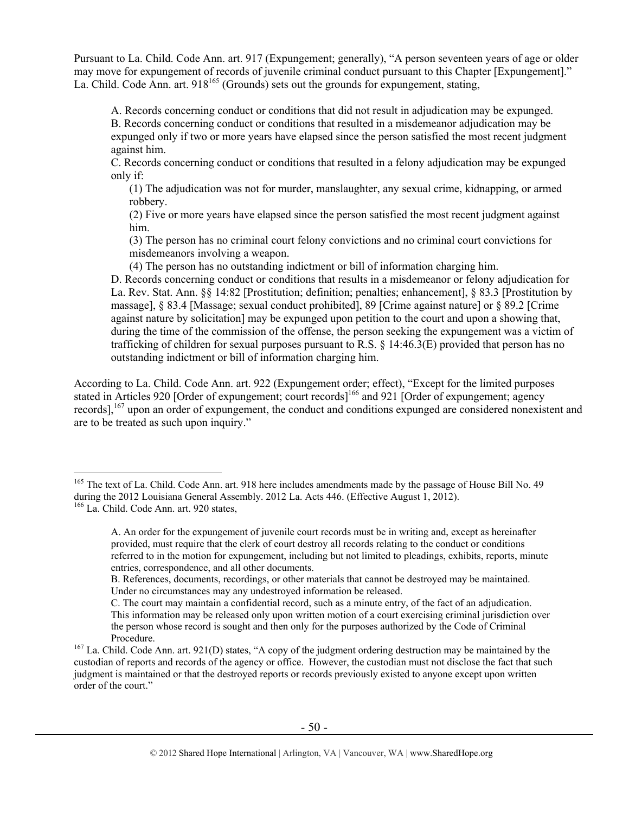Pursuant to La. Child. Code Ann. art. 917 (Expungement; generally), "A person seventeen years of age or older may move for expungement of records of juvenile criminal conduct pursuant to this Chapter [Expungement]." La. Child. Code Ann. art.  $918^{165}$  (Grounds) sets out the grounds for expungement, stating,

A. Records concerning conduct or conditions that did not result in adjudication may be expunged. B. Records concerning conduct or conditions that resulted in a misdemeanor adjudication may be expunged only if two or more years have elapsed since the person satisfied the most recent judgment against him.

C. Records concerning conduct or conditions that resulted in a felony adjudication may be expunged only if:

(1) The adjudication was not for murder, manslaughter, any sexual crime, kidnapping, or armed robbery.

(2) Five or more years have elapsed since the person satisfied the most recent judgment against him.

(3) The person has no criminal court felony convictions and no criminal court convictions for misdemeanors involving a weapon.

(4) The person has no outstanding indictment or bill of information charging him.

D. Records concerning conduct or conditions that results in a misdemeanor or felony adjudication for La. Rev. Stat. Ann. §§ 14:82 [Prostitution; definition; penalties; enhancement], § 83.3 [Prostitution by massage], § 83.4 [Massage; sexual conduct prohibited], 89 [Crime against nature] or § 89.2 [Crime against nature by solicitation] may be expunged upon petition to the court and upon a showing that, during the time of the commission of the offense, the person seeking the expungement was a victim of trafficking of children for sexual purposes pursuant to R.S. § 14:46.3(E) provided that person has no outstanding indictment or bill of information charging him.

According to La. Child. Code Ann. art. 922 (Expungement order; effect), "Except for the limited purposes stated in Articles 920 [Order of expungement; court records]<sup>166</sup> and 921 [Order of expungement; agency records],<sup>167</sup> upon an order of expungement, the conduct and conditions expunged are considered nonexistent and are to be treated as such upon inquiry."

<sup>&</sup>lt;sup>165</sup> The text of La. Child. Code Ann. art. 918 here includes amendments made by the passage of House Bill No. 49 during the 2012 Louisiana General Assembly. 2012 La. Acts 446. (Effective August 1, 2012). <sup>166</sup> La. Child. Code Ann. art. 920 states,

A. An order for the expungement of juvenile court records must be in writing and, except as hereinafter provided, must require that the clerk of court destroy all records relating to the conduct or conditions referred to in the motion for expungement, including but not limited to pleadings, exhibits, reports, minute entries, correspondence, and all other documents.

B. References, documents, recordings, or other materials that cannot be destroyed may be maintained. Under no circumstances may any undestroyed information be released.

C. The court may maintain a confidential record, such as a minute entry, of the fact of an adjudication. This information may be released only upon written motion of a court exercising criminal jurisdiction over the person whose record is sought and then only for the purposes authorized by the Code of Criminal Procedure.<br><sup>167</sup> La. Child. Code Ann. art. 921(D) states, "A copy of the judgment ordering destruction may be maintained by the

custodian of reports and records of the agency or office. However, the custodian must not disclose the fact that such judgment is maintained or that the destroyed reports or records previously existed to anyone except upon written order of the court."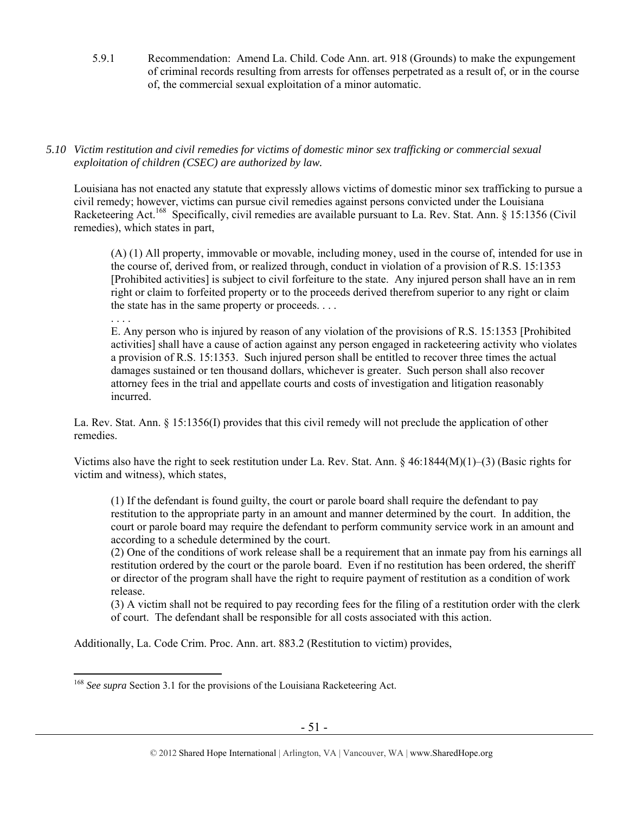5.9.1 Recommendation: Amend La. Child. Code Ann. art. 918 (Grounds) to make the expungement of criminal records resulting from arrests for offenses perpetrated as a result of, or in the course of, the commercial sexual exploitation of a minor automatic.

# *5.10 Victim restitution and civil remedies for victims of domestic minor sex trafficking or commercial sexual exploitation of children (CSEC) are authorized by law.*

Louisiana has not enacted any statute that expressly allows victims of domestic minor sex trafficking to pursue a civil remedy; however, victims can pursue civil remedies against persons convicted under the Louisiana Racketeering Act.<sup>168</sup> Specifically, civil remedies are available pursuant to La. Rev. Stat. Ann. § 15:1356 (Civil remedies), which states in part,

(A) (1) All property, immovable or movable, including money, used in the course of, intended for use in the course of, derived from, or realized through, conduct in violation of a provision of R.S. 15:1353 [Prohibited activities] is subject to civil forfeiture to the state. Any injured person shall have an in rem right or claim to forfeited property or to the proceeds derived therefrom superior to any right or claim the state has in the same property or proceeds. . . .

. . . . E. Any person who is injured by reason of any violation of the provisions of R.S. 15:1353 [Prohibited activities] shall have a cause of action against any person engaged in racketeering activity who violates a provision of R.S. 15:1353. Such injured person shall be entitled to recover three times the actual damages sustained or ten thousand dollars, whichever is greater. Such person shall also recover attorney fees in the trial and appellate courts and costs of investigation and litigation reasonably incurred.

La. Rev. Stat. Ann. § 15:1356(I) provides that this civil remedy will not preclude the application of other remedies.

Victims also have the right to seek restitution under La. Rev. Stat. Ann. § 46:1844(M)(1)–(3) (Basic rights for victim and witness), which states,

(1) If the defendant is found guilty, the court or parole board shall require the defendant to pay restitution to the appropriate party in an amount and manner determined by the court. In addition, the court or parole board may require the defendant to perform community service work in an amount and according to a schedule determined by the court.

(2) One of the conditions of work release shall be a requirement that an inmate pay from his earnings all restitution ordered by the court or the parole board. Even if no restitution has been ordered, the sheriff or director of the program shall have the right to require payment of restitution as a condition of work release.

(3) A victim shall not be required to pay recording fees for the filing of a restitution order with the clerk of court. The defendant shall be responsible for all costs associated with this action.

Additionally, La. Code Crim. Proc. Ann. art. 883.2 (Restitution to victim) provides,

<sup>&</sup>lt;sup>168</sup> See supra Section 3.1 for the provisions of the Louisiana Racketeering Act.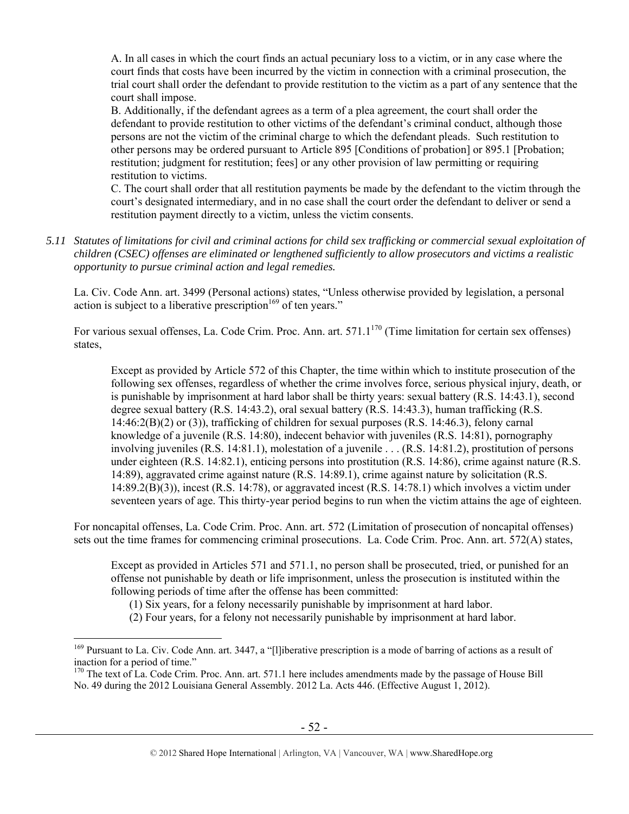A. In all cases in which the court finds an actual pecuniary loss to a victim, or in any case where the court finds that costs have been incurred by the victim in connection with a criminal prosecution, the trial court shall order the defendant to provide restitution to the victim as a part of any sentence that the court shall impose.

B. Additionally, if the defendant agrees as a term of a plea agreement, the court shall order the defendant to provide restitution to other victims of the defendant's criminal conduct, although those persons are not the victim of the criminal charge to which the defendant pleads. Such restitution to other persons may be ordered pursuant to Article 895 [Conditions of probation] or 895.1 [Probation; restitution; judgment for restitution; fees] or any other provision of law permitting or requiring restitution to victims.

C. The court shall order that all restitution payments be made by the defendant to the victim through the court's designated intermediary, and in no case shall the court order the defendant to deliver or send a restitution payment directly to a victim, unless the victim consents.

*5.11 Statutes of limitations for civil and criminal actions for child sex trafficking or commercial sexual exploitation of children (CSEC) offenses are eliminated or lengthened sufficiently to allow prosecutors and victims a realistic opportunity to pursue criminal action and legal remedies.* 

La. Civ. Code Ann. art. 3499 (Personal actions) states, "Unless otherwise provided by legislation, a personal action is subject to a liberative prescription<sup>169</sup> of ten years."

For various sexual offenses, La. Code Crim. Proc. Ann. art. 571.1<sup>170</sup> (Time limitation for certain sex offenses) states,

Except as provided by Article 572 of this Chapter, the time within which to institute prosecution of the following sex offenses, regardless of whether the crime involves force, serious physical injury, death, or is punishable by imprisonment at hard labor shall be thirty years: sexual battery (R.S. 14:43.1), second degree sexual battery (R.S. 14:43.2), oral sexual battery (R.S. 14:43.3), human trafficking (R.S. 14:46:2(B)(2) or (3)), trafficking of children for sexual purposes (R.S. 14:46.3), felony carnal knowledge of a juvenile (R.S. 14:80), indecent behavior with juveniles (R.S. 14:81), pornography involving juveniles (R.S. 14:81.1), molestation of a juvenile . . . (R.S. 14:81.2), prostitution of persons under eighteen (R.S. 14:82.1), enticing persons into prostitution (R.S. 14:86), crime against nature (R.S. 14:89), aggravated crime against nature (R.S. 14:89.1), crime against nature by solicitation (R.S. 14:89.2(B)(3)), incest (R.S. 14:78), or aggravated incest (R.S. 14:78.1) which involves a victim under seventeen years of age. This thirty-year period begins to run when the victim attains the age of eighteen.

For noncapital offenses, La. Code Crim. Proc. Ann. art. 572 (Limitation of prosecution of noncapital offenses) sets out the time frames for commencing criminal prosecutions. La. Code Crim. Proc. Ann. art. 572(A) states,

Except as provided in Articles 571 and 571.1, no person shall be prosecuted, tried, or punished for an offense not punishable by death or life imprisonment, unless the prosecution is instituted within the following periods of time after the offense has been committed:

(1) Six years, for a felony necessarily punishable by imprisonment at hard labor.

(2) Four years, for a felony not necessarily punishable by imprisonment at hard labor.

<sup>&</sup>lt;sup>169</sup> Pursuant to La. Civ. Code Ann. art. 3447, a "[l]iberative prescription is a mode of barring of actions as a result of inaction for a period of time."

 $170$  The text of La. Code Crim. Proc. Ann. art. 571.1 here includes amendments made by the passage of House Bill No. 49 during the 2012 Louisiana General Assembly. 2012 La. Acts 446. (Effective August 1, 2012).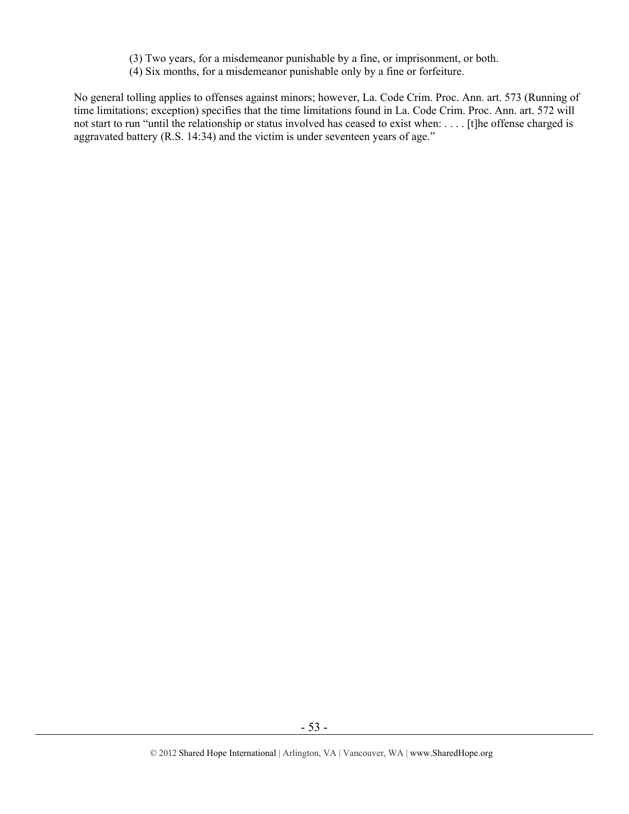- (3) Two years, for a misdemeanor punishable by a fine, or imprisonment, or both.
- (4) Six months, for a misdemeanor punishable only by a fine or forfeiture.

No general tolling applies to offenses against minors; however, La. Code Crim. Proc. Ann. art. 573 (Running of time limitations; exception) specifies that the time limitations found in La. Code Crim. Proc. Ann. art. 572 will not start to run "until the relationship or status involved has ceased to exist when: . . . . [t]he offense charged is aggravated battery (R.S. 14:34) and the victim is under seventeen years of age."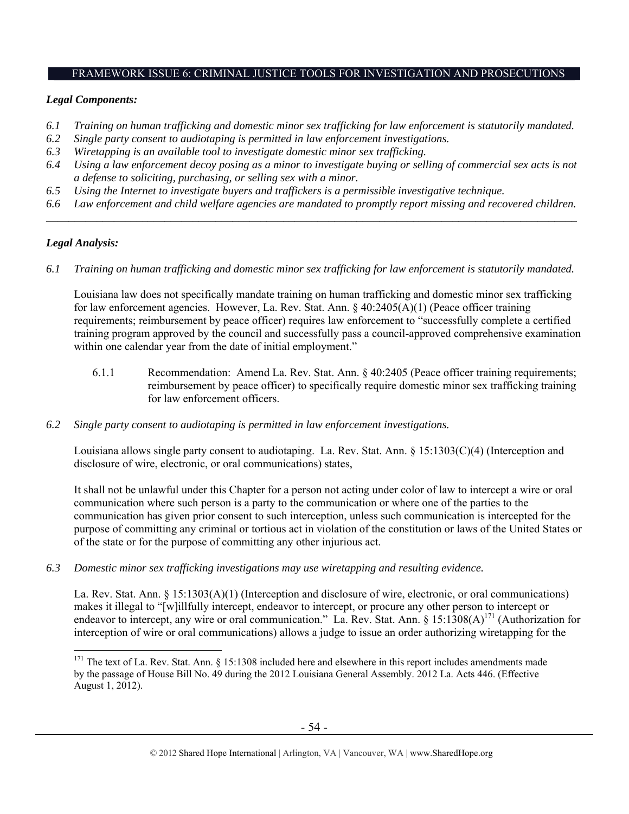## FRAMEWORK ISSUE 6: CRIMINAL JUSTICE TOOLS FOR INVESTIGATION AND PROSECUTIONS

## *Legal Components:*

- *6.1 Training on human trafficking and domestic minor sex trafficking for law enforcement is statutorily mandated.*
- *6.2 Single party consent to audiotaping is permitted in law enforcement investigations.*
- *6.3 Wiretapping is an available tool to investigate domestic minor sex trafficking.*
- *6.4 Using a law enforcement decoy posing as a minor to investigate buying or selling of commercial sex acts is not a defense to soliciting, purchasing, or selling sex with a minor.*
- *6.5 Using the Internet to investigate buyers and traffickers is a permissible investigative technique.*
- *6.6 Law enforcement and child welfare agencies are mandated to promptly report missing and recovered children. \_\_\_\_\_\_\_\_\_\_\_\_\_\_\_\_\_\_\_\_\_\_\_\_\_\_\_\_\_\_\_\_\_\_\_\_\_\_\_\_\_\_\_\_\_\_\_\_\_\_\_\_\_\_\_\_\_\_\_\_\_\_\_\_\_\_\_\_\_\_\_\_\_\_\_\_\_\_\_\_\_\_\_\_\_\_\_\_\_\_\_\_\_\_*

## *Legal Analysis:*

 $\overline{a}$ 

*6.1 Training on human trafficking and domestic minor sex trafficking for law enforcement is statutorily mandated.* 

Louisiana law does not specifically mandate training on human trafficking and domestic minor sex trafficking for law enforcement agencies. However, La. Rev. Stat. Ann. § 40:2405(A)(1) (Peace officer training requirements; reimbursement by peace officer) requires law enforcement to "successfully complete a certified training program approved by the council and successfully pass a council-approved comprehensive examination within one calendar year from the date of initial employment."

- 6.1.1 Recommendation: Amend La. Rev. Stat. Ann. § 40:2405 (Peace officer training requirements; reimbursement by peace officer) to specifically require domestic minor sex trafficking training for law enforcement officers.
- *6.2 Single party consent to audiotaping is permitted in law enforcement investigations.*

Louisiana allows single party consent to audiotaping. La. Rev. Stat. Ann. § 15:1303(C)(4) (Interception and disclosure of wire, electronic, or oral communications) states,

It shall not be unlawful under this Chapter for a person not acting under color of law to intercept a wire or oral communication where such person is a party to the communication or where one of the parties to the communication has given prior consent to such interception, unless such communication is intercepted for the purpose of committing any criminal or tortious act in violation of the constitution or laws of the United States or of the state or for the purpose of committing any other injurious act.

*6.3 Domestic minor sex trafficking investigations may use wiretapping and resulting evidence.* 

La. Rev. Stat. Ann. § 15:1303(A)(1) (Interception and disclosure of wire, electronic, or oral communications) makes it illegal to "[w]illfully intercept, endeavor to intercept, or procure any other person to intercept or endeavor to intercept, any wire or oral communication." La. Rev. Stat. Ann. §  $15:1308(A)^{171}$  (Authorization for interception of wire or oral communications) allows a judge to issue an order authorizing wiretapping for the

<sup>&</sup>lt;sup>171</sup> The text of La. Rev. Stat. Ann. § 15:1308 included here and elsewhere in this report includes amendments made by the passage of House Bill No. 49 during the 2012 Louisiana General Assembly. 2012 La. Acts 446. (Effective August 1, 2012).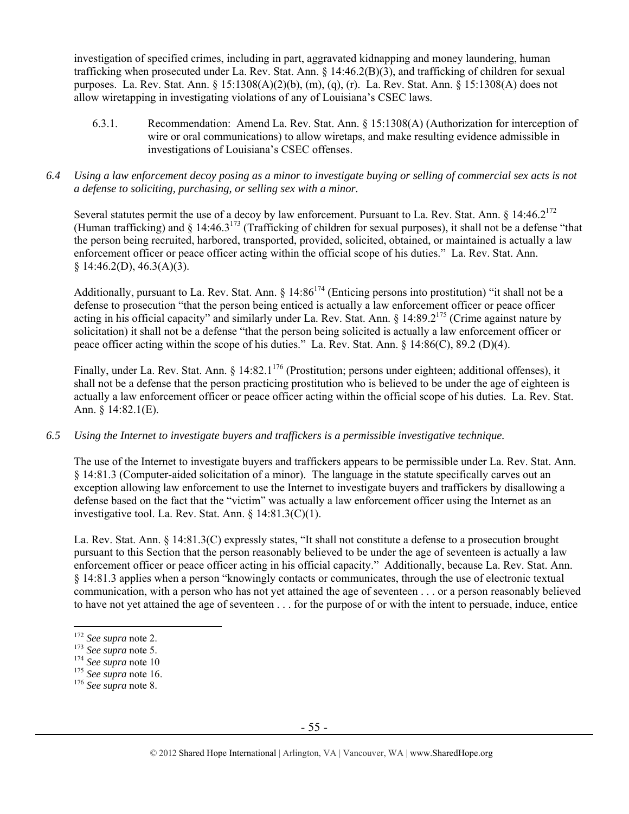investigation of specified crimes, including in part, aggravated kidnapping and money laundering, human trafficking when prosecuted under La. Rev. Stat. Ann. § 14:46.2(B)(3), and trafficking of children for sexual purposes. La. Rev. Stat. Ann. § 15:1308(A)(2)(b), (m), (q), (r). La. Rev. Stat. Ann. § 15:1308(A) does not allow wiretapping in investigating violations of any of Louisiana's CSEC laws.

- 6.3.1. Recommendation: Amend La. Rev. Stat. Ann. § 15:1308(A) (Authorization for interception of wire or oral communications) to allow wiretaps, and make resulting evidence admissible in investigations of Louisiana's CSEC offenses.
- *6.4 Using a law enforcement decoy posing as a minor to investigate buying or selling of commercial sex acts is not a defense to soliciting, purchasing, or selling sex with a minor.*

Several statutes permit the use of a decoy by law enforcement. Pursuant to La. Rev. Stat. Ann. § 14:46.2<sup>172</sup> (Human trafficking) and  $\S$  14:46.3<sup>173</sup> (Trafficking of children for sexual purposes), it shall not be a defense "that the person being recruited, harbored, transported, provided, solicited, obtained, or maintained is actually a law enforcement officer or peace officer acting within the official scope of his duties." La. Rev. Stat. Ann.  $§ 14:46.2(D), 46.3(A)(3).$ 

Additionally, pursuant to La. Rev. Stat. Ann.  $\S$  14:86<sup>174</sup> (Enticing persons into prostitution) "it shall not be a defense to prosecution "that the person being enticed is actually a law enforcement officer or peace officer acting in his official capacity" and similarly under La. Rev. Stat. Ann. § 14:89.2175 (Crime against nature by solicitation) it shall not be a defense "that the person being solicited is actually a law enforcement officer or peace officer acting within the scope of his duties." La. Rev. Stat. Ann. § 14:86(C), 89.2 (D)(4).

Finally, under La. Rev. Stat. Ann. § 14:82.1<sup>176</sup> (Prostitution; persons under eighteen; additional offenses), it shall not be a defense that the person practicing prostitution who is believed to be under the age of eighteen is actually a law enforcement officer or peace officer acting within the official scope of his duties. La. Rev. Stat. Ann. § 14:82.1(E).

## *6.5 Using the Internet to investigate buyers and traffickers is a permissible investigative technique.*

The use of the Internet to investigate buyers and traffickers appears to be permissible under La. Rev. Stat. Ann. § 14:81.3 (Computer-aided solicitation of a minor). The language in the statute specifically carves out an exception allowing law enforcement to use the Internet to investigate buyers and traffickers by disallowing a defense based on the fact that the "victim" was actually a law enforcement officer using the Internet as an investigative tool. La. Rev. Stat. Ann. § 14:81.3(C)(1).

La. Rev. Stat. Ann. § 14:81.3(C) expressly states, "It shall not constitute a defense to a prosecution brought pursuant to this Section that the person reasonably believed to be under the age of seventeen is actually a law enforcement officer or peace officer acting in his official capacity." Additionally, because La. Rev. Stat. Ann. § 14:81.3 applies when a person "knowingly contacts or communicates, through the use of electronic textual communication, with a person who has not yet attained the age of seventeen . . . or a person reasonably believed to have not yet attained the age of seventeen . . . for the purpose of or with the intent to persuade, induce, entice

<sup>&</sup>lt;sup>172</sup> See supra note 2.

<sup>172</sup> *See supra* note 2. 173 *See supra* note 5. 174 *See supra* note 10 175 *See supra* note 16. 176 *See supra* note 8.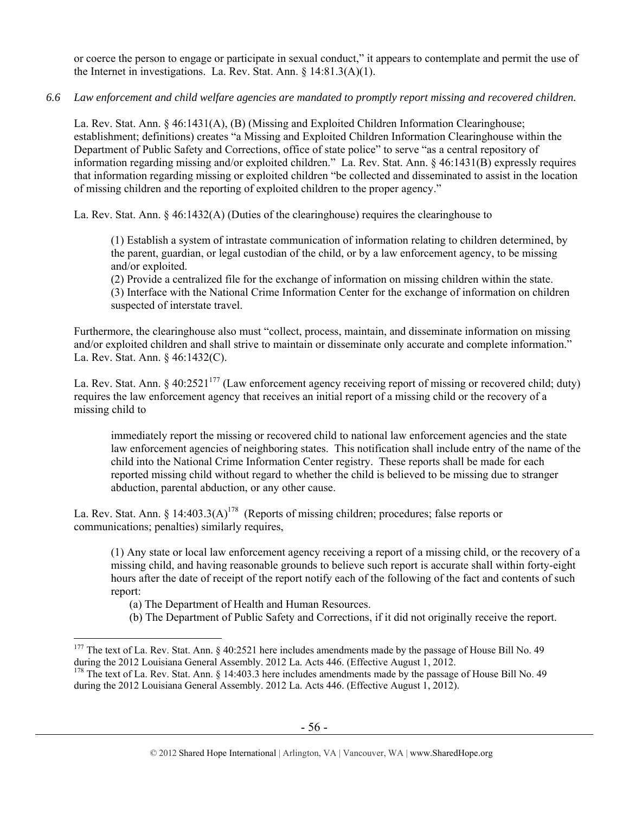or coerce the person to engage or participate in sexual conduct," it appears to contemplate and permit the use of the Internet in investigations. La. Rev. Stat. Ann. § 14:81.3(A)(1).

## *6.6 Law enforcement and child welfare agencies are mandated to promptly report missing and recovered children.*

La. Rev. Stat. Ann. § 46:1431(A), (B) (Missing and Exploited Children Information Clearinghouse; establishment; definitions) creates "a Missing and Exploited Children Information Clearinghouse within the Department of Public Safety and Corrections, office of state police" to serve "as a central repository of information regarding missing and/or exploited children." La. Rev. Stat. Ann. § 46:1431(B) expressly requires that information regarding missing or exploited children "be collected and disseminated to assist in the location of missing children and the reporting of exploited children to the proper agency."

La. Rev. Stat. Ann. § 46:1432(A) (Duties of the clearinghouse) requires the clearinghouse to

(1) Establish a system of intrastate communication of information relating to children determined, by the parent, guardian, or legal custodian of the child, or by a law enforcement agency, to be missing and/or exploited.

(2) Provide a centralized file for the exchange of information on missing children within the state. (3) Interface with the National Crime Information Center for the exchange of information on children suspected of interstate travel.

Furthermore, the clearinghouse also must "collect, process, maintain, and disseminate information on missing and/or exploited children and shall strive to maintain or disseminate only accurate and complete information." La. Rev. Stat. Ann. § 46:1432(C).

La. Rev. Stat. Ann. § 40:2521<sup>177</sup> (Law enforcement agency receiving report of missing or recovered child; duty) requires the law enforcement agency that receives an initial report of a missing child or the recovery of a missing child to

immediately report the missing or recovered child to national law enforcement agencies and the state law enforcement agencies of neighboring states. This notification shall include entry of the name of the child into the National Crime Information Center registry. These reports shall be made for each reported missing child without regard to whether the child is believed to be missing due to stranger abduction, parental abduction, or any other cause.

La. Rev. Stat. Ann. § 14:403.3(A)<sup>178</sup> (Reports of missing children; procedures; false reports or communications; penalties) similarly requires,

(1) Any state or local law enforcement agency receiving a report of a missing child, or the recovery of a missing child, and having reasonable grounds to believe such report is accurate shall within forty-eight hours after the date of receipt of the report notify each of the following of the fact and contents of such report:

(a) The Department of Health and Human Resources.

 $\overline{a}$ 

(b) The Department of Public Safety and Corrections, if it did not originally receive the report.

<sup>&</sup>lt;sup>177</sup> The text of La. Rev. Stat. Ann. § 40:2521 here includes amendments made by the passage of House Bill No. 49 during the 2012 Louisiana General Assembly. 2012 La. Acts 446. (Effective August 1, 2012.

<sup>&</sup>lt;sup>178</sup> The text of La. Rev. Stat. Ann. § 14:403.3 here includes amendments made by the passage of House Bill No. 49 during the 2012 Louisiana General Assembly. 2012 La. Acts 446. (Effective August 1, 2012).